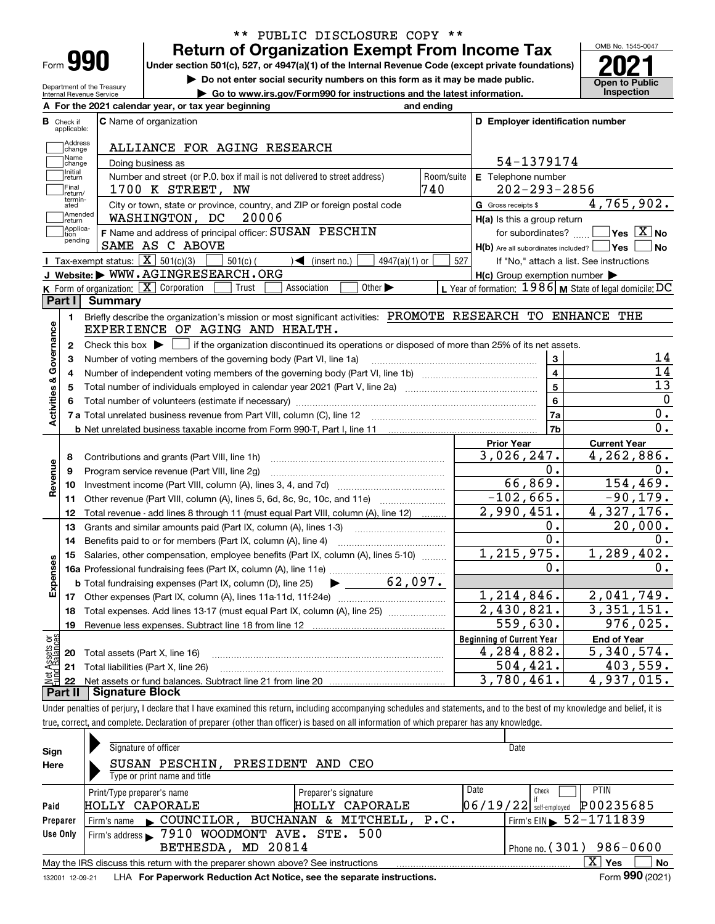| Form |  |
|------|--|

Department of the Treasury Internal Revenue Service

## **Return of Organization Exempt From Income Tax** \*\* PUBLIC DISCLOSURE COPY \*\*

Under section 501(c), 527, or 4947(a)(1) of the Internal Revenue Code (except private foundations) **2021** 

**| Do not enter social security numbers on this form as it may be made public.**

**| Go to www.irs.gov/Form990 for instructions and the latest information. Inspection**



|                         |                                  | A For the 2021 calendar year, or tax year beginning                                                                                                 | and ending |                                                                       |                                                           |
|-------------------------|----------------------------------|-----------------------------------------------------------------------------------------------------------------------------------------------------|------------|-----------------------------------------------------------------------|-----------------------------------------------------------|
|                         | <b>B</b> Check if<br>applicable: | <b>C</b> Name of organization                                                                                                                       |            | D Employer identification number                                      |                                                           |
|                         | Address<br>Change                | ALLIANCE FOR AGING RESEARCH                                                                                                                         |            |                                                                       |                                                           |
|                         | Name<br>change                   | Doing business as                                                                                                                                   |            | 54-1379174                                                            |                                                           |
|                         | Initial<br> return               | Number and street (or P.O. box if mail is not delivered to street address)                                                                          | Room/suite | E Telephone number                                                    |                                                           |
|                         | Final<br>return/                 | 1700 K STREET, NW                                                                                                                                   | 740        | $202 - 293 - 2856$                                                    |                                                           |
|                         | termin-<br>ated<br>Amended       | City or town, state or province, country, and ZIP or foreign postal code                                                                            |            | G Gross receipts \$                                                   | 4,765,902.                                                |
|                         | return<br>Applica-               | WASHINGTON, DC 20006<br>F Name and address of principal officer: SUSAN PESCHIN                                                                      |            | $H(a)$ is this a group return                                         | $\overline{\ }$ Yes $\overline{\phantom{X}}$ No           |
|                         | tion<br>pending                  | SAME AS C ABOVE                                                                                                                                     |            | for subordinates?<br>$H(b)$ Are all subordinates included? $\Box$ Yes | <b>No</b>                                                 |
|                         |                                  | Tax-exempt status: $\boxed{\mathbf{X}}$ 501(c)(3) $\boxed{\mathbf{X}}$<br>$\sqrt{\bullet}$ (insert no.)<br>$501(c)$ (<br>$4947(a)(1)$ or            | 527        |                                                                       | If "No," attach a list. See instructions                  |
|                         |                                  | J Website: WWW.AGINGRESEARCH.ORG                                                                                                                    |            | $H(c)$ Group exemption number $\blacktriangleright$                   |                                                           |
|                         |                                  | <b>K</b> Form of organization: $\boxed{\mathbf{X}}$ Corporation<br>Other $\blacktriangleright$<br>Trust<br>Association                              |            |                                                                       | L Year of formation: $1986$ M State of legal domicile: DC |
|                         | Part I                           | <b>Summary</b>                                                                                                                                      |            |                                                                       |                                                           |
|                         | 1.                               | Briefly describe the organization's mission or most significant activities: PROMOTE RESEARCH TO ENHANCE THE                                         |            |                                                                       |                                                           |
| Activities & Governance |                                  | EXPERIENCE OF AGING AND HEALTH.                                                                                                                     |            |                                                                       |                                                           |
|                         | $\mathbf{2}$                     | Check this box $\blacktriangleright$ $\blacksquare$ if the organization discontinued its operations or disposed of more than 25% of its net assets. |            |                                                                       |                                                           |
|                         | з                                | Number of voting members of the governing body (Part VI, line 1a)                                                                                   |            | 3                                                                     | 14<br>14                                                  |
|                         | 4                                |                                                                                                                                                     |            | $\overline{\mathbf{4}}$                                               | 13                                                        |
|                         | 5                                | Total number of individuals employed in calendar year 2021 (Part V, line 2a)                                                                        |            | $\overline{5}$                                                        | $\mathbf 0$                                               |
|                         | 6                                |                                                                                                                                                     |            | 6                                                                     | 0.                                                        |
|                         |                                  |                                                                                                                                                     |            | 7a                                                                    | $\overline{0}$ .                                          |
|                         |                                  | <b>b</b> Net unrelated business taxable income from Form 990-T, Part I, line 11 <b>Construe that the Construe Added</b> business                    |            | 7b<br><b>Prior Year</b>                                               | <b>Current Year</b>                                       |
|                         | 8                                | Contributions and grants (Part VIII, line 1h)                                                                                                       |            | 3,026,247.                                                            | 4,262,886.                                                |
| Revenue                 | 9                                | Program service revenue (Part VIII, line 2g)                                                                                                        |            | 0.                                                                    | 0.                                                        |
|                         | 10                               |                                                                                                                                                     |            | 66,869.                                                               | 154,469.                                                  |
|                         |                                  | 11 Other revenue (Part VIII, column (A), lines 5, 6d, 8c, 9c, 10c, and 11e)                                                                         |            | $-102,665.$                                                           | $-90,179.$                                                |
|                         | 12                               | Total revenue - add lines 8 through 11 (must equal Part VIII, column (A), line 12)                                                                  |            | 2,990,451.                                                            | 4,327,176.                                                |
|                         | 13                               | Grants and similar amounts paid (Part IX, column (A), lines 1-3) <i>manoronominimining</i>                                                          |            | 0.                                                                    | 20,000.                                                   |
|                         | 14                               | Benefits paid to or for members (Part IX, column (A), line 4)                                                                                       |            | $\overline{0}$ .                                                      | 0.                                                        |
|                         | 15                               | Salaries, other compensation, employee benefits (Part IX, column (A), lines 5-10)                                                                   |            | 1, 215, 975.                                                          | 1,289,402.                                                |
| Expenses                |                                  |                                                                                                                                                     |            | ο.                                                                    | 0.                                                        |
|                         |                                  | 62,097.<br><b>b</b> Total fundraising expenses (Part IX, column (D), line 25)<br>$\blacktriangleright$ and $\blacktriangleright$                    |            |                                                                       |                                                           |
|                         |                                  |                                                                                                                                                     |            | 1, 214, 846.                                                          | 2,041,749.                                                |
|                         | 18                               | Total expenses. Add lines 13-17 (must equal Part IX, column (A), line 25) <i>marronomini</i>                                                        |            | 2,430,821.                                                            | 3,351,151.                                                |
|                         | 19                               |                                                                                                                                                     |            | $\overline{559,630}$ .                                                | 976,025.                                                  |
| ăğ                      |                                  |                                                                                                                                                     |            | <b>Beginning of Current Year</b>                                      | <b>End of Year</b>                                        |
| ssets<br>Ralano         |                                  | 20 Total assets (Part X, line 16)                                                                                                                   |            | 4,284,882.                                                            | 5,340,574.                                                |
|                         |                                  | 21 Total liabilities (Part X, line 26)                                                                                                              |            | 504,421.                                                              | 403,559.                                                  |
|                         | $22\,$                           |                                                                                                                                                     |            | 3,780,461.                                                            | 4,937,015.                                                |
|                         |                                  | <b>Part II</b> Signature Block                                                                                                                      |            |                                                                       |                                                           |

Under penalties of perjury, I declare that I have examined this return, including accompanying schedules and statements, and to the best of my knowledge and belief, it is true, correct, and complete. Declaration of preparer (other than officer) is based on all information of which preparer has any knowledge.

| Sign            | Signature of officer                                                            |                      |      | Date                                       |    |
|-----------------|---------------------------------------------------------------------------------|----------------------|------|--------------------------------------------|----|
| Here            | SUSAN PESCHIN,                                                                  | PRESIDENT AND CEO    |      |                                            |    |
|                 | Type or print name and title                                                    |                      |      |                                            |    |
|                 | Print/Type preparer's name                                                      | Preparer's signature | Date | <b>PTIN</b><br>Check                       |    |
| Paid            | HOLLY CAPORALE                                                                  | HOLLY CAPORALE       |      | P00235685<br>$06/19/22$ self-employed      |    |
| Preparer        | COUNCILOR, BUCHANAN & MITCHELL, P.C.<br>Firm's name                             |                      |      | $1$ Firm's EIN $\triangleright$ 52-1711839 |    |
| Use Only        | Firm's address > 7910 WOODMONT AVE. STE. 500                                    |                      |      |                                            |    |
|                 | BETHESDA, MD 20814                                                              |                      |      | Phone no. $(301)$ 986-0600                 |    |
|                 | May the IRS discuss this return with the preparer shown above? See instructions |                      |      | x<br>Yes                                   | No |
| 132001 12-09-21 | LHA For Paperwork Reduction Act Notice, see the separate instructions.          |                      |      | Form 990 (2021)                            |    |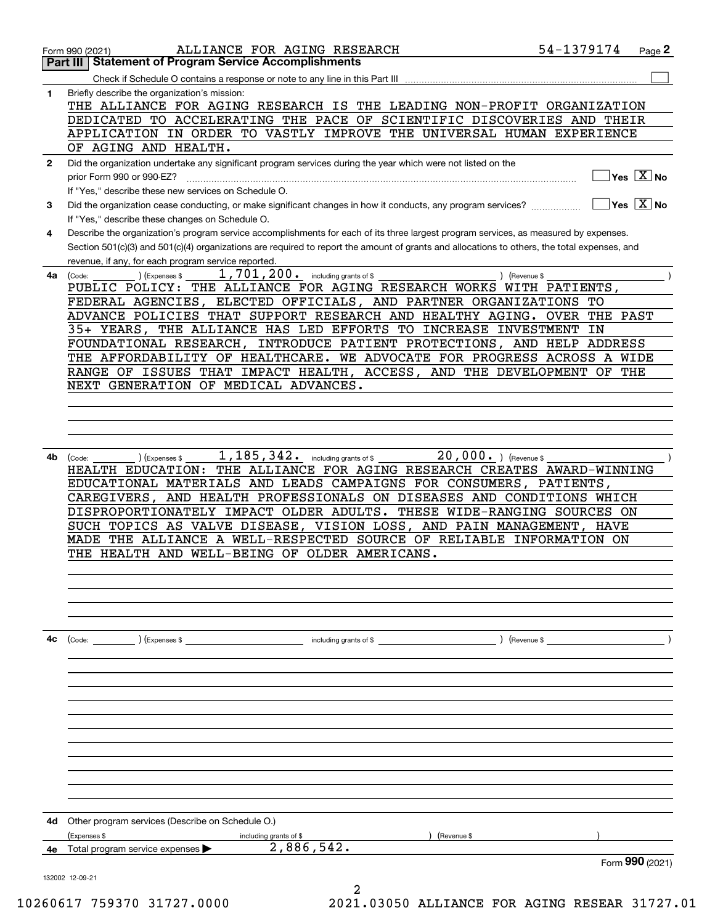|              | ALLIANCE FOR AGING RESEARCH<br>Form 990 (2021)                                                                                                                                                      | 54-1379174 | Page 2                                               |
|--------------|-----------------------------------------------------------------------------------------------------------------------------------------------------------------------------------------------------|------------|------------------------------------------------------|
|              | <b>Statement of Program Service Accomplishments</b><br>Part III                                                                                                                                     |            |                                                      |
| 1            | Check if Schedule O contains a response or note to any line in this Part III<br>Briefly describe the organization's mission:                                                                        |            |                                                      |
|              | THE ALLIANCE FOR AGING RESEARCH IS THE LEADING NON-PROFIT ORGANIZATION                                                                                                                              |            |                                                      |
|              | DEDICATED TO ACCELERATING THE PACE OF SCIENTIFIC DISCOVERIES AND THEIR                                                                                                                              |            |                                                      |
|              | APPLICATION IN ORDER TO VASTLY IMPROVE THE UNIVERSAL HUMAN EXPERIENCE                                                                                                                               |            |                                                      |
|              | OF AGING AND HEALTH.                                                                                                                                                                                |            |                                                      |
| $\mathbf{2}$ | Did the organization undertake any significant program services during the year which were not listed on the<br>prior Form 990 or 990-EZ?                                                           |            | $Yes$ $X$ No                                         |
|              | If "Yes," describe these new services on Schedule O.                                                                                                                                                |            |                                                      |
| 3            | Did the organization cease conducting, or make significant changes in how it conducts, any program services?                                                                                        |            | $ {\mathsf Y}{\mathsf e}{\mathsf s}^\top{\rm X} $ No |
|              | If "Yes," describe these changes on Schedule O.                                                                                                                                                     |            |                                                      |
| 4            | Describe the organization's program service accomplishments for each of its three largest program services, as measured by expenses.                                                                |            |                                                      |
|              | Section 501(c)(3) and 501(c)(4) organizations are required to report the amount of grants and allocations to others, the total expenses, and<br>revenue, if any, for each program service reported. |            |                                                      |
| 4a l         | 1,701,200. including grants of \$<br>) (Revenue \$<br>(Code:<br>Expenses \$                                                                                                                         |            |                                                      |
|              | THE ALLIANCE FOR AGING RESEARCH WORKS WITH PATIENTS,<br>PUBLIC POLICY:                                                                                                                              |            |                                                      |
|              | FEDERAL AGENCIES, ELECTED OFFICIALS, AND PARTNER ORGANIZATIONS TO                                                                                                                                   |            |                                                      |
|              | ADVANCE POLICIES THAT SUPPORT RESEARCH AND HEALTHY AGING. OVER                                                                                                                                      | THE PAST   |                                                      |
|              | 35+ YEARS, THE ALLIANCE HAS LED EFFORTS TO INCREASE INVESTMENT<br>FOUNDATIONAL RESEARCH, INTRODUCE PATIENT PROTECTIONS, AND HELP ADDRESS                                                            | IN         |                                                      |
|              | THE AFFORDABILITY OF HEALTHCARE. WE ADVOCATE FOR PROGRESS ACROSS A WIDE                                                                                                                             |            |                                                      |
|              | RANGE OF ISSUES THAT IMPACT HEALTH, ACCESS, AND THE DEVELOPMENT OF THE                                                                                                                              |            |                                                      |
|              | NEXT GENERATION OF MEDICAL ADVANCES.                                                                                                                                                                |            |                                                      |
|              |                                                                                                                                                                                                     |            |                                                      |
|              |                                                                                                                                                                                                     |            |                                                      |
|              |                                                                                                                                                                                                     |            |                                                      |
| 4b           | 1,185,342.<br>20,000. ) (Revenue \$<br>including grants of \$<br>) (Expenses \$<br>(Code:                                                                                                           |            |                                                      |
|              | THE ALLIANCE FOR AGING RESEARCH CREATES AWARD-WINNING<br>HEALTH EDUCATION:                                                                                                                          |            |                                                      |
|              | EDUCATIONAL MATERIALS AND LEADS CAMPAIGNS FOR CONSUMERS, PATIENTS,<br>AND HEALTH PROFESSIONALS ON DISEASES AND CONDITIONS WHICH<br>CAREGIVERS,                                                      |            |                                                      |
|              | DISPROPORTIONATELY IMPACT OLDER ADULTS. THESE WIDE-RANGING SOURCES ON                                                                                                                               |            |                                                      |
|              | SUCH TOPICS AS VALVE DISEASE, VISION LOSS, AND PAIN MANAGEMENT, HAVE                                                                                                                                |            |                                                      |
|              | MADE THE ALLIANCE A WELL-RESPECTED SOURCE OF RELIABLE INFORMATION ON                                                                                                                                |            |                                                      |
|              | THE HEALTH AND WELL-BEING OF OLDER AMERICANS.                                                                                                                                                       |            |                                                      |
|              |                                                                                                                                                                                                     |            |                                                      |
|              |                                                                                                                                                                                                     |            |                                                      |
|              |                                                                                                                                                                                                     |            |                                                      |
|              |                                                                                                                                                                                                     |            |                                                      |
| 4c           | (Code: ) (Expenses \$<br>including grants of \$<br>) (Revenue \$                                                                                                                                    |            |                                                      |
|              |                                                                                                                                                                                                     |            |                                                      |
|              |                                                                                                                                                                                                     |            |                                                      |
|              |                                                                                                                                                                                                     |            |                                                      |
|              |                                                                                                                                                                                                     |            |                                                      |
|              |                                                                                                                                                                                                     |            |                                                      |
|              |                                                                                                                                                                                                     |            |                                                      |
|              |                                                                                                                                                                                                     |            |                                                      |
|              |                                                                                                                                                                                                     |            |                                                      |
|              |                                                                                                                                                                                                     |            |                                                      |
| 4d           | Other program services (Describe on Schedule O.)                                                                                                                                                    |            |                                                      |
|              | (Expenses \$<br>(Revenue \$<br>including grants of \$                                                                                                                                               |            |                                                      |
| 4е           | 2,886,542.<br>Total program service expenses                                                                                                                                                        |            |                                                      |
|              |                                                                                                                                                                                                     |            | Form 990 (2021)                                      |
|              | 132002 12-09-21                                                                                                                                                                                     |            |                                                      |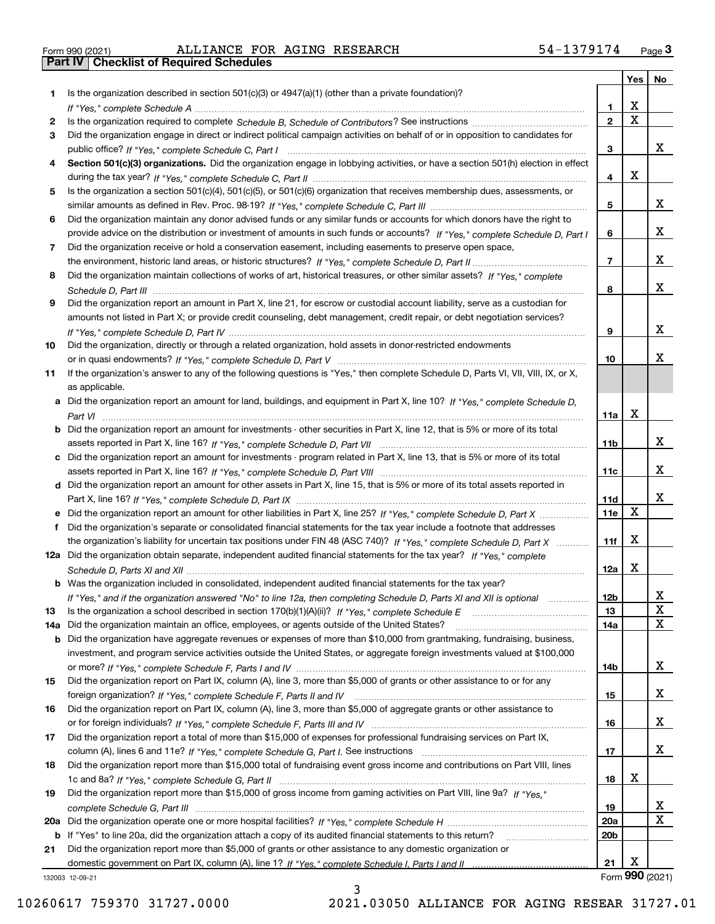|  | Form 990 (2021) |
|--|-----------------|

Form 990 (2021) Page **3Part IV Checklist of Required Schedules** ALLIANCE FOR AGING RESEARCH 54-1379174

|     |                                                                                                                                       |                 | Yes                     | No              |
|-----|---------------------------------------------------------------------------------------------------------------------------------------|-----------------|-------------------------|-----------------|
| 1.  | Is the organization described in section $501(c)(3)$ or $4947(a)(1)$ (other than a private foundation)?                               |                 |                         |                 |
|     |                                                                                                                                       | 1.              | X                       |                 |
| 2   |                                                                                                                                       | $\overline{2}$  | $\overline{\mathbf{x}}$ |                 |
| 3   | Did the organization engage in direct or indirect political campaign activities on behalf of or in opposition to candidates for       |                 |                         |                 |
|     |                                                                                                                                       | 3               |                         | x               |
| 4   | Section 501(c)(3) organizations. Did the organization engage in lobbying activities, or have a section 501(h) election in effect      |                 |                         |                 |
|     |                                                                                                                                       | 4               | X                       |                 |
| 5   | Is the organization a section 501(c)(4), 501(c)(5), or 501(c)(6) organization that receives membership dues, assessments, or          |                 |                         |                 |
|     |                                                                                                                                       | 5               |                         | X               |
| 6   | Did the organization maintain any donor advised funds or any similar funds or accounts for which donors have the right to             |                 |                         |                 |
|     | provide advice on the distribution or investment of amounts in such funds or accounts? If "Yes," complete Schedule D, Part I          | 6               |                         | x               |
| 7   | Did the organization receive or hold a conservation easement, including easements to preserve open space,                             |                 |                         |                 |
|     |                                                                                                                                       | $\overline{7}$  |                         | x               |
| 8   | Did the organization maintain collections of works of art, historical treasures, or other similar assets? If "Yes," complete          |                 |                         | x               |
|     |                                                                                                                                       | 8               |                         |                 |
| 9   | Did the organization report an amount in Part X, line 21, for escrow or custodial account liability, serve as a custodian for         |                 |                         |                 |
|     | amounts not listed in Part X; or provide credit counseling, debt management, credit repair, or debt negotiation services?             |                 |                         | x               |
| 10  |                                                                                                                                       | 9               |                         |                 |
|     | Did the organization, directly or through a related organization, hold assets in donor-restricted endowments                          | 10              |                         | x               |
| 11  | If the organization's answer to any of the following questions is "Yes," then complete Schedule D, Parts VI, VII, VIII, IX, or X,     |                 |                         |                 |
|     | as applicable.                                                                                                                        |                 |                         |                 |
|     | a Did the organization report an amount for land, buildings, and equipment in Part X, line 10? If "Yes," complete Schedule D,         |                 |                         |                 |
|     |                                                                                                                                       | 11a             | X                       |                 |
|     | <b>b</b> Did the organization report an amount for investments - other securities in Part X, line 12, that is 5% or more of its total |                 |                         |                 |
|     |                                                                                                                                       | 11b             |                         | х               |
|     | c Did the organization report an amount for investments - program related in Part X, line 13, that is 5% or more of its total         |                 |                         |                 |
|     |                                                                                                                                       | 11c             |                         | х               |
|     | d Did the organization report an amount for other assets in Part X, line 15, that is 5% or more of its total assets reported in       |                 |                         |                 |
|     |                                                                                                                                       | 11d             |                         | х               |
|     |                                                                                                                                       | <b>11e</b>      | $\mathbf X$             |                 |
| f   | Did the organization's separate or consolidated financial statements for the tax year include a footnote that addresses               |                 |                         |                 |
|     | the organization's liability for uncertain tax positions under FIN 48 (ASC 740)? If "Yes," complete Schedule D, Part X                | 11f             | X                       |                 |
|     | 12a Did the organization obtain separate, independent audited financial statements for the tax year? If "Yes," complete               |                 |                         |                 |
|     |                                                                                                                                       | 12a             | X                       |                 |
|     | <b>b</b> Was the organization included in consolidated, independent audited financial statements for the tax year?                    |                 |                         |                 |
|     | If "Yes," and if the organization answered "No" to line 12a, then completing Schedule D, Parts XI and XII is optional                 | 12D             |                         | ᅀ               |
| 13  |                                                                                                                                       | 13              |                         | $\mathbf X$     |
| 14a | Did the organization maintain an office, employees, or agents outside of the United States?                                           | 14a             |                         | $\mathbf X$     |
|     | <b>b</b> Did the organization have aggregate revenues or expenses of more than \$10,000 from grantmaking, fundraising, business,      |                 |                         |                 |
|     | investment, and program service activities outside the United States, or aggregate foreign investments valued at \$100,000            |                 |                         |                 |
|     |                                                                                                                                       | 14b             |                         | х               |
| 15  | Did the organization report on Part IX, column (A), line 3, more than \$5,000 of grants or other assistance to or for any             |                 |                         |                 |
|     |                                                                                                                                       | 15              |                         | x               |
| 16  | Did the organization report on Part IX, column (A), line 3, more than \$5,000 of aggregate grants or other assistance to              |                 |                         |                 |
|     |                                                                                                                                       | 16              |                         | x               |
| 17  | Did the organization report a total of more than \$15,000 of expenses for professional fundraising services on Part IX,               |                 |                         |                 |
|     |                                                                                                                                       | 17              |                         | x               |
| 18  | Did the organization report more than \$15,000 total of fundraising event gross income and contributions on Part VIII, lines          |                 |                         |                 |
|     |                                                                                                                                       | 18              | х                       |                 |
| 19  | Did the organization report more than \$15,000 of gross income from gaming activities on Part VIII, line 9a? If "Yes."                |                 |                         |                 |
|     |                                                                                                                                       | 19              |                         | x               |
|     |                                                                                                                                       | 20a             |                         | $\mathbf X$     |
|     | b If "Yes" to line 20a, did the organization attach a copy of its audited financial statements to this return?                        | 20 <sub>b</sub> |                         |                 |
| 21  | Did the organization report more than \$5,000 of grants or other assistance to any domestic organization or                           |                 |                         |                 |
|     |                                                                                                                                       | 21              | X                       |                 |
|     | 132003 12-09-21                                                                                                                       |                 |                         | Form 990 (2021) |

3

132003 12-09-21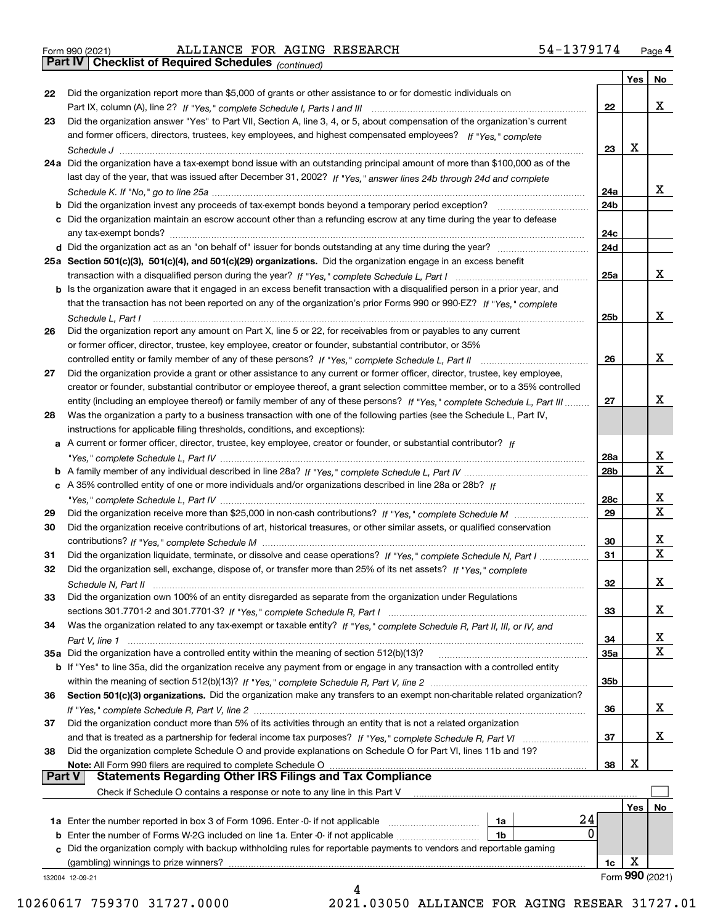|  | Form 990 (2021) |
|--|-----------------|

*(continued)*

|               |                                                                                                                                                                                                                                   |                 | Yes | No              |
|---------------|-----------------------------------------------------------------------------------------------------------------------------------------------------------------------------------------------------------------------------------|-----------------|-----|-----------------|
| 22            | Did the organization report more than \$5,000 of grants or other assistance to or for domestic individuals on                                                                                                                     |                 |     |                 |
|               |                                                                                                                                                                                                                                   | 22              |     | x               |
| 23            | Did the organization answer "Yes" to Part VII, Section A, line 3, 4, or 5, about compensation of the organization's current                                                                                                       |                 |     |                 |
|               | and former officers, directors, trustees, key employees, and highest compensated employees? If "Yes," complete                                                                                                                    |                 |     |                 |
|               | Schedule J                                                                                                                                                                                                                        | 23              | x   |                 |
|               | 24a Did the organization have a tax-exempt bond issue with an outstanding principal amount of more than \$100,000 as of the                                                                                                       |                 |     |                 |
|               | last day of the year, that was issued after December 31, 2002? If "Yes," answer lines 24b through 24d and complete                                                                                                                |                 |     |                 |
|               |                                                                                                                                                                                                                                   | 24a             |     | x               |
|               | <b>b</b> Did the organization invest any proceeds of tax-exempt bonds beyond a temporary period exception?                                                                                                                        | 24b             |     |                 |
|               | c Did the organization maintain an escrow account other than a refunding escrow at any time during the year to defease                                                                                                            |                 |     |                 |
|               |                                                                                                                                                                                                                                   | 24c             |     |                 |
|               |                                                                                                                                                                                                                                   | 24d             |     |                 |
|               | 25a Section 501(c)(3), 501(c)(4), and 501(c)(29) organizations. Did the organization engage in an excess benefit                                                                                                                  |                 |     |                 |
|               |                                                                                                                                                                                                                                   | 25a             |     | x               |
|               | b Is the organization aware that it engaged in an excess benefit transaction with a disqualified person in a prior year, and                                                                                                      |                 |     |                 |
|               | that the transaction has not been reported on any of the organization's prior Forms 990 or 990-EZ? If "Yes," complete                                                                                                             |                 |     |                 |
|               | Schedule L. Part I                                                                                                                                                                                                                | 25b             |     | x               |
| 26            | Did the organization report any amount on Part X, line 5 or 22, for receivables from or payables to any current                                                                                                                   |                 |     |                 |
|               | or former officer, director, trustee, key employee, creator or founder, substantial contributor, or 35%                                                                                                                           |                 |     |                 |
|               |                                                                                                                                                                                                                                   | 26              |     | x               |
| 27            | Did the organization provide a grant or other assistance to any current or former officer, director, trustee, key employee,                                                                                                       |                 |     |                 |
|               | creator or founder, substantial contributor or employee thereof, a grant selection committee member, or to a 35% controlled                                                                                                       |                 |     |                 |
|               | entity (including an employee thereof) or family member of any of these persons? If "Yes," complete Schedule L, Part III                                                                                                          | 27              |     | х               |
| 28            | Was the organization a party to a business transaction with one of the following parties (see the Schedule L, Part IV,                                                                                                            |                 |     |                 |
|               | instructions for applicable filing thresholds, conditions, and exceptions):                                                                                                                                                       |                 |     |                 |
|               | a A current or former officer, director, trustee, key employee, creator or founder, or substantial contributor? If                                                                                                                |                 |     |                 |
|               |                                                                                                                                                                                                                                   | 28a             |     | x               |
|               |                                                                                                                                                                                                                                   | 28 <sub>b</sub> |     | $\mathbf X$     |
|               | c A 35% controlled entity of one or more individuals and/or organizations described in line 28a or 28b? If                                                                                                                        |                 |     |                 |
|               |                                                                                                                                                                                                                                   | 28c             |     | х               |
| 29            |                                                                                                                                                                                                                                   | 29              |     | $\mathbf X$     |
| 30            | Did the organization receive contributions of art, historical treasures, or other similar assets, or qualified conservation                                                                                                       |                 |     |                 |
|               |                                                                                                                                                                                                                                   | 30              |     | x               |
| 31            | Did the organization liquidate, terminate, or dissolve and cease operations? If "Yes," complete Schedule N, Part I                                                                                                                | 31              |     | $\mathbf x$     |
| 32            | Did the organization sell, exchange, dispose of, or transfer more than 25% of its net assets? If "Yes," complete                                                                                                                  |                 |     |                 |
|               |                                                                                                                                                                                                                                   | 32              |     | х               |
| 33            | Did the organization own 100% of an entity disregarded as separate from the organization under Regulations                                                                                                                        |                 |     |                 |
|               |                                                                                                                                                                                                                                   | 33              |     | х               |
| 34            | Was the organization related to any tax-exempt or taxable entity? If "Yes," complete Schedule R, Part II, III, or IV, and                                                                                                         |                 |     |                 |
|               |                                                                                                                                                                                                                                   | 34              |     | X               |
|               | 35a Did the organization have a controlled entity within the meaning of section 512(b)(13)?                                                                                                                                       | 35a             |     | X               |
|               | b If "Yes" to line 35a, did the organization receive any payment from or engage in any transaction with a controlled entity                                                                                                       |                 |     |                 |
|               |                                                                                                                                                                                                                                   | 35b             |     |                 |
| 36            | Section 501(c)(3) organizations. Did the organization make any transfers to an exempt non-charitable related organization?                                                                                                        |                 |     |                 |
|               |                                                                                                                                                                                                                                   | 36              |     | x               |
| 37            | Did the organization conduct more than 5% of its activities through an entity that is not a related organization                                                                                                                  |                 |     |                 |
|               |                                                                                                                                                                                                                                   | 37              |     | x               |
| 38            | Did the organization complete Schedule O and provide explanations on Schedule O for Part VI, lines 11b and 19?                                                                                                                    |                 |     |                 |
|               |                                                                                                                                                                                                                                   |                 | X   |                 |
| <b>Part V</b> | Note: All Form 990 filers are required to complete Schedule O<br><b>Statements Regarding Other IRS Filings and Tax Compliance</b>                                                                                                 | 38              |     |                 |
|               | Check if Schedule O contains a response or note to any line in this Part V                                                                                                                                                        |                 |     |                 |
|               |                                                                                                                                                                                                                                   |                 |     |                 |
|               | 24                                                                                                                                                                                                                                |                 | Yes | No              |
|               | <b>1a</b> Enter the number reported in box 3 of Form 1096. Enter 0 if not applicable <i>mummumumum</i><br>1a<br>0<br>1b                                                                                                           |                 |     |                 |
|               | <b>b</b> Enter the number of Forms W-2G included on line 1a. Enter -0- if not applicable <i>manumumum</i><br>c Did the organization comply with backup withholding rules for reportable payments to vendors and reportable gaming |                 |     |                 |
|               | (gambling) winnings to prize winners?                                                                                                                                                                                             | 1c              | х   |                 |
|               |                                                                                                                                                                                                                                   |                 |     | Form 990 (2021) |
|               | 132004 12-09-21<br>4                                                                                                                                                                                                              |                 |     |                 |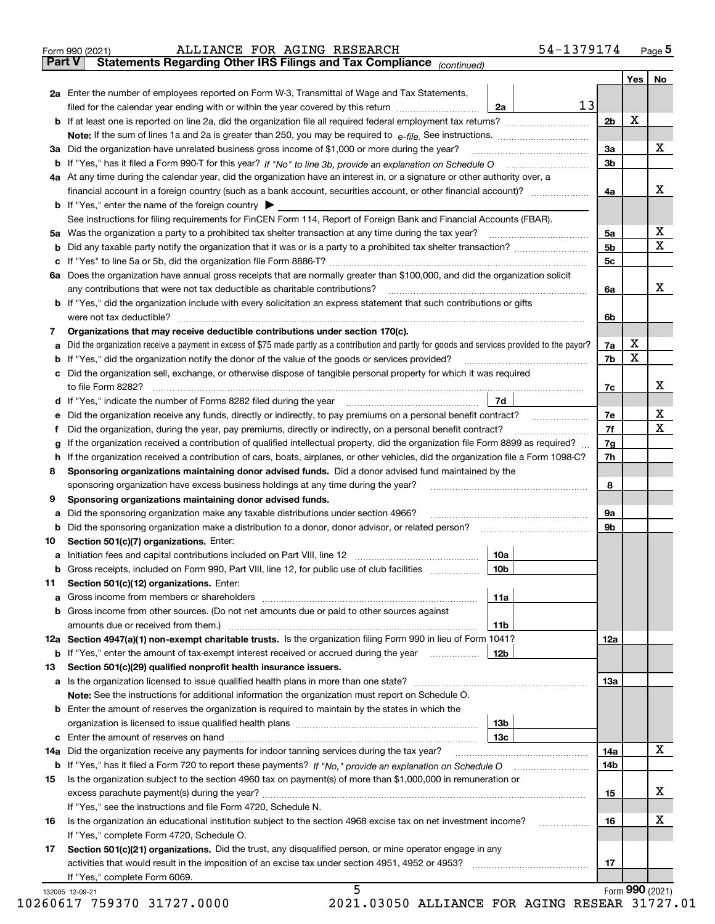|               | ALLIANCE FOR AGING RESEARCH<br>Form 990 (2021)                                                                                                                                                                                 | 54-1379174      |                |     | $_{\text{Page}}$ 5 |
|---------------|--------------------------------------------------------------------------------------------------------------------------------------------------------------------------------------------------------------------------------|-----------------|----------------|-----|--------------------|
| <b>Part V</b> | Statements Regarding Other IRS Filings and Tax Compliance (continued)                                                                                                                                                          |                 |                |     |                    |
|               |                                                                                                                                                                                                                                |                 |                | Yes | No                 |
|               | 2a Enter the number of employees reported on Form W-3, Transmittal of Wage and Tax Statements,                                                                                                                                 |                 |                |     |                    |
|               | filed for the calendar year ending with or within the year covered by this return <i>manumumumum</i>                                                                                                                           | 13<br>2a        |                |     |                    |
|               |                                                                                                                                                                                                                                |                 | 2 <sub>b</sub> | х   |                    |
|               |                                                                                                                                                                                                                                |                 |                |     |                    |
|               | 3a Did the organization have unrelated business gross income of \$1,000 or more during the year?                                                                                                                               |                 | 3a             |     | х                  |
|               |                                                                                                                                                                                                                                |                 | 3b             |     |                    |
|               |                                                                                                                                                                                                                                |                 |                |     |                    |
|               | 4a At any time during the calendar year, did the organization have an interest in, or a signature or other authority over, a                                                                                                   |                 |                |     |                    |
|               |                                                                                                                                                                                                                                |                 | 4a             |     | х                  |
|               | <b>b</b> If "Yes," enter the name of the foreign country $\blacktriangleright$                                                                                                                                                 |                 |                |     |                    |
|               | See instructions for filing requirements for FinCEN Form 114, Report of Foreign Bank and Financial Accounts (FBAR).                                                                                                            |                 |                |     |                    |
|               |                                                                                                                                                                                                                                |                 | 5a             |     | x                  |
|               |                                                                                                                                                                                                                                |                 | 5b             |     | х                  |
|               |                                                                                                                                                                                                                                |                 | 5c             |     |                    |
|               | 6a Does the organization have annual gross receipts that are normally greater than \$100,000, and did the organization solicit                                                                                                 |                 |                |     |                    |
|               |                                                                                                                                                                                                                                |                 | 6a             |     | х                  |
|               | <b>b</b> If "Yes," did the organization include with every solicitation an express statement that such contributions or gifts                                                                                                  |                 |                |     |                    |
|               |                                                                                                                                                                                                                                |                 | 6b             |     |                    |
| 7             | Organizations that may receive deductible contributions under section 170(c).                                                                                                                                                  |                 |                |     |                    |
| a             | Did the organization receive a payment in excess of \$75 made partly as a contribution and partly for goods and services provided to the payor?                                                                                |                 | 7a             | х   |                    |
|               | <b>b</b> If "Yes," did the organization notify the donor of the value of the goods or services provided?                                                                                                                       |                 | 7b             | X   |                    |
|               | c Did the organization sell, exchange, or otherwise dispose of tangible personal property for which it was required                                                                                                            |                 |                |     |                    |
|               |                                                                                                                                                                                                                                |                 | 7c             |     | х                  |
|               | d If "Yes," indicate the number of Forms 8282 filed during the year manufactured in the set of the set of the set of the set of the set of the set of the set of the set of the set of the set of the set of the set of the se | <b>7d</b>       |                |     |                    |
| е             |                                                                                                                                                                                                                                |                 | 7e             |     | х                  |
| f             | Did the organization, during the year, pay premiums, directly or indirectly, on a personal benefit contract?                                                                                                                   |                 | 7f             |     | х                  |
|               | If the organization received a contribution of qualified intellectual property, did the organization file Form 8899 as required?                                                                                               |                 | 7g             |     |                    |
| g             |                                                                                                                                                                                                                                |                 | 7h             |     |                    |
|               | h If the organization received a contribution of cars, boats, airplanes, or other vehicles, did the organization file a Form 1098-C?                                                                                           |                 |                |     |                    |
| 8             | Sponsoring organizations maintaining donor advised funds. Did a donor advised fund maintained by the                                                                                                                           |                 |                |     |                    |
|               | sponsoring organization have excess business holdings at any time during the year?                                                                                                                                             |                 | 8              |     |                    |
| 9             | Sponsoring organizations maintaining donor advised funds.                                                                                                                                                                      |                 |                |     |                    |
| а             | Did the sponsoring organization make any taxable distributions under section 4966?                                                                                                                                             |                 | 9а             |     |                    |
|               | <b>b</b> Did the sponsoring organization make a distribution to a donor, donor advisor, or related person?                                                                                                                     |                 | 9b             |     |                    |
| 10            | Section 501(c)(7) organizations. Enter:                                                                                                                                                                                        |                 |                |     |                    |
|               |                                                                                                                                                                                                                                | 10a             |                |     |                    |
|               | Gross receipts, included on Form 990, Part VIII, line 12, for public use of club facilities                                                                                                                                    | 10 <sub>b</sub> |                |     |                    |
| 11            | Section 501(c)(12) organizations. Enter:                                                                                                                                                                                       |                 |                |     |                    |
|               |                                                                                                                                                                                                                                | 11a             |                |     |                    |
|               | b Gross income from other sources. (Do not net amounts due or paid to other sources against                                                                                                                                    |                 |                |     |                    |
|               |                                                                                                                                                                                                                                | 11b             |                |     |                    |
|               | 12a Section 4947(a)(1) non-exempt charitable trusts. Is the organization filing Form 990 in lieu of Form 1041?                                                                                                                 |                 | <b>12a</b>     |     |                    |
|               | <b>b</b> If "Yes," enter the amount of tax-exempt interest received or accrued during the year <i>manument</i>                                                                                                                 | 12b             |                |     |                    |
| 13            | Section 501(c)(29) qualified nonprofit health insurance issuers.                                                                                                                                                               |                 |                |     |                    |
|               | a Is the organization licensed to issue qualified health plans in more than one state?                                                                                                                                         |                 | 13a            |     |                    |
|               | Note: See the instructions for additional information the organization must report on Schedule O.                                                                                                                              |                 |                |     |                    |
|               | <b>b</b> Enter the amount of reserves the organization is required to maintain by the states in which the                                                                                                                      |                 |                |     |                    |
|               |                                                                                                                                                                                                                                | 13 <sub>b</sub> |                |     |                    |
|               |                                                                                                                                                                                                                                | 13c             |                |     |                    |
| 14a           | Did the organization receive any payments for indoor tanning services during the tax year?                                                                                                                                     |                 | 14a            |     | X                  |
|               | <b>b</b> If "Yes," has it filed a Form 720 to report these payments? If "No," provide an explanation on Schedule O                                                                                                             |                 | 14b            |     |                    |
| 15            | Is the organization subject to the section 4960 tax on payment(s) of more than \$1,000,000 in remuneration or                                                                                                                  |                 |                |     |                    |
|               |                                                                                                                                                                                                                                |                 | 15             |     | x                  |
|               | If "Yes," see the instructions and file Form 4720, Schedule N.                                                                                                                                                                 |                 |                |     |                    |
| 16            | Is the organization an educational institution subject to the section 4968 excise tax on net investment income?                                                                                                                |                 | 16             |     | х                  |
|               | If "Yes," complete Form 4720, Schedule O.                                                                                                                                                                                      |                 |                |     |                    |
| 17            | Section 501(c)(21) organizations. Did the trust, any disqualified person, or mine operator engage in any                                                                                                                       |                 |                |     |                    |
|               | activities that would result in the imposition of an excise tax under section 4951, 4952 or 4953?                                                                                                                              |                 | 17             |     |                    |
|               | If "Yes," complete Form 6069.                                                                                                                                                                                                  |                 |                |     |                    |
|               | 5<br>132005 12-09-21                                                                                                                                                                                                           |                 |                |     | Form 990 (2021)    |
|               |                                                                                                                                                                                                                                |                 |                |     |                    |

| 10260617 759370 31727.000( |  |  |
|----------------------------|--|--|
|                            |  |  |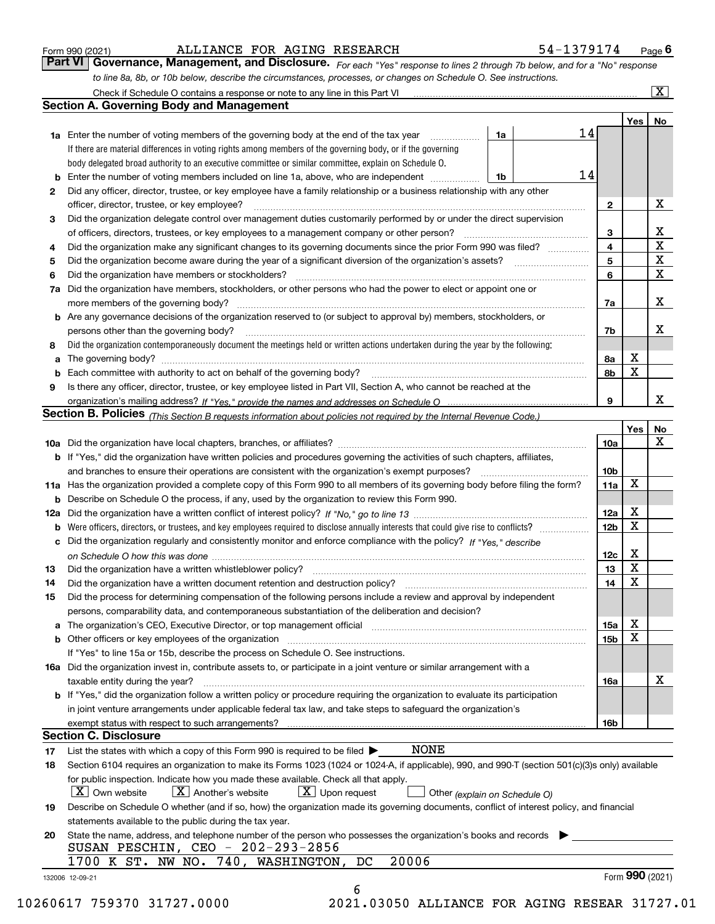|  | Form 990 (2021) |
|--|-----------------|
|  |                 |

| Form 990 (2021) |                                                                                                                  |  | ALLIANCE FOR AGING RESEARCH | 54-1379174                                                                                                                   | $P_{\text{aqe}}$ 6 |
|-----------------|------------------------------------------------------------------------------------------------------------------|--|-----------------------------|------------------------------------------------------------------------------------------------------------------------------|--------------------|
|                 |                                                                                                                  |  |                             | Part VI Governance, Management, and Disclosure. For each "Yes" response to lines 2 through 7b below, and for a "No" response |                    |
|                 | to line 8a, 8b, or 10b below, describe the circumstances, processes, or changes on Schedule O. See instructions. |  |                             |                                                                                                                              |                    |

|     | Check if Schedule O contains a response or note to any line in this Part VI                                                                                                                                                    |    |    |                 |                  | X               |  |  |
|-----|--------------------------------------------------------------------------------------------------------------------------------------------------------------------------------------------------------------------------------|----|----|-----------------|------------------|-----------------|--|--|
|     | Section A. Governing Body and Management                                                                                                                                                                                       |    |    |                 |                  |                 |  |  |
|     |                                                                                                                                                                                                                                |    |    |                 | Yes <sub>1</sub> | No              |  |  |
|     | <b>1a</b> Enter the number of voting members of the governing body at the end of the tax year                                                                                                                                  | 1a | 14 |                 |                  |                 |  |  |
|     | If there are material differences in voting rights among members of the governing body, or if the governing                                                                                                                    |    |    |                 |                  |                 |  |  |
|     | body delegated broad authority to an executive committee or similar committee, explain on Schedule O.                                                                                                                          |    |    |                 |                  |                 |  |  |
| b   | Enter the number of voting members included on line 1a, above, who are independent                                                                                                                                             | 1b | 14 |                 |                  |                 |  |  |
| 2   | Did any officer, director, trustee, or key employee have a family relationship or a business relationship with any other                                                                                                       |    |    |                 |                  |                 |  |  |
|     | officer, director, trustee, or key employee?                                                                                                                                                                                   |    |    | 2               |                  | X               |  |  |
| 3   | Did the organization delegate control over management duties customarily performed by or under the direct supervision                                                                                                          |    |    |                 |                  |                 |  |  |
|     | of officers, directors, trustees, or key employees to a management company or other person?                                                                                                                                    |    |    | з               |                  | X               |  |  |
| 4   | Did the organization make any significant changes to its governing documents since the prior Form 990 was filed?                                                                                                               |    |    | 4               |                  | $\mathbf X$     |  |  |
| 5   |                                                                                                                                                                                                                                |    |    | 5               |                  | $\mathbf X$     |  |  |
| 6   | Did the organization have members or stockholders?                                                                                                                                                                             |    |    | 6               |                  | X               |  |  |
| 7a  | Did the organization have members, stockholders, or other persons who had the power to elect or appoint one or                                                                                                                 |    |    |                 |                  |                 |  |  |
|     | more members of the governing body?                                                                                                                                                                                            |    |    | 7a              |                  | х               |  |  |
|     | Are any governance decisions of the organization reserved to (or subject to approval by) members, stockholders, or                                                                                                             |    |    |                 |                  |                 |  |  |
| b   | persons other than the governing body?                                                                                                                                                                                         |    |    |                 |                  | x               |  |  |
|     |                                                                                                                                                                                                                                |    |    | 7b              |                  |                 |  |  |
| 8   | Did the organization contemporaneously document the meetings held or written actions undertaken during the year by the following:                                                                                              |    |    |                 | х                |                 |  |  |
| a   | The governing body? [[11] matter and the contract of the contract of the contract of the contract of the contract of the contract of the contract of the contract of the contract of the contract of the contract of the contr |    |    | 8а              | X                |                 |  |  |
| b   |                                                                                                                                                                                                                                |    |    | 8b              |                  |                 |  |  |
| 9   | Is there any officer, director, trustee, or key employee listed in Part VII, Section A, who cannot be reached at the                                                                                                           |    |    |                 |                  |                 |  |  |
|     |                                                                                                                                                                                                                                |    |    | 9               |                  | x               |  |  |
|     | <b>Section B. Policies</b> (This Section B requests information about policies not required by the Internal Revenue Code.)                                                                                                     |    |    |                 |                  |                 |  |  |
|     |                                                                                                                                                                                                                                |    |    |                 | Yes              | No              |  |  |
|     |                                                                                                                                                                                                                                |    |    | 10a             |                  | X               |  |  |
|     | <b>b</b> If "Yes," did the organization have written policies and procedures governing the activities of such chapters, affiliates,                                                                                            |    |    |                 |                  |                 |  |  |
|     | and branches to ensure their operations are consistent with the organization's exempt purposes?                                                                                                                                |    |    | 10 <sub>b</sub> |                  |                 |  |  |
|     | 11a Has the organization provided a complete copy of this Form 990 to all members of its governing body before filing the form?                                                                                                |    |    | 11a             | X                |                 |  |  |
| b   | Describe on Schedule O the process, if any, used by the organization to review this Form 990.                                                                                                                                  |    |    |                 | х                |                 |  |  |
| 12a |                                                                                                                                                                                                                                |    |    |                 |                  |                 |  |  |
| b   |                                                                                                                                                                                                                                |    |    |                 |                  |                 |  |  |
| c   | Did the organization regularly and consistently monitor and enforce compliance with the policy? If "Yes," describe                                                                                                             |    |    |                 |                  |                 |  |  |
|     |                                                                                                                                                                                                                                |    |    | 12c             | X                |                 |  |  |
| 13  | Did the organization have a written whistleblower policy?                                                                                                                                                                      |    |    | 13              | X                |                 |  |  |
| 14  | Did the organization have a written document retention and destruction policy? manufactured and the organization have a written document retention and destruction policy?                                                     |    |    | 14              | X                |                 |  |  |
| 15  | Did the process for determining compensation of the following persons include a review and approval by independent                                                                                                             |    |    |                 |                  |                 |  |  |
|     | persons, comparability data, and contemporaneous substantiation of the deliberation and decision?                                                                                                                              |    |    |                 |                  |                 |  |  |
| а   | The organization's CEO, Executive Director, or top management official manufactured content of the organization's CEO, Executive Director, or top management official                                                          |    |    | 15a             | Χ                |                 |  |  |
|     | Other officers or key employees of the organization                                                                                                                                                                            |    |    | 15 <sub>b</sub> | X                |                 |  |  |
|     | If "Yes" to line 15a or 15b, describe the process on Schedule O. See instructions.                                                                                                                                             |    |    |                 |                  |                 |  |  |
|     | 16a Did the organization invest in, contribute assets to, or participate in a joint venture or similar arrangement with a                                                                                                      |    |    |                 |                  |                 |  |  |
|     | taxable entity during the year?                                                                                                                                                                                                |    |    | 16a             |                  | х               |  |  |
|     | b If "Yes," did the organization follow a written policy or procedure requiring the organization to evaluate its participation                                                                                                 |    |    |                 |                  |                 |  |  |
|     | in joint venture arrangements under applicable federal tax law, and take steps to safequard the organization's                                                                                                                 |    |    |                 |                  |                 |  |  |
|     | exempt status with respect to such arrangements?                                                                                                                                                                               |    |    | 16b             |                  |                 |  |  |
|     | <b>Section C. Disclosure</b>                                                                                                                                                                                                   |    |    |                 |                  |                 |  |  |
| 17  | NONE<br>List the states with which a copy of this Form 990 is required to be filed $\blacktriangleright$                                                                                                                       |    |    |                 |                  |                 |  |  |
| 18  | Section 6104 requires an organization to make its Forms 1023 (1024 or 1024-A, if applicable), 990, and 990-T (section 501(c)(3)s only) available                                                                               |    |    |                 |                  |                 |  |  |
|     | for public inspection. Indicate how you made these available. Check all that apply.                                                                                                                                            |    |    |                 |                  |                 |  |  |
|     | $\lfloor X \rfloor$ Own website<br>$X$ Another's website<br>$X$ Upon request                                                                                                                                                   |    |    |                 |                  |                 |  |  |
|     | Other (explain on Schedule O)                                                                                                                                                                                                  |    |    |                 |                  |                 |  |  |
| 19  | Describe on Schedule O whether (and if so, how) the organization made its governing documents, conflict of interest policy, and financial                                                                                      |    |    |                 |                  |                 |  |  |
|     | statements available to the public during the tax year.                                                                                                                                                                        |    |    |                 |                  |                 |  |  |
| 20  | State the name, address, and telephone number of the person who possesses the organization's books and records                                                                                                                 |    |    |                 |                  |                 |  |  |
|     | SUSAN PESCHIN, CEO - 202-293-2856                                                                                                                                                                                              |    |    |                 |                  |                 |  |  |
|     | 20006<br>1700 K ST. NW NO. 740, WASHINGTON,<br>DC                                                                                                                                                                              |    |    |                 |                  |                 |  |  |
|     | 132006 12-09-21                                                                                                                                                                                                                |    |    |                 |                  | Form 990 (2021) |  |  |
|     | 6                                                                                                                                                                                                                              |    |    |                 |                  |                 |  |  |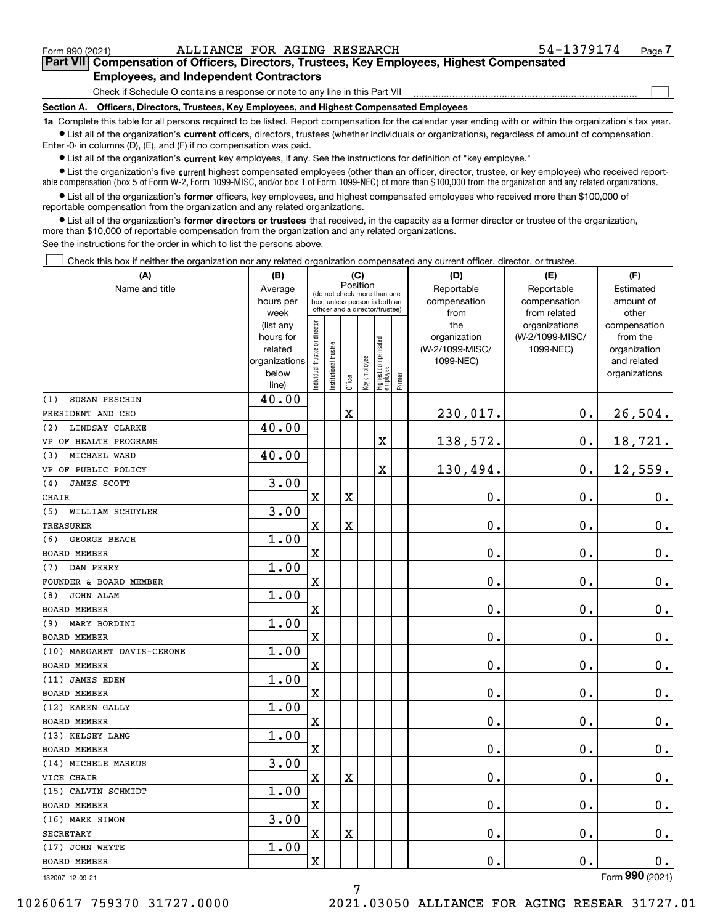$\mathcal{L}^{\text{max}}$ 

# **7Part VII Compensation of Officers, Directors, Trustees, Key Employees, Highest Compensated Employees, and Independent Contractors**

Check if Schedule O contains a response or note to any line in this Part VII

**Section A. Officers, Directors, Trustees, Key Employees, and Highest Compensated Employees**

**1a**  Complete this table for all persons required to be listed. Report compensation for the calendar year ending with or within the organization's tax year. **•** List all of the organization's current officers, directors, trustees (whether individuals or organizations), regardless of amount of compensation.

Enter -0- in columns (D), (E), and (F) if no compensation was paid.

 $\bullet$  List all of the organization's  $\sf current$  key employees, if any. See the instructions for definition of "key employee."

**•** List the organization's five current highest compensated employees (other than an officer, director, trustee, or key employee) who received reportable compensation (box 5 of Form W-2, Form 1099-MISC, and/or box 1 of Form 1099-NEC) of more than \$100,000 from the organization and any related organizations.

**•** List all of the organization's former officers, key employees, and highest compensated employees who received more than \$100,000 of reportable compensation from the organization and any related organizations.

**former directors or trustees**  ¥ List all of the organization's that received, in the capacity as a former director or trustee of the organization, more than \$10,000 of reportable compensation from the organization and any related organizations.

See the instructions for the order in which to list the persons above.

Check this box if neither the organization nor any related organization compensated any current officer, director, or trustee.  $\mathcal{L}^{\text{max}}$ 

| (A)                              | (B)               |                               |                                                                  |             | (C)          |                                  |           | (D)             | (E)                           | (F)                   |
|----------------------------------|-------------------|-------------------------------|------------------------------------------------------------------|-------------|--------------|----------------------------------|-----------|-----------------|-------------------------------|-----------------------|
| Name and title                   | Average           |                               | Position<br>(do not check more than one                          |             | Reportable   | Reportable                       | Estimated |                 |                               |                       |
|                                  | hours per         |                               | box, unless person is both an<br>officer and a director/trustee) |             |              |                                  |           | compensation    | compensation                  | amount of             |
|                                  | week<br>(list any |                               |                                                                  |             |              |                                  |           | from<br>the     | from related<br>organizations | other<br>compensation |
|                                  | hours for         |                               |                                                                  |             |              |                                  |           | organization    | (W-2/1099-MISC/               | from the              |
|                                  | related           |                               |                                                                  |             |              |                                  |           | (W-2/1099-MISC/ | 1099-NEC)                     | organization          |
|                                  | organizations     |                               |                                                                  |             |              |                                  |           | 1099-NEC)       |                               | and related           |
|                                  | below             | ndividual trustee or director | nstitutional trustee                                             | Officer     | Key employee | Highest compensated<br> employee | Former    |                 |                               | organizations         |
|                                  | line)             |                               |                                                                  |             |              |                                  |           |                 |                               |                       |
| SUSAN PESCHIN<br>(1)             | 40.00             |                               |                                                                  |             |              |                                  |           |                 |                               |                       |
| PRESIDENT AND CEO                |                   |                               |                                                                  | X           |              |                                  |           | 230,017.        | 0.                            | 26,504.               |
| LINDSAY CLARKE<br>(2)            | 40.00             |                               |                                                                  |             |              |                                  |           |                 |                               |                       |
| VP OF HEALTH PROGRAMS            |                   |                               |                                                                  |             |              | Χ                                |           | 138,572.        | 0.                            | 18,721.               |
| MICHAEL WARD<br>(3)              | 40.00             |                               |                                                                  |             |              |                                  |           |                 |                               |                       |
| VP OF PUBLIC POLICY              |                   |                               |                                                                  |             |              | $\rm X$                          |           | 130,494.        | 0.                            | 12,559.               |
| JAMES SCOTT<br>(4)               | 3.00              |                               |                                                                  |             |              |                                  |           |                 |                               |                       |
| CHAIR<br>WILLIAM SCHUYLER        | 3.00              | $\mathbf X$                   |                                                                  | $\mathbf X$ |              |                                  |           | $\mathbf 0$ .   | 0.                            | $\mathbf 0$ .         |
| (5)                              |                   | $\rm X$                       |                                                                  | X           |              |                                  |           | 0.              | 0.                            |                       |
| TREASURER<br>GEORGE BEACH<br>(6) | 1.00              |                               |                                                                  |             |              |                                  |           |                 |                               | $\mathbf 0$ .         |
| <b>BOARD MEMBER</b>              |                   | X                             |                                                                  |             |              |                                  |           | 0.              | 0.                            | $\mathbf 0$ .         |
| (7)<br>DAN PERRY                 | 1.00              |                               |                                                                  |             |              |                                  |           |                 |                               |                       |
| FOUNDER & BOARD MEMBER           |                   | $\rm X$                       |                                                                  |             |              |                                  |           | 0.              | 0.                            | $\mathbf 0$ .         |
| JOHN ALAM<br>(8)                 | 1.00              |                               |                                                                  |             |              |                                  |           |                 |                               |                       |
| <b>BOARD MEMBER</b>              |                   | X                             |                                                                  |             |              |                                  |           | 0.              | 0.                            | $\mathbf 0$ .         |
| (9) MARY BORDINI                 | 1.00              |                               |                                                                  |             |              |                                  |           |                 |                               |                       |
| BOARD MEMBER                     |                   | $\mathbf X$                   |                                                                  |             |              |                                  |           | 0.              | 0.                            | $\mathbf 0$ .         |
| (10) MARGARET DAVIS-CERONE       | 1.00              |                               |                                                                  |             |              |                                  |           |                 |                               |                       |
| <b>BOARD MEMBER</b>              |                   | X                             |                                                                  |             |              |                                  |           | $\mathbf 0$ .   | $0$ .                         | $0_{.}$               |
| (11) JAMES EDEN                  | 1.00              |                               |                                                                  |             |              |                                  |           |                 |                               |                       |
| BOARD MEMBER                     |                   | $\mathbf X$                   |                                                                  |             |              |                                  |           | 0.              | 0.                            | $\mathbf 0$ .         |
| (12) KAREN GALLY                 | 1.00              |                               |                                                                  |             |              |                                  |           |                 |                               |                       |
| <b>BOARD MEMBER</b>              |                   | $\mathbf X$                   |                                                                  |             |              |                                  |           | 0.              | 0.                            | $0_{\cdot}$           |
| (13) KELSEY LANG                 | 1.00              |                               |                                                                  |             |              |                                  |           |                 |                               |                       |
| <b>BOARD MEMBER</b>              |                   | X                             |                                                                  |             |              |                                  |           | 0.              | 0.                            | $0_{.}$               |
| (14) MICHELE MARKUS              | 3.00              |                               |                                                                  |             |              |                                  |           |                 |                               |                       |
| VICE CHAIR                       |                   | $\mathbf X$                   |                                                                  | X           |              |                                  |           | 0.              | 0.                            | 0.                    |
| (15) CALVIN SCHMIDT              | 1.00              |                               |                                                                  |             |              |                                  |           |                 |                               |                       |
| <b>BOARD MEMBER</b>              |                   | X                             |                                                                  |             |              |                                  |           | 0.              | 0.                            | $\mathbf 0$ .         |
| (16) MARK SIMON                  | 3.00              |                               |                                                                  |             |              |                                  |           |                 |                               |                       |
| <b>SECRETARY</b>                 |                   | $\rm X$                       |                                                                  | X           |              |                                  |           | 0.              | 0.                            | $\mathbf 0$ .         |
| (17) JOHN WHYTE                  | 1.00              |                               |                                                                  |             |              |                                  |           |                 |                               |                       |
| <b>BOARD MEMBER</b>              |                   | $\rm X$                       |                                                                  |             |              |                                  |           | 0.              | 0.                            | $0_{.}$               |

132007 12-09-21

Form (2021) **990**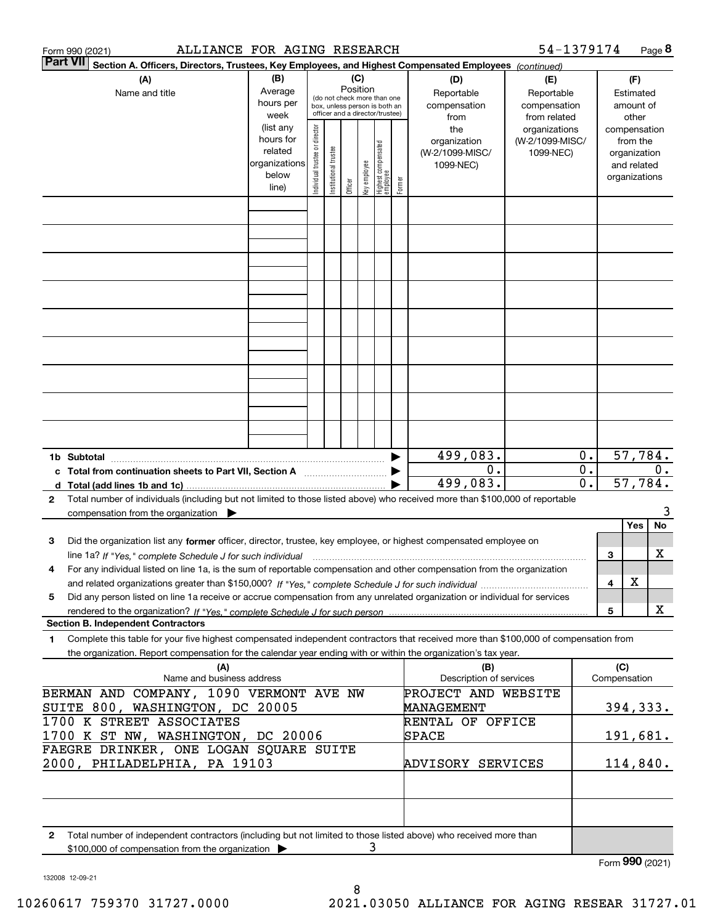| Form 990 (2021) | ALLIANCE FOR AGING RESEARCH                                                                                                                                                                                                                                                     |                                                                      |                                |                                                                                                                    |         |              |                                  |        |                                                             | 54-1379174                                                    |                        |                 |                                                                                   | Page 8 |
|-----------------|---------------------------------------------------------------------------------------------------------------------------------------------------------------------------------------------------------------------------------------------------------------------------------|----------------------------------------------------------------------|--------------------------------|--------------------------------------------------------------------------------------------------------------------|---------|--------------|----------------------------------|--------|-------------------------------------------------------------|---------------------------------------------------------------|------------------------|-----------------|-----------------------------------------------------------------------------------|--------|
| <b>Part VII</b> | Section A. Officers, Directors, Trustees, Key Employees, and Highest Compensated Employees (continued)                                                                                                                                                                          |                                                                      |                                |                                                                                                                    |         |              |                                  |        |                                                             |                                                               |                        |                 |                                                                                   |        |
|                 | (B)<br>(A)<br>Average<br>Name and title<br>hours per<br>week                                                                                                                                                                                                                    |                                                                      |                                | (C)<br>Position<br>(do not check more than one<br>box, unless person is both an<br>officer and a director/trustee) |         |              |                                  |        | (D)<br>Reportable<br>compensation                           | (E)<br>Reportable<br>compensation                             |                        |                 | (F)<br>Estimated<br>amount of                                                     |        |
|                 |                                                                                                                                                                                                                                                                                 | (list any<br>hours for<br>related<br>organizations<br>below<br>line) | Individual trustee or director | Institutional trustee                                                                                              | Officer | Key employee | Highest compensated<br> employee | Former | from<br>the<br>organization<br>(W-2/1099-MISC/<br>1099-NEC) | from related<br>organizations<br>(W-2/1099-MISC/<br>1099-NEC) |                        |                 | other<br>compensation<br>from the<br>organization<br>and related<br>organizations |        |
|                 |                                                                                                                                                                                                                                                                                 |                                                                      |                                |                                                                                                                    |         |              |                                  |        |                                                             |                                                               |                        |                 |                                                                                   |        |
|                 |                                                                                                                                                                                                                                                                                 |                                                                      |                                |                                                                                                                    |         |              |                                  |        |                                                             |                                                               |                        |                 |                                                                                   |        |
|                 |                                                                                                                                                                                                                                                                                 |                                                                      |                                |                                                                                                                    |         |              |                                  |        |                                                             |                                                               |                        |                 |                                                                                   |        |
|                 |                                                                                                                                                                                                                                                                                 |                                                                      |                                |                                                                                                                    |         |              |                                  |        |                                                             |                                                               |                        |                 |                                                                                   |        |
|                 |                                                                                                                                                                                                                                                                                 |                                                                      |                                |                                                                                                                    |         |              |                                  |        |                                                             |                                                               |                        |                 |                                                                                   |        |
|                 |                                                                                                                                                                                                                                                                                 |                                                                      |                                |                                                                                                                    |         |              |                                  |        | 499,083.                                                    |                                                               | 0.                     |                 | 57,784.                                                                           |        |
|                 | c Total from continuation sheets to Part VII, Section A                                                                                                                                                                                                                         |                                                                      |                                |                                                                                                                    |         |              |                                  |        | 0.<br>499,083.                                              |                                                               | $\overline{0}$ .<br>0. |                 | 57,784.                                                                           | $0$ .  |
| $\mathbf{2}$    | Total number of individuals (including but not limited to those listed above) who received more than \$100,000 of reportable<br>compensation from the organization $\blacktriangleright$                                                                                        |                                                                      |                                |                                                                                                                    |         |              |                                  |        |                                                             |                                                               |                        |                 |                                                                                   | 3      |
| 3               | Did the organization list any former officer, director, trustee, key employee, or highest compensated employee on                                                                                                                                                               |                                                                      |                                |                                                                                                                    |         |              |                                  |        |                                                             |                                                               |                        |                 | Yes                                                                               | No     |
|                 | line 1a? If "Yes," complete Schedule J for such individual manumanamental communities and the 1a? If "Yes," complete Schedule J for such individual<br>For any individual listed on line 1a, is the sum of reportable compensation and other compensation from the organization |                                                                      |                                |                                                                                                                    |         |              |                                  |        |                                                             |                                                               |                        | 3               |                                                                                   | x      |
| 5               | Did any person listed on line 1a receive or accrue compensation from any unrelated organization or individual for services                                                                                                                                                      |                                                                      |                                |                                                                                                                    |         |              |                                  |        |                                                             |                                                               |                        | 4<br>5          | х                                                                                 | X      |
| 1               | <b>Section B. Independent Contractors</b><br>Complete this table for your five highest compensated independent contractors that received more than \$100,000 of compensation from                                                                                               |                                                                      |                                |                                                                                                                    |         |              |                                  |        |                                                             |                                                               |                        |                 |                                                                                   |        |
|                 | the organization. Report compensation for the calendar year ending with or within the organization's tax year.<br>(A)                                                                                                                                                           |                                                                      |                                |                                                                                                                    |         |              |                                  |        | (B)                                                         |                                                               |                        | (C)             |                                                                                   |        |
|                 | Name and business address<br>BERMAN AND COMPANY, 1090 VERMONT AVE NW                                                                                                                                                                                                            |                                                                      |                                |                                                                                                                    |         |              |                                  |        | Description of services<br>PROJECT AND WEBSITE              |                                                               |                        | Compensation    |                                                                                   |        |
|                 | SUITE 800, WASHINGTON, DC 20005<br>1700 K STREET ASSOCIATES                                                                                                                                                                                                                     |                                                                      |                                |                                                                                                                    |         |              |                                  |        | MANAGEMENT<br>RENTAL OF OFFICE                              |                                                               |                        |                 | 394, 333.                                                                         |        |
|                 | 1700 K ST NW, WASHINGTON, DC 20006<br>FAEGRE DRINKER, ONE LOGAN SQUARE SUITE                                                                                                                                                                                                    |                                                                      |                                |                                                                                                                    |         |              |                                  |        | SPACE                                                       |                                                               |                        |                 | 191,681.                                                                          |        |
|                 | 2000, PHILADELPHIA, PA 19103                                                                                                                                                                                                                                                    |                                                                      |                                |                                                                                                                    |         |              |                                  |        | ADVISORY SERVICES                                           |                                                               |                        |                 | 114,840.                                                                          |        |
| 2               | Total number of independent contractors (including but not limited to those listed above) who received more than<br>\$100,000 of compensation from the organization                                                                                                             |                                                                      |                                |                                                                                                                    |         |              | 3                                |        |                                                             |                                                               |                        |                 |                                                                                   |        |
|                 |                                                                                                                                                                                                                                                                                 |                                                                      |                                |                                                                                                                    |         |              |                                  |        |                                                             |                                                               |                        | Form 990 (2021) |                                                                                   |        |

132008 12-09-21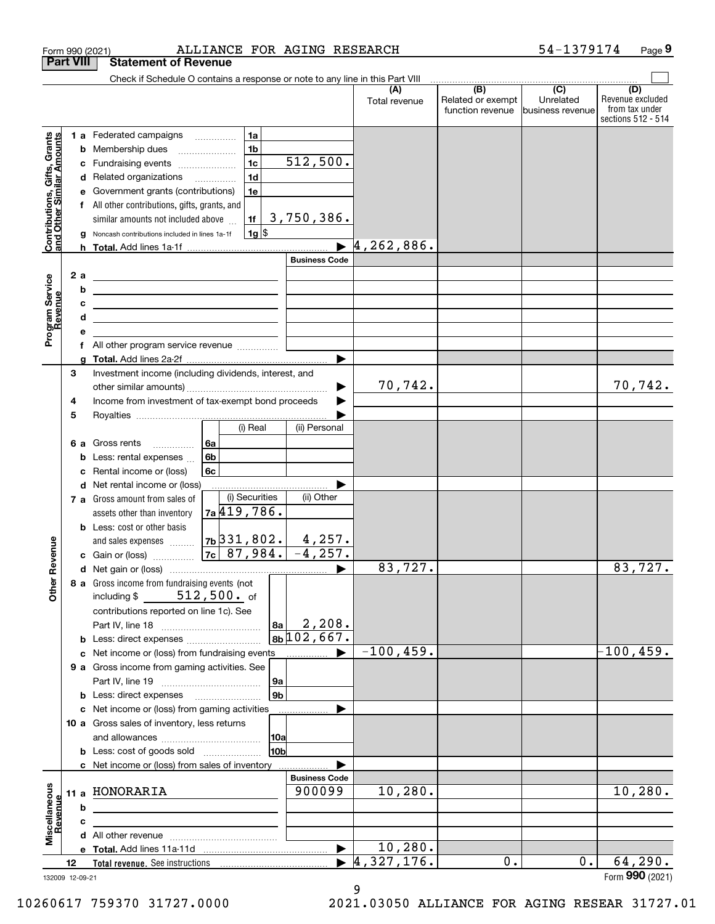|                                                           |                  | Form 990 (2021)                                                                                                       | ALLIANCE FOR AGING RESEARCH                            |                            |                      |                                              | 54-1379174                                        | Page 9                                                          |
|-----------------------------------------------------------|------------------|-----------------------------------------------------------------------------------------------------------------------|--------------------------------------------------------|----------------------------|----------------------|----------------------------------------------|---------------------------------------------------|-----------------------------------------------------------------|
|                                                           | <b>Part VIII</b> | <b>Statement of Revenue</b>                                                                                           |                                                        |                            |                      |                                              |                                                   |                                                                 |
|                                                           |                  | Check if Schedule O contains a response or note to any line in this Part VIII                                         |                                                        |                            |                      |                                              |                                                   |                                                                 |
|                                                           |                  |                                                                                                                       |                                                        |                            | (A)<br>Total revenue | (B)<br>Related or exempt<br>function revenue | $\overline{(C)}$<br>Unrelated<br>business revenue | (D)<br>Revenue excluded<br>from tax under<br>sections 512 - 514 |
|                                                           |                  | 1 a Federated campaigns                                                                                               | 1a                                                     |                            |                      |                                              |                                                   |                                                                 |
|                                                           |                  | <b>b</b> Membership dues                                                                                              | 1 <sub>b</sub><br>$\ldots \ldots \ldots \ldots \ldots$ |                            |                      |                                              |                                                   |                                                                 |
|                                                           | с                | Fundraising events                                                                                                    | 1 <sub>c</sub>                                         | 512,500.                   |                      |                                              |                                                   |                                                                 |
|                                                           |                  | d Related organizations                                                                                               | 1 <sub>d</sub>                                         |                            |                      |                                              |                                                   |                                                                 |
|                                                           | е                | Government grants (contributions)                                                                                     | 1e                                                     |                            |                      |                                              |                                                   |                                                                 |
|                                                           |                  | f All other contributions, gifts, grants, and                                                                         |                                                        |                            |                      |                                              |                                                   |                                                                 |
|                                                           |                  | similar amounts not included above                                                                                    | 1f                                                     | 3,750,386.                 |                      |                                              |                                                   |                                                                 |
| Contributions, Gifts, Grants<br>and Other Similar Amounts | g                | Noncash contributions included in lines 1a-1f                                                                         | $1g$ \$                                                |                            |                      |                                              |                                                   |                                                                 |
|                                                           |                  |                                                                                                                       |                                                        |                            | 4, 262, 886.         |                                              |                                                   |                                                                 |
|                                                           |                  |                                                                                                                       |                                                        | <b>Business Code</b>       |                      |                                              |                                                   |                                                                 |
|                                                           | 2a               | <u> 1989 - Johann Stein, mars an de Brazilian (b. 1989)</u>                                                           |                                                        |                            |                      |                                              |                                                   |                                                                 |
| Program Service<br>Revenue                                | b                | <u> 1989 - Johann Barn, mars ann an t-Amhain an t-Amhain an t-Amhain an t-Amhain an t-Amhain an t-Amhain an t-A</u>   |                                                        |                            |                      |                                              |                                                   |                                                                 |
|                                                           | с                | <u> 1989 - Johann Harry Harry Harry Harry Harry Harry Harry Harry Harry Harry Harry Harry Harry Harry Harry Harry</u> |                                                        |                            |                      |                                              |                                                   |                                                                 |
|                                                           | d                | <u> 1989 - Johann Stein, mars an de Britannich (b. 1989)</u>                                                          |                                                        |                            |                      |                                              |                                                   |                                                                 |
|                                                           | е                |                                                                                                                       |                                                        |                            |                      |                                              |                                                   |                                                                 |
|                                                           | f                | All other program service revenue                                                                                     |                                                        |                            |                      |                                              |                                                   |                                                                 |
|                                                           | g                |                                                                                                                       |                                                        |                            |                      |                                              |                                                   |                                                                 |
|                                                           | 3                | Investment income (including dividends, interest, and                                                                 |                                                        |                            |                      |                                              |                                                   |                                                                 |
|                                                           |                  |                                                                                                                       |                                                        |                            | 70,742.              |                                              |                                                   | 70,742.                                                         |
|                                                           | 4                | Income from investment of tax-exempt bond proceeds                                                                    |                                                        |                            |                      |                                              |                                                   |                                                                 |
|                                                           | 5                |                                                                                                                       |                                                        |                            |                      |                                              |                                                   |                                                                 |
|                                                           |                  |                                                                                                                       | (i) Real                                               | (ii) Personal              |                      |                                              |                                                   |                                                                 |
|                                                           |                  | 6 a Gross rents                                                                                                       | 6a                                                     |                            |                      |                                              |                                                   |                                                                 |
|                                                           | b                | Less: rental expenses                                                                                                 | 6b                                                     |                            |                      |                                              |                                                   |                                                                 |
|                                                           | c                | Rental income or (loss)                                                                                               | 6c                                                     |                            |                      |                                              |                                                   |                                                                 |
|                                                           |                  | d Net rental income or (loss)                                                                                         | (i) Securities                                         | (ii) Other                 |                      |                                              |                                                   |                                                                 |
|                                                           |                  | 7 a Gross amount from sales of                                                                                        | 7a 419, 786.                                           |                            |                      |                                              |                                                   |                                                                 |
|                                                           |                  | assets other than inventory                                                                                           |                                                        |                            |                      |                                              |                                                   |                                                                 |
|                                                           |                  | <b>b</b> Less: cost or other basis                                                                                    | $7b$ 31,802.                                           | 4,257.                     |                      |                                              |                                                   |                                                                 |
| evenue                                                    |                  | and sales expenses                                                                                                    | 7c   87,984.                                           | $-4, 257.$                 |                      |                                              |                                                   |                                                                 |
|                                                           |                  | c Gain or (loss)                                                                                                      |                                                        |                            | 83,727.              |                                              |                                                   | 83,727.                                                         |
| Other <sub>R</sub>                                        |                  | 8 a Gross income from fundraising events (not                                                                         |                                                        |                            |                      |                                              |                                                   |                                                                 |
|                                                           |                  | including $$512,500.$ of                                                                                              |                                                        |                            |                      |                                              |                                                   |                                                                 |
|                                                           |                  | contributions reported on line 1c). See                                                                               |                                                        |                            |                      |                                              |                                                   |                                                                 |
|                                                           |                  |                                                                                                                       | 8a                                                     | 2,208.                     |                      |                                              |                                                   |                                                                 |
|                                                           |                  | <b>b</b> Less: direct expenses                                                                                        |                                                        | $8b \overline{102}$ , 667. |                      |                                              |                                                   |                                                                 |
|                                                           |                  | c Net income or (loss) from fundraising events manu-                                                                  |                                                        |                            | $-100, 459.$         |                                              |                                                   | $-100, 459.$                                                    |
|                                                           |                  | 9 a Gross income from gaming activities. See                                                                          |                                                        |                            |                      |                                              |                                                   |                                                                 |
|                                                           |                  |                                                                                                                       | 9a                                                     |                            |                      |                                              |                                                   |                                                                 |
|                                                           |                  | <b>b</b> Less: direct expenses <b>manually</b>                                                                        | 9 <sub>b</sub>                                         |                            |                      |                                              |                                                   |                                                                 |
|                                                           |                  | c Net income or (loss) from gaming activities                                                                         |                                                        |                            |                      |                                              |                                                   |                                                                 |
|                                                           |                  | 10 a Gross sales of inventory, less returns                                                                           |                                                        |                            |                      |                                              |                                                   |                                                                 |
|                                                           |                  |                                                                                                                       | 10a                                                    |                            |                      |                                              |                                                   |                                                                 |
|                                                           |                  | <b>b</b> Less: cost of goods sold                                                                                     | 10 <sub>b</sub>                                        |                            |                      |                                              |                                                   |                                                                 |
|                                                           |                  | c Net income or (loss) from sales of inventory                                                                        |                                                        |                            |                      |                                              |                                                   |                                                                 |
|                                                           |                  |                                                                                                                       |                                                        | <b>Business Code</b>       |                      |                                              |                                                   |                                                                 |
|                                                           |                  | 11 a HONORARIA                                                                                                        |                                                        | 900099                     | 10, 280.             |                                              |                                                   | 10, 280.                                                        |
| Miscellaneous<br>Revenue                                  | b                |                                                                                                                       |                                                        |                            |                      |                                              |                                                   |                                                                 |
|                                                           | c                |                                                                                                                       |                                                        |                            |                      |                                              |                                                   |                                                                 |
|                                                           |                  |                                                                                                                       |                                                        |                            |                      |                                              |                                                   |                                                                 |
|                                                           |                  |                                                                                                                       |                                                        | $\blacktriangleright$      | 10, 280.             |                                              |                                                   |                                                                 |
|                                                           | 12               |                                                                                                                       |                                                        | ▶                          | 4,327,176.           | 0.                                           | $0$ .                                             | 64, 290.                                                        |
|                                                           | 132009 12-09-21  |                                                                                                                       |                                                        |                            |                      |                                              |                                                   | Form 990 (2021)                                                 |

132009 12-09-21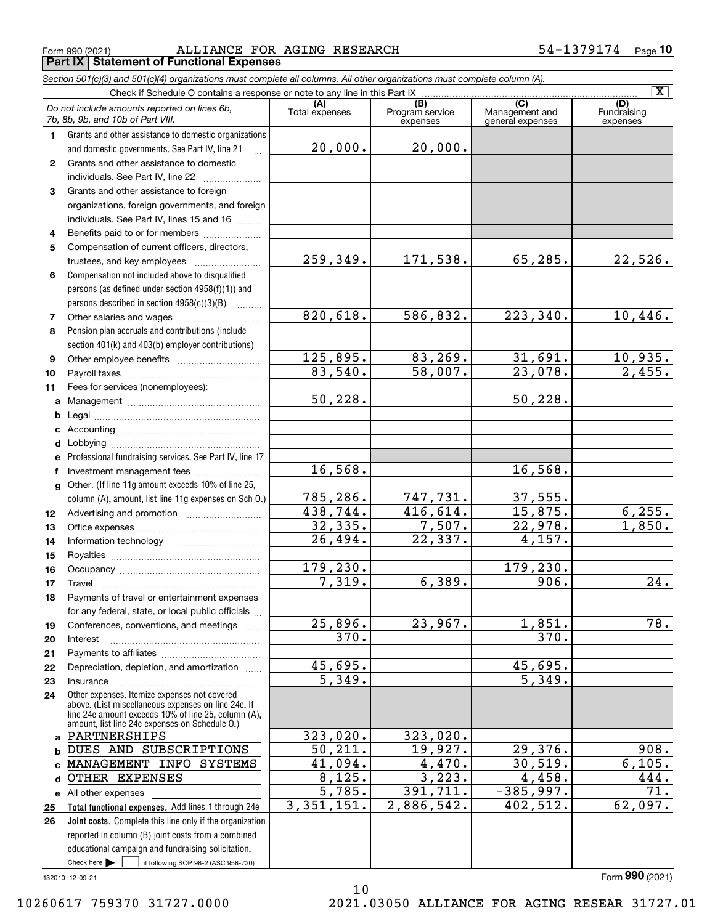$_{\rm Form}$  990 (2021) ALLIANCE FOR AGING RESEARCH 54-1379174 <sub>Page</sub> **Part IX Statement of Functional Expenses**

|              | Section 501(c)(3) and 501(c)(4) organizations must complete all columns. All other organizations must complete column (A).                                                                                   |                       |                                    |                                    |                                |
|--------------|--------------------------------------------------------------------------------------------------------------------------------------------------------------------------------------------------------------|-----------------------|------------------------------------|------------------------------------|--------------------------------|
|              | Check if Schedule O contains a response or note to any line in this Part IX                                                                                                                                  |                       |                                    | $\overline{C}$                     | $\overline{\mathtt{x}}$        |
|              | Do not include amounts reported on lines 6b,<br>7b, 8b, 9b, and 10b of Part VIII.                                                                                                                            | (A)<br>Total expenses | (B)<br>Program service<br>expenses | Management and<br>general expenses | (D)<br>Fundraising<br>expenses |
| 1.           | Grants and other assistance to domestic organizations                                                                                                                                                        |                       |                                    |                                    |                                |
|              | and domestic governments. See Part IV, line 21                                                                                                                                                               | 20,000.               | 20,000.                            |                                    |                                |
| $\mathbf{2}$ | Grants and other assistance to domestic                                                                                                                                                                      |                       |                                    |                                    |                                |
|              | individuals. See Part IV, line 22                                                                                                                                                                            |                       |                                    |                                    |                                |
| 3            | Grants and other assistance to foreign                                                                                                                                                                       |                       |                                    |                                    |                                |
|              | organizations, foreign governments, and foreign                                                                                                                                                              |                       |                                    |                                    |                                |
|              | individuals. See Part IV, lines 15 and 16                                                                                                                                                                    |                       |                                    |                                    |                                |
| 4            | Benefits paid to or for members                                                                                                                                                                              |                       |                                    |                                    |                                |
| 5            | Compensation of current officers, directors,                                                                                                                                                                 |                       |                                    |                                    |                                |
|              |                                                                                                                                                                                                              | 259, 349.             | 171,538.                           | 65, 285.                           | 22,526.                        |
| 6            | Compensation not included above to disqualified                                                                                                                                                              |                       |                                    |                                    |                                |
|              | persons (as defined under section 4958(f)(1)) and                                                                                                                                                            |                       |                                    |                                    |                                |
|              | persons described in section 4958(c)(3)(B)                                                                                                                                                                   |                       |                                    |                                    |                                |
| 7            |                                                                                                                                                                                                              | 820,618.              | 586,832.                           | 223, 340.                          | 10,446.                        |
| 8            | Pension plan accruals and contributions (include                                                                                                                                                             |                       |                                    |                                    |                                |
|              | section 401(k) and 403(b) employer contributions)                                                                                                                                                            |                       |                                    |                                    |                                |
| 9            |                                                                                                                                                                                                              | 125,895.              | 83,269.                            | 31,691.                            | 10,935.                        |
| 10           |                                                                                                                                                                                                              | 83,540.               | 58,007.                            | 23,078.                            | 2,455.                         |
| 11           | Fees for services (nonemployees):                                                                                                                                                                            |                       |                                    |                                    |                                |
| a            |                                                                                                                                                                                                              | 50, 228.              |                                    | 50, 228.                           |                                |
| b            |                                                                                                                                                                                                              |                       |                                    |                                    |                                |
| с            |                                                                                                                                                                                                              |                       |                                    |                                    |                                |
|              |                                                                                                                                                                                                              |                       |                                    |                                    |                                |
|              | e Professional fundraising services. See Part IV, line 17                                                                                                                                                    |                       |                                    |                                    |                                |
| f            | Investment management fees                                                                                                                                                                                   | 16,568.               |                                    | 16,568.                            |                                |
|              | g Other. (If line 11g amount exceeds 10% of line 25,                                                                                                                                                         |                       |                                    |                                    |                                |
|              | column (A), amount, list line 11g expenses on Sch O.)                                                                                                                                                        | 785,286.              | 747,731.                           | 37,555.                            |                                |
| 12           |                                                                                                                                                                                                              | 438,744.              | 416,614.                           | 15,875.                            | 6, 255.                        |
| 13           |                                                                                                                                                                                                              | 32, 335.              | 7,507.                             | 22,978.                            | 1,850.                         |
| 14           |                                                                                                                                                                                                              | 26,494.               | 22, 337.                           | 4,157.                             |                                |
| 15           |                                                                                                                                                                                                              |                       |                                    |                                    |                                |
| 16           |                                                                                                                                                                                                              | 179,230.              |                                    | 179,230.                           |                                |
| 17           |                                                                                                                                                                                                              | 7,319.                | 6,389.                             | 906.                               | 24.                            |
| 18           | Payments of travel or entertainment expenses                                                                                                                                                                 |                       |                                    |                                    |                                |
|              | for any federal, state, or local public officials                                                                                                                                                            |                       |                                    |                                    |                                |
| 19           | Conferences, conventions, and meetings                                                                                                                                                                       | 25,896.               | 23,967.                            | 1,851.                             | 78.                            |
| 20           | Interest                                                                                                                                                                                                     | 370.                  |                                    | 370.                               |                                |
| 21           |                                                                                                                                                                                                              |                       |                                    |                                    |                                |
| 22           | Depreciation, depletion, and amortization                                                                                                                                                                    | 45,695.               |                                    | 45,695.                            |                                |
| 23           | Insurance                                                                                                                                                                                                    | 5,349.                |                                    | 5,349.                             |                                |
| 24           | Other expenses. Itemize expenses not covered<br>above. (List miscellaneous expenses on line 24e. If<br>line 24e amount exceeds 10% of line 25, column (A),<br>amount, list line 24e expenses on Schedule O.) |                       |                                    |                                    |                                |
| a            | PARTNERSHIPS                                                                                                                                                                                                 | 323,020.              | 323,020.                           |                                    |                                |
| b            | DUES AND SUBSCRIPTIONS                                                                                                                                                                                       | 50, 211.              | 19,927.                            | 29,376.                            | 908.                           |
| c            | MANAGEMENT INFO SYSTEMS                                                                                                                                                                                      | 41,094.               | 4,470.                             | 30,519.                            | 6,105.                         |
| d            | OTHER EXPENSES                                                                                                                                                                                               | 8,125.                | 3,223.                             | 4,458.                             | 444.                           |
|              | e All other expenses                                                                                                                                                                                         | 5,785.                | 391,711.                           | $-385,997.$                        | 71.                            |
| 25           | Total functional expenses. Add lines 1 through 24e                                                                                                                                                           | 3, 351, 151.          | 2,886,542.                         | 402,512.                           | 62,097.                        |
| 26           | Joint costs. Complete this line only if the organization                                                                                                                                                     |                       |                                    |                                    |                                |
|              | reported in column (B) joint costs from a combined                                                                                                                                                           |                       |                                    |                                    |                                |
|              | educational campaign and fundraising solicitation.                                                                                                                                                           |                       |                                    |                                    |                                |
|              | Check here $\blacktriangleright$<br>if following SOP 98-2 (ASC 958-720)                                                                                                                                      |                       |                                    |                                    |                                |

132010 12-09-21

10 10260617 759370 31727.0000 2021.03050 ALLIANCE FOR AGING RESEAR 31727.01

Form (2021) **990**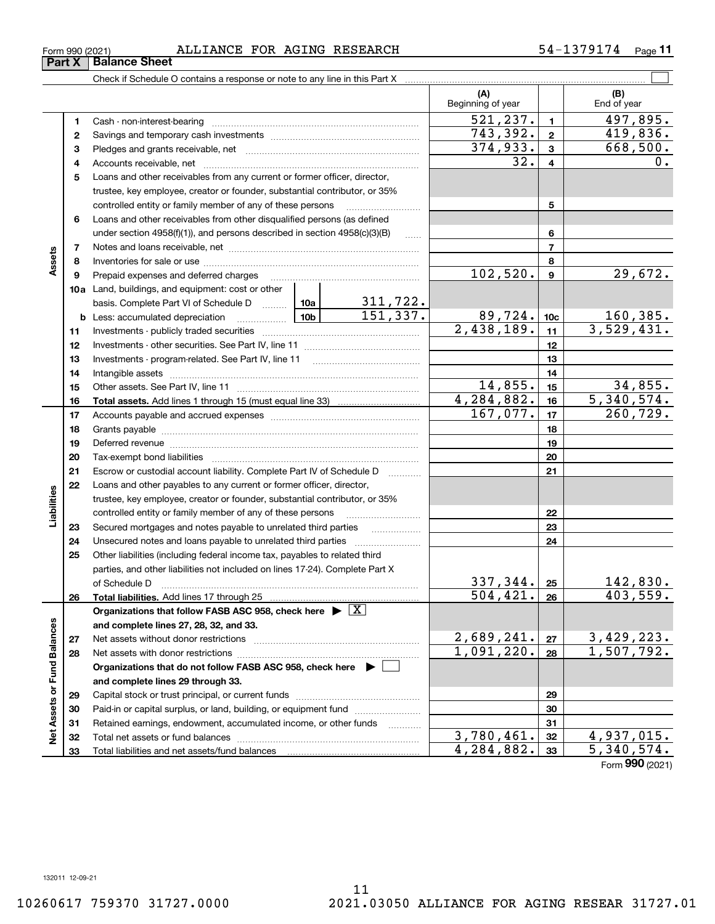Form (2021) **990**

# $_{\rm Form}$  990 (2021) ALLIANCE FOR AGING RESEARCH 54-1379174 <sub>Page</sub>

|                             |          |                                                                                                                                                                                                                                |            |                           | (A)<br>Beginning of year |                 | (B)<br>End of year |
|-----------------------------|----------|--------------------------------------------------------------------------------------------------------------------------------------------------------------------------------------------------------------------------------|------------|---------------------------|--------------------------|-----------------|--------------------|
|                             | 1        |                                                                                                                                                                                                                                |            |                           | 521, 237.                | $\blacksquare$  | 497,895.           |
|                             | 2        |                                                                                                                                                                                                                                |            |                           | 743, 392.                | $\mathbf{2}$    | 419,836.           |
|                             | 3        |                                                                                                                                                                                                                                |            |                           | 374,933.                 | $\mathbf{3}$    | 668,500.           |
|                             | 4        |                                                                                                                                                                                                                                |            |                           | 32.                      | 4               | $0$ .              |
|                             | 5        | Loans and other receivables from any current or former officer, director,                                                                                                                                                      |            |                           |                          |                 |                    |
|                             |          | trustee, key employee, creator or founder, substantial contributor, or 35%                                                                                                                                                     |            |                           |                          |                 |                    |
|                             |          | controlled entity or family member of any of these persons                                                                                                                                                                     |            |                           |                          | 5               |                    |
|                             | 6        | Loans and other receivables from other disqualified persons (as defined                                                                                                                                                        |            |                           |                          |                 |                    |
|                             |          | under section $4958(f)(1)$ , and persons described in section $4958(c)(3)(B)$                                                                                                                                                  |            | 1.1.1.1                   |                          | 6               |                    |
|                             | 7        |                                                                                                                                                                                                                                |            |                           |                          | $\overline{7}$  |                    |
| Assets                      | 8        |                                                                                                                                                                                                                                |            |                           |                          | 8               |                    |
|                             | 9        |                                                                                                                                                                                                                                | 102,520.   | $\boldsymbol{9}$          | 29,672.                  |                 |                    |
|                             |          | 10a Land, buildings, and equipment: cost or other                                                                                                                                                                              |            |                           |                          |                 |                    |
|                             |          | basis. Complete Part VI of Schedule D  10a                                                                                                                                                                                     |            | $\frac{311,722}{151,337}$ |                          |                 |                    |
|                             |          |                                                                                                                                                                                                                                |            |                           | 89,724.                  | 10 <sub>c</sub> | <u>160,385.</u>    |
|                             | 11       |                                                                                                                                                                                                                                |            | 2,438,189.                | 11                       | 3,529,431.      |                    |
|                             | 12       |                                                                                                                                                                                                                                |            | 12                        |                          |                 |                    |
|                             | 13       |                                                                                                                                                                                                                                |            | 13                        |                          |                 |                    |
|                             | 14       |                                                                                                                                                                                                                                |            |                           | 14                       |                 |                    |
|                             | 15       |                                                                                                                                                                                                                                |            |                           | 14,855.                  | 15              | 34,855.            |
|                             | 16       |                                                                                                                                                                                                                                |            |                           | 4, 284, 882.             | 16              | 5,340,574.         |
|                             | 17       |                                                                                                                                                                                                                                |            |                           | 167,077.                 | 17              | 260, 729.          |
|                             | 18       |                                                                                                                                                                                                                                |            | 18                        |                          |                 |                    |
|                             | 19       | Deferred revenue material contracts and a contract of the contract of the contract of the contract of the contract of the contract of the contract of the contract of the contract of the contract of the contract of the cont |            | 19                        |                          |                 |                    |
|                             | 20       |                                                                                                                                                                                                                                |            |                           |                          | 20              |                    |
|                             | 21       | Escrow or custodial account liability. Complete Part IV of Schedule D                                                                                                                                                          |            |                           |                          | 21              |                    |
|                             | 22       | Loans and other payables to any current or former officer, director,                                                                                                                                                           |            |                           |                          |                 |                    |
| Liabilities                 |          | trustee, key employee, creator or founder, substantial contributor, or 35%                                                                                                                                                     |            |                           |                          |                 |                    |
|                             |          | controlled entity or family member of any of these persons                                                                                                                                                                     |            |                           |                          | 22              |                    |
|                             | 23       | Secured mortgages and notes payable to unrelated third parties                                                                                                                                                                 |            |                           |                          | 23<br>24        |                    |
|                             | 24<br>25 | Other liabilities (including federal income tax, payables to related third                                                                                                                                                     |            |                           |                          |                 |                    |
|                             |          | parties, and other liabilities not included on lines 17-24). Complete Part X                                                                                                                                                   |            |                           |                          |                 |                    |
|                             |          |                                                                                                                                                                                                                                |            |                           | 337,344.                 | 25              | 142,830.           |
|                             | 26       | of Schedule D <b>www.arenamin.communities</b> and a series of Schedule D<br>Total liabilities. Add lines 17 through 25                                                                                                         |            |                           | $\overline{504, 421.}$   | 26              | 403,559.           |
|                             |          | Organizations that follow FASB ASC 958, check here $\blacktriangleright \lfloor X \rfloor$                                                                                                                                     |            |                           |                          |                 |                    |
|                             |          | and complete lines 27, 28, 32, and 33.                                                                                                                                                                                         |            |                           |                          |                 |                    |
|                             | 27       |                                                                                                                                                                                                                                |            |                           | 2,689,241.               | 27              | 3,429,223.         |
|                             | 28       |                                                                                                                                                                                                                                |            |                           | 1,091,220.               | 28              | 1,507,792.         |
|                             |          | Organizations that do not follow FASB ASC 958, check here ▶ □                                                                                                                                                                  |            |                           |                          |                 |                    |
|                             |          | and complete lines 29 through 33.                                                                                                                                                                                              |            |                           |                          |                 |                    |
| Net Assets or Fund Balances | 29       |                                                                                                                                                                                                                                |            |                           | 29                       |                 |                    |
|                             | 30       | Paid-in or capital surplus, or land, building, or equipment fund                                                                                                                                                               |            |                           | 30                       |                 |                    |
|                             | 31       | Retained earnings, endowment, accumulated income, or other funds                                                                                                                                                               |            |                           |                          | 31              |                    |
|                             | 32       |                                                                                                                                                                                                                                |            |                           | 3,780,461.               | 32              | 4,937,015.         |
|                             | 33       |                                                                                                                                                                                                                                | 4,284,882. | 33                        | 5,340,574.               |                 |                    |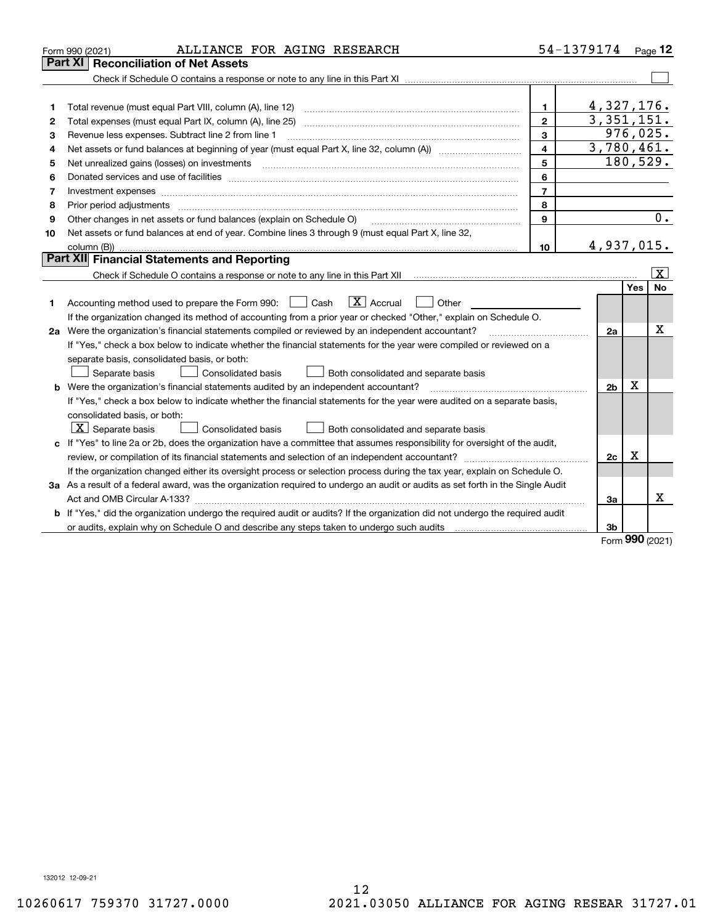|    | ALLIANCE FOR AGING RESEARCH<br>Form 990 (2021)                                                                                                                                                                                 |                         | 54-1379174 Page 12         |     |                         |
|----|--------------------------------------------------------------------------------------------------------------------------------------------------------------------------------------------------------------------------------|-------------------------|----------------------------|-----|-------------------------|
|    | <b>Reconciliation of Net Assets</b><br>Part XI                                                                                                                                                                                 |                         |                            |     |                         |
|    |                                                                                                                                                                                                                                |                         |                            |     |                         |
|    |                                                                                                                                                                                                                                |                         |                            |     |                         |
| 1  | Total revenue (must equal Part VIII, column (A), line 12)                                                                                                                                                                      | $\mathbf{1}$            | 4,327,176.                 |     |                         |
| 2  |                                                                                                                                                                                                                                | $\mathbf{2}$            | $\overline{3}$ , 351, 151. |     |                         |
| З  | Revenue less expenses. Subtract line 2 from line 1                                                                                                                                                                             | 3                       |                            |     | 976,025.                |
| 4  |                                                                                                                                                                                                                                | $\overline{\mathbf{4}}$ | 3,780,461.                 |     |                         |
| 5  | Net unrealized gains (losses) on investments [11] [11] non-manufactured manufactured manufactured manufactured manufactured manufactured manufactured manufactured manufactured manufactured manufactured manufactured manufac | 5                       |                            |     | 180,529.                |
| 6  |                                                                                                                                                                                                                                | 6                       |                            |     |                         |
| 7  | Investment expenses www.communication.com/www.communication.com/www.communication.com/www.com                                                                                                                                  | $\overline{7}$          |                            |     |                         |
| 8  | Prior period adjustments                                                                                                                                                                                                       | 8                       |                            |     |                         |
| 9  | Other changes in net assets or fund balances (explain on Schedule O)                                                                                                                                                           | 9                       |                            |     | 0.                      |
| 10 | Net assets or fund balances at end of year. Combine lines 3 through 9 (must equal Part X, line 32,                                                                                                                             |                         |                            |     |                         |
|    | column (B))                                                                                                                                                                                                                    | 10                      | 4,937,015.                 |     |                         |
|    | Part XII Financial Statements and Reporting                                                                                                                                                                                    |                         |                            |     |                         |
|    |                                                                                                                                                                                                                                |                         |                            |     | $\overline{\mathbf{x}}$ |
|    |                                                                                                                                                                                                                                |                         |                            | Yes | No                      |
| 1  | $ X $ Accrual<br>Accounting method used to prepare the Form 990: <u>June</u> Cash<br>Other                                                                                                                                     |                         |                            |     |                         |
|    | If the organization changed its method of accounting from a prior year or checked "Other," explain on Schedule O.                                                                                                              |                         |                            |     |                         |
|    | 2a Were the organization's financial statements compiled or reviewed by an independent accountant?                                                                                                                             |                         | 2a                         |     | х                       |
|    | If "Yes," check a box below to indicate whether the financial statements for the year were compiled or reviewed on a                                                                                                           |                         |                            |     |                         |
|    | separate basis, consolidated basis, or both:                                                                                                                                                                                   |                         |                            |     |                         |
|    | Separate basis<br><b>Consolidated basis</b><br>Both consolidated and separate basis                                                                                                                                            |                         |                            |     |                         |
|    | <b>b</b> Were the organization's financial statements audited by an independent accountant?                                                                                                                                    |                         | 2 <sub>b</sub>             | X   |                         |
|    | If "Yes," check a box below to indicate whether the financial statements for the year were audited on a separate basis,                                                                                                        |                         |                            |     |                         |
|    | consolidated basis, or both:                                                                                                                                                                                                   |                         |                            |     |                         |
|    | $\vert$ X $\vert$ Separate basis<br>Consolidated basis<br>Both consolidated and separate basis                                                                                                                                 |                         |                            |     |                         |
|    | c If "Yes" to line 2a or 2b, does the organization have a committee that assumes responsibility for oversight of the audit,                                                                                                    |                         |                            |     |                         |
|    | review, or compilation of its financial statements and selection of an independent accountant?                                                                                                                                 |                         | 2c<br>.                    | x   |                         |
|    | If the organization changed either its oversight process or selection process during the tax year, explain on Schedule O.                                                                                                      |                         |                            |     |                         |
|    | 3a As a result of a federal award, was the organization required to undergo an audit or audits as set forth in the Single Audit                                                                                                |                         |                            |     |                         |
|    |                                                                                                                                                                                                                                |                         | Зa                         |     | x                       |
|    | b If "Yes," did the organization undergo the required audit or audits? If the organization did not undergo the required audit                                                                                                  |                         |                            |     |                         |
|    |                                                                                                                                                                                                                                |                         | 3 <sub>b</sub>             |     |                         |

Form (2021) **990**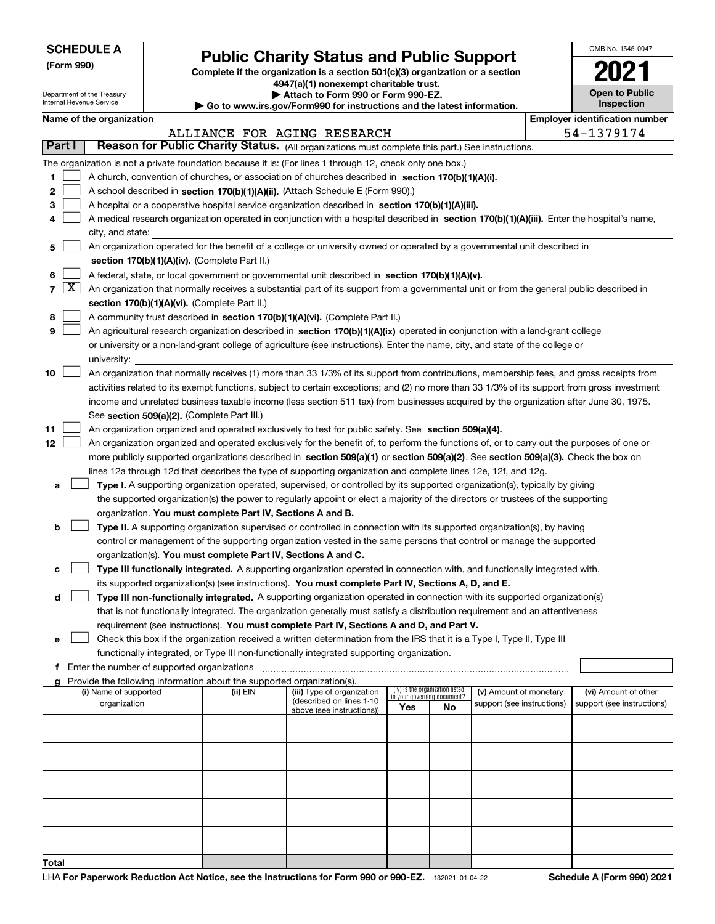Department of the Treasury Internal Revenue Service

**(Form 990)**

# **Public Charity Status and Public Support**

**Complete if the organization is a section 501(c)(3) organization or a section 4947(a)(1) nonexempt charitable trust.**

**| Attach to Form 990 or Form 990-EZ.** 

**| Go to www.irs.gov/Form990 for instructions and the latest information.**

| OMB No. 1545-0047                   |
|-------------------------------------|
| 02                                  |
| <b>Open to Public</b><br>Inspection |

| Name of the organization |  |
|--------------------------|--|
|--------------------------|--|

|        |                                                                                                                                                                                                                                                      | Name of the organization                                                                                                                     |          |                                                        |                             |                                 |                            |  | <b>Employer identification number</b> |  |  |  |
|--------|------------------------------------------------------------------------------------------------------------------------------------------------------------------------------------------------------------------------------------------------------|----------------------------------------------------------------------------------------------------------------------------------------------|----------|--------------------------------------------------------|-----------------------------|---------------------------------|----------------------------|--|---------------------------------------|--|--|--|
|        |                                                                                                                                                                                                                                                      |                                                                                                                                              |          | ALLIANCE FOR AGING RESEARCH                            |                             |                                 |                            |  | 54-1379174                            |  |  |  |
| Part I |                                                                                                                                                                                                                                                      | Reason for Public Charity Status. (All organizations must complete this part.) See instructions.                                             |          |                                                        |                             |                                 |                            |  |                                       |  |  |  |
|        |                                                                                                                                                                                                                                                      | The organization is not a private foundation because it is: (For lines 1 through 12, check only one box.)                                    |          |                                                        |                             |                                 |                            |  |                                       |  |  |  |
| 1      |                                                                                                                                                                                                                                                      | A church, convention of churches, or association of churches described in section 170(b)(1)(A)(i).                                           |          |                                                        |                             |                                 |                            |  |                                       |  |  |  |
| 2      |                                                                                                                                                                                                                                                      | A school described in section 170(b)(1)(A)(ii). (Attach Schedule E (Form 990).)                                                              |          |                                                        |                             |                                 |                            |  |                                       |  |  |  |
| 3      |                                                                                                                                                                                                                                                      | A hospital or a cooperative hospital service organization described in section 170(b)(1)(A)(iii).                                            |          |                                                        |                             |                                 |                            |  |                                       |  |  |  |
| 4      |                                                                                                                                                                                                                                                      | A medical research organization operated in conjunction with a hospital described in section 170(b)(1)(A)(iii). Enter the hospital's name,   |          |                                                        |                             |                                 |                            |  |                                       |  |  |  |
|        |                                                                                                                                                                                                                                                      | city, and state:                                                                                                                             |          |                                                        |                             |                                 |                            |  |                                       |  |  |  |
| 5      |                                                                                                                                                                                                                                                      | An organization operated for the benefit of a college or university owned or operated by a governmental unit described in                    |          |                                                        |                             |                                 |                            |  |                                       |  |  |  |
|        |                                                                                                                                                                                                                                                      | section 170(b)(1)(A)(iv). (Complete Part II.)                                                                                                |          |                                                        |                             |                                 |                            |  |                                       |  |  |  |
| 6      |                                                                                                                                                                                                                                                      | A federal, state, or local government or governmental unit described in section 170(b)(1)(A)(v).                                             |          |                                                        |                             |                                 |                            |  |                                       |  |  |  |
|        | $7 \times$<br>An organization that normally receives a substantial part of its support from a governmental unit or from the general public described in                                                                                              |                                                                                                                                              |          |                                                        |                             |                                 |                            |  |                                       |  |  |  |
|        |                                                                                                                                                                                                                                                      | section 170(b)(1)(A)(vi). (Complete Part II.)                                                                                                |          |                                                        |                             |                                 |                            |  |                                       |  |  |  |
| 8      |                                                                                                                                                                                                                                                      | A community trust described in section 170(b)(1)(A)(vi). (Complete Part II.)                                                                 |          |                                                        |                             |                                 |                            |  |                                       |  |  |  |
| 9      |                                                                                                                                                                                                                                                      | An agricultural research organization described in section 170(b)(1)(A)(ix) operated in conjunction with a land-grant college                |          |                                                        |                             |                                 |                            |  |                                       |  |  |  |
|        |                                                                                                                                                                                                                                                      | or university or a non-land-grant college of agriculture (see instructions). Enter the name, city, and state of the college or               |          |                                                        |                             |                                 |                            |  |                                       |  |  |  |
|        |                                                                                                                                                                                                                                                      | university:                                                                                                                                  |          |                                                        |                             |                                 |                            |  |                                       |  |  |  |
| 10     |                                                                                                                                                                                                                                                      | An organization that normally receives (1) more than 33 1/3% of its support from contributions, membership fees, and gross receipts from     |          |                                                        |                             |                                 |                            |  |                                       |  |  |  |
|        |                                                                                                                                                                                                                                                      | activities related to its exempt functions, subject to certain exceptions; and (2) no more than 33 1/3% of its support from gross investment |          |                                                        |                             |                                 |                            |  |                                       |  |  |  |
|        |                                                                                                                                                                                                                                                      |                                                                                                                                              |          |                                                        |                             |                                 |                            |  |                                       |  |  |  |
|        |                                                                                                                                                                                                                                                      | income and unrelated business taxable income (less section 511 tax) from businesses acquired by the organization after June 30, 1975.        |          |                                                        |                             |                                 |                            |  |                                       |  |  |  |
|        |                                                                                                                                                                                                                                                      | See section 509(a)(2). (Complete Part III.)                                                                                                  |          |                                                        |                             |                                 |                            |  |                                       |  |  |  |
| 11     |                                                                                                                                                                                                                                                      | An organization organized and operated exclusively to test for public safety. See section 509(a)(4).                                         |          |                                                        |                             |                                 |                            |  |                                       |  |  |  |
| 12     |                                                                                                                                                                                                                                                      | An organization organized and operated exclusively for the benefit of, to perform the functions of, or to carry out the purposes of one or   |          |                                                        |                             |                                 |                            |  |                                       |  |  |  |
|        | more publicly supported organizations described in section 509(a)(1) or section 509(a)(2). See section 509(a)(3). Check the box on<br>lines 12a through 12d that describes the type of supporting organization and complete lines 12e, 12f, and 12g. |                                                                                                                                              |          |                                                        |                             |                                 |                            |  |                                       |  |  |  |
|        |                                                                                                                                                                                                                                                      |                                                                                                                                              |          |                                                        |                             |                                 |                            |  |                                       |  |  |  |
| а      |                                                                                                                                                                                                                                                      | Type I. A supporting organization operated, supervised, or controlled by its supported organization(s), typically by giving                  |          |                                                        |                             |                                 |                            |  |                                       |  |  |  |
|        |                                                                                                                                                                                                                                                      | the supported organization(s) the power to regularly appoint or elect a majority of the directors or trustees of the supporting              |          |                                                        |                             |                                 |                            |  |                                       |  |  |  |
|        |                                                                                                                                                                                                                                                      | organization. You must complete Part IV, Sections A and B.                                                                                   |          |                                                        |                             |                                 |                            |  |                                       |  |  |  |
| b      |                                                                                                                                                                                                                                                      | Type II. A supporting organization supervised or controlled in connection with its supported organization(s), by having                      |          |                                                        |                             |                                 |                            |  |                                       |  |  |  |
|        |                                                                                                                                                                                                                                                      | control or management of the supporting organization vested in the same persons that control or manage the supported                         |          |                                                        |                             |                                 |                            |  |                                       |  |  |  |
|        |                                                                                                                                                                                                                                                      | organization(s). You must complete Part IV, Sections A and C.                                                                                |          |                                                        |                             |                                 |                            |  |                                       |  |  |  |
| с      |                                                                                                                                                                                                                                                      | Type III functionally integrated. A supporting organization operated in connection with, and functionally integrated with,                   |          |                                                        |                             |                                 |                            |  |                                       |  |  |  |
|        |                                                                                                                                                                                                                                                      | its supported organization(s) (see instructions). You must complete Part IV, Sections A, D, and E.                                           |          |                                                        |                             |                                 |                            |  |                                       |  |  |  |
| d      |                                                                                                                                                                                                                                                      | Type III non-functionally integrated. A supporting organization operated in connection with its supported organization(s)                    |          |                                                        |                             |                                 |                            |  |                                       |  |  |  |
|        |                                                                                                                                                                                                                                                      | that is not functionally integrated. The organization generally must satisfy a distribution requirement and an attentiveness                 |          |                                                        |                             |                                 |                            |  |                                       |  |  |  |
|        |                                                                                                                                                                                                                                                      | requirement (see instructions). You must complete Part IV, Sections A and D, and Part V.                                                     |          |                                                        |                             |                                 |                            |  |                                       |  |  |  |
|        |                                                                                                                                                                                                                                                      | Check this box if the organization received a written determination from the IRS that it is a Type I, Type II, Type III                      |          |                                                        |                             |                                 |                            |  |                                       |  |  |  |
|        |                                                                                                                                                                                                                                                      | functionally integrated, or Type III non-functionally integrated supporting organization.                                                    |          |                                                        |                             |                                 |                            |  |                                       |  |  |  |
|        |                                                                                                                                                                                                                                                      | f Enter the number of supported organizations                                                                                                |          |                                                        |                             |                                 |                            |  |                                       |  |  |  |
|        |                                                                                                                                                                                                                                                      | g Provide the following information about the supported organization(s).                                                                     |          |                                                        |                             |                                 |                            |  |                                       |  |  |  |
|        |                                                                                                                                                                                                                                                      | (i) Name of supported                                                                                                                        | (ii) EIN | (iii) Type of organization<br>(described on lines 1-10 | in your governing document? | (iv) Is the organization listed | (v) Amount of monetary     |  | (vi) Amount of other                  |  |  |  |
|        |                                                                                                                                                                                                                                                      | organization                                                                                                                                 |          | above (see instructions))                              | Yes                         | No                              | support (see instructions) |  | support (see instructions)            |  |  |  |
|        |                                                                                                                                                                                                                                                      |                                                                                                                                              |          |                                                        |                             |                                 |                            |  |                                       |  |  |  |
|        |                                                                                                                                                                                                                                                      |                                                                                                                                              |          |                                                        |                             |                                 |                            |  |                                       |  |  |  |
|        |                                                                                                                                                                                                                                                      |                                                                                                                                              |          |                                                        |                             |                                 |                            |  |                                       |  |  |  |
|        |                                                                                                                                                                                                                                                      |                                                                                                                                              |          |                                                        |                             |                                 |                            |  |                                       |  |  |  |
|        |                                                                                                                                                                                                                                                      |                                                                                                                                              |          |                                                        |                             |                                 |                            |  |                                       |  |  |  |
|        |                                                                                                                                                                                                                                                      |                                                                                                                                              |          |                                                        |                             |                                 |                            |  |                                       |  |  |  |
|        |                                                                                                                                                                                                                                                      |                                                                                                                                              |          |                                                        |                             |                                 |                            |  |                                       |  |  |  |
|        |                                                                                                                                                                                                                                                      |                                                                                                                                              |          |                                                        |                             |                                 |                            |  |                                       |  |  |  |
|        |                                                                                                                                                                                                                                                      |                                                                                                                                              |          |                                                        |                             |                                 |                            |  |                                       |  |  |  |
|        |                                                                                                                                                                                                                                                      |                                                                                                                                              |          |                                                        |                             |                                 |                            |  |                                       |  |  |  |
| Total  |                                                                                                                                                                                                                                                      |                                                                                                                                              |          |                                                        |                             |                                 |                            |  |                                       |  |  |  |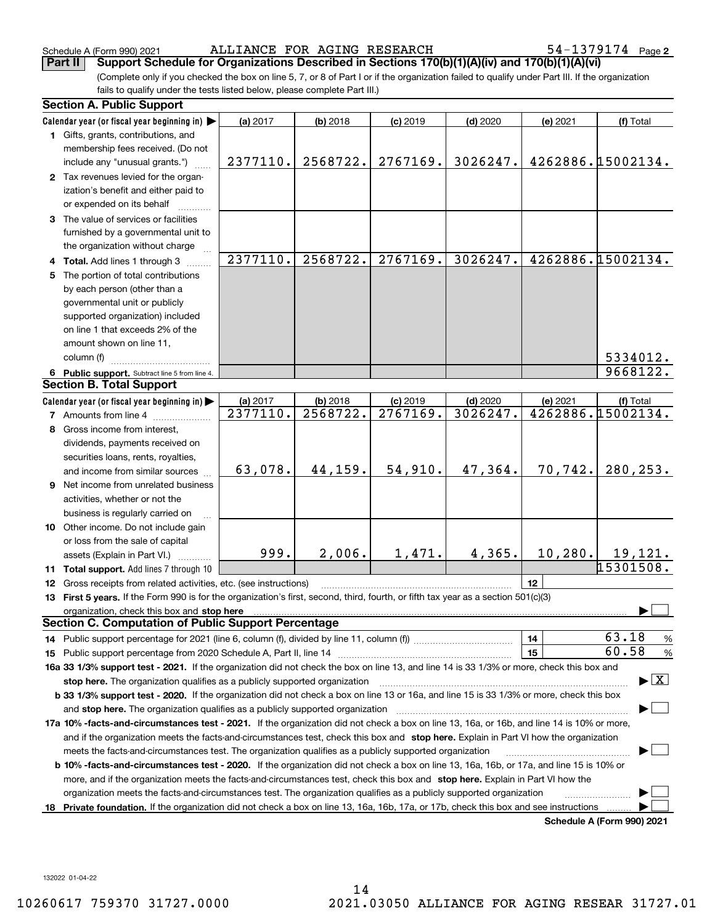Schedule A (Form 990) 2021 ALLIANCE FOR AGING RESEARCH 54-1379174 page

(Complete only if you checked the box on line 5, 7, or 8 of Part I or if the organization failed to qualify under Part III. If the organization fails to qualify under the tests listed below, please complete Part III.) **Part II Support Schedule for Organizations Described in Sections 170(b)(1)(A)(iv) and 170(b)(1)(A)(vi)**

|     | <b>Section A. Public Support</b>                                                                                                                                                                                                                           |          |            |            |            |          |                                          |
|-----|------------------------------------------------------------------------------------------------------------------------------------------------------------------------------------------------------------------------------------------------------------|----------|------------|------------|------------|----------|------------------------------------------|
|     | Calendar year (or fiscal year beginning in)                                                                                                                                                                                                                | (a) 2017 | $(b)$ 2018 | $(c)$ 2019 | $(d)$ 2020 | (e) 2021 | (f) Total                                |
|     | 1 Gifts, grants, contributions, and                                                                                                                                                                                                                        |          |            |            |            |          |                                          |
|     | membership fees received. (Do not<br>include any "unusual grants.")                                                                                                                                                                                        | 2377110. | 2568722.   | 2767169.   | 3026247.   |          | 4262886.15002134.                        |
|     | 2 Tax revenues levied for the organ-                                                                                                                                                                                                                       |          |            |            |            |          |                                          |
|     | ization's benefit and either paid to                                                                                                                                                                                                                       |          |            |            |            |          |                                          |
|     | or expended on its behalf                                                                                                                                                                                                                                  |          |            |            |            |          |                                          |
|     | 3 The value of services or facilities                                                                                                                                                                                                                      |          |            |            |            |          |                                          |
|     | furnished by a governmental unit to                                                                                                                                                                                                                        |          |            |            |            |          |                                          |
|     | the organization without charge                                                                                                                                                                                                                            |          |            |            |            |          |                                          |
|     | 4 Total. Add lines 1 through 3                                                                                                                                                                                                                             | 2377110. | 2568722.   | 2767169.   | 3026247.   |          | 4262886.15002134.                        |
| 5.  | The portion of total contributions                                                                                                                                                                                                                         |          |            |            |            |          |                                          |
|     | by each person (other than a                                                                                                                                                                                                                               |          |            |            |            |          |                                          |
|     | governmental unit or publicly                                                                                                                                                                                                                              |          |            |            |            |          |                                          |
|     | supported organization) included                                                                                                                                                                                                                           |          |            |            |            |          |                                          |
|     | on line 1 that exceeds 2% of the                                                                                                                                                                                                                           |          |            |            |            |          |                                          |
|     | amount shown on line 11,                                                                                                                                                                                                                                   |          |            |            |            |          |                                          |
|     | column (f)                                                                                                                                                                                                                                                 |          |            |            |            |          | 5334012.                                 |
|     | 6 Public support. Subtract line 5 from line 4.                                                                                                                                                                                                             |          |            |            |            |          | 9668122.                                 |
|     | <b>Section B. Total Support</b>                                                                                                                                                                                                                            |          |            |            |            |          |                                          |
|     | Calendar year (or fiscal year beginning in)                                                                                                                                                                                                                | (a) 2017 | $(b)$ 2018 | $(c)$ 2019 | $(d)$ 2020 | (e) 2021 | (f) Total                                |
|     | <b>7</b> Amounts from line 4                                                                                                                                                                                                                               | 2377110. | 2568722.   | 2767169.   | 3026247.   |          | 4262886.15002134.                        |
|     | 8 Gross income from interest.                                                                                                                                                                                                                              |          |            |            |            |          |                                          |
|     | dividends, payments received on                                                                                                                                                                                                                            |          |            |            |            |          |                                          |
|     | securities loans, rents, royalties,                                                                                                                                                                                                                        |          |            |            |            |          |                                          |
|     | and income from similar sources                                                                                                                                                                                                                            | 63,078.  | 44,159.    | 54,910.    | 47,364.    | 70, 742. | 280,253.                                 |
| 9   | Net income from unrelated business                                                                                                                                                                                                                         |          |            |            |            |          |                                          |
|     | activities, whether or not the                                                                                                                                                                                                                             |          |            |            |            |          |                                          |
|     | business is regularly carried on                                                                                                                                                                                                                           |          |            |            |            |          |                                          |
|     | 10 Other income. Do not include gain                                                                                                                                                                                                                       |          |            |            |            |          |                                          |
|     | or loss from the sale of capital                                                                                                                                                                                                                           |          |            |            |            |          |                                          |
|     | assets (Explain in Part VI.)                                                                                                                                                                                                                               | 999.     | 2,006.     | 1,471.     | 4,365.     | 10, 280. | 19,121.                                  |
|     | 11 Total support. Add lines 7 through 10                                                                                                                                                                                                                   |          |            |            |            |          | 15301508.                                |
|     | 12 Gross receipts from related activities, etc. (see instructions)                                                                                                                                                                                         |          |            |            |            | 12       |                                          |
|     | 13 First 5 years. If the Form 990 is for the organization's first, second, third, fourth, or fifth tax year as a section 501(c)(3)                                                                                                                         |          |            |            |            |          |                                          |
|     | organization, check this box and stop here manufactured and according to the state of the state of the state of the state of the state of the state of the state of the state of the state of the state of the state of the st                             |          |            |            |            |          |                                          |
|     | <b>Section C. Computation of Public Support Percentage</b>                                                                                                                                                                                                 |          |            |            |            |          |                                          |
|     |                                                                                                                                                                                                                                                            |          |            |            |            | 14       | 63.18<br>$\frac{9}{6}$                   |
|     |                                                                                                                                                                                                                                                            |          |            |            |            | 15       | 60.58<br>$\frac{9}{6}$                   |
|     | 16a 33 1/3% support test - 2021. If the organization did not check the box on line 13, and line 14 is 33 1/3% or more, check this box and                                                                                                                  |          |            |            |            |          |                                          |
|     | stop here. The organization qualifies as a publicly supported organization                                                                                                                                                                                 |          |            |            |            |          | $\blacktriangleright$ $\boxed{\text{X}}$ |
|     | b 33 1/3% support test - 2020. If the organization did not check a box on line 13 or 16a, and line 15 is 33 1/3% or more, check this box                                                                                                                   |          |            |            |            |          |                                          |
|     | and stop here. The organization qualifies as a publicly supported organization                                                                                                                                                                             |          |            |            |            |          |                                          |
|     | 17a 10% -facts-and-circumstances test - 2021. If the organization did not check a box on line 13, 16a, or 16b, and line 14 is 10% or more,                                                                                                                 |          |            |            |            |          |                                          |
|     | and if the organization meets the facts-and-circumstances test, check this box and stop here. Explain in Part VI how the organization                                                                                                                      |          |            |            |            |          |                                          |
|     | meets the facts-and-circumstances test. The organization qualifies as a publicly supported organization                                                                                                                                                    |          |            |            |            |          |                                          |
|     | <b>b 10% -facts-and-circumstances test - 2020.</b> If the organization did not check a box on line 13, 16a, 16b, or 17a, and line 15 is 10% or                                                                                                             |          |            |            |            |          |                                          |
|     | more, and if the organization meets the facts-and-circumstances test, check this box and stop here. Explain in Part VI how the                                                                                                                             |          |            |            |            |          |                                          |
| 18. | organization meets the facts-and-circumstances test. The organization qualifies as a publicly supported organization<br>Private foundation. If the organization did not check a box on line 13, 16a, 16b, 17a, or 17b, check this box and see instructions |          |            |            |            |          |                                          |
|     |                                                                                                                                                                                                                                                            |          |            |            |            |          | Schedule A (Form 990) 2021               |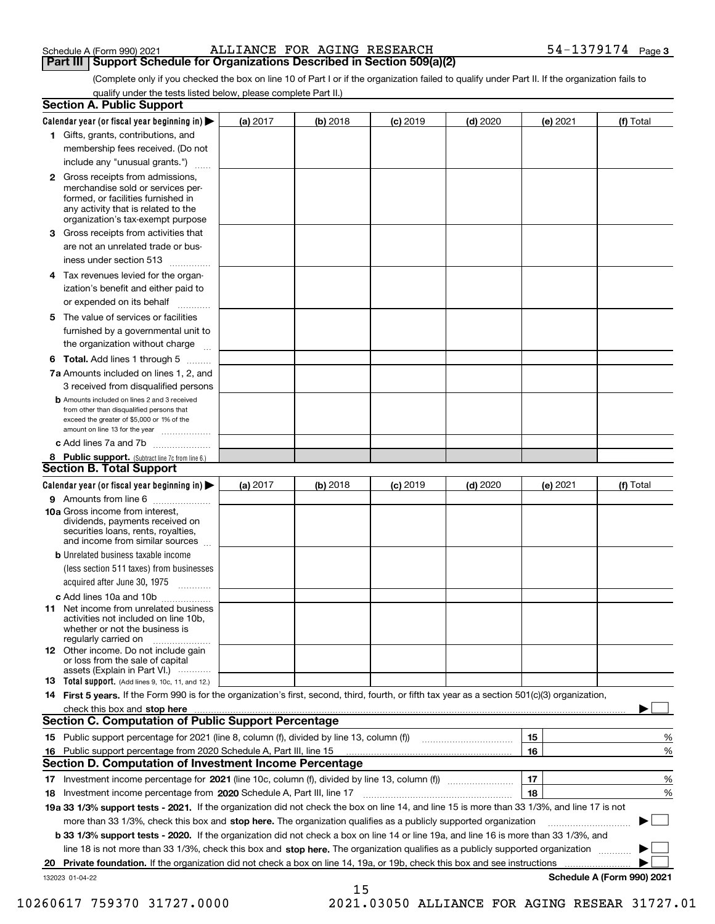| Schedule A (Form 990) 2021 |  |  |
|----------------------------|--|--|
|                            |  |  |

#### Schedule A (Form 990) 2021 ALLIANCE FOR AGING RESEARCH 54-1379174 page **Part III | Support Schedule for Organizations Described in Section 509(a)(2)**

(Complete only if you checked the box on line 10 of Part I or if the organization failed to qualify under Part II. If the organization fails to qualify under the tests listed below, please complete Part II.)

|    | <b>Section A. Public Support</b>                                                                                                                                                                |          |          |                 |            |          |                            |
|----|-------------------------------------------------------------------------------------------------------------------------------------------------------------------------------------------------|----------|----------|-----------------|------------|----------|----------------------------|
|    | Calendar year (or fiscal year beginning in) $\blacktriangleright$                                                                                                                               | (a) 2017 | (b) 2018 | <b>(c)</b> 2019 | $(d)$ 2020 | (e) 2021 | (f) Total                  |
|    | 1 Gifts, grants, contributions, and                                                                                                                                                             |          |          |                 |            |          |                            |
|    | membership fees received. (Do not                                                                                                                                                               |          |          |                 |            |          |                            |
|    | include any "unusual grants.")                                                                                                                                                                  |          |          |                 |            |          |                            |
|    | <b>2</b> Gross receipts from admissions,<br>merchandise sold or services per-<br>formed, or facilities furnished in<br>any activity that is related to the<br>organization's tax-exempt purpose |          |          |                 |            |          |                            |
|    | 3 Gross receipts from activities that<br>are not an unrelated trade or bus-<br>iness under section 513                                                                                          |          |          |                 |            |          |                            |
|    | 4 Tax revenues levied for the organ-<br>ization's benefit and either paid to                                                                                                                    |          |          |                 |            |          |                            |
|    | or expended on its behalf<br>.                                                                                                                                                                  |          |          |                 |            |          |                            |
|    | 5 The value of services or facilities<br>furnished by a governmental unit to<br>the organization without charge                                                                                 |          |          |                 |            |          |                            |
|    | <b>6 Total.</b> Add lines 1 through 5 $\dots$                                                                                                                                                   |          |          |                 |            |          |                            |
|    | 7a Amounts included on lines 1, 2, and<br>3 received from disqualified persons                                                                                                                  |          |          |                 |            |          |                            |
|    | <b>b</b> Amounts included on lines 2 and 3 received<br>from other than disqualified persons that<br>exceed the greater of \$5,000 or 1% of the                                                  |          |          |                 |            |          |                            |
|    | amount on line 13 for the year                                                                                                                                                                  |          |          |                 |            |          |                            |
|    | c Add lines 7a and 7b                                                                                                                                                                           |          |          |                 |            |          |                            |
|    | 8 Public support. (Subtract line 7c from line 6.)                                                                                                                                               |          |          |                 |            |          |                            |
|    | <b>Section B. Total Support</b>                                                                                                                                                                 |          |          |                 |            |          |                            |
|    | Calendar year (or fiscal year beginning in)                                                                                                                                                     | (a) 2017 | (b) 2018 | <b>(c)</b> 2019 | $(d)$ 2020 | (e) 2021 | (f) Total                  |
|    | 9 Amounts from line 6<br>10a Gross income from interest,                                                                                                                                        |          |          |                 |            |          |                            |
|    | dividends, payments received on<br>securities loans, rents, royalties,<br>and income from similar sources                                                                                       |          |          |                 |            |          |                            |
|    | <b>b</b> Unrelated business taxable income                                                                                                                                                      |          |          |                 |            |          |                            |
|    | (less section 511 taxes) from businesses<br>acquired after June 30, 1975 [10001]                                                                                                                |          |          |                 |            |          |                            |
|    | c Add lines 10a and 10b<br>11 Net income from unrelated business<br>activities not included on line 10b,<br>whether or not the business is<br>regularly carried on                              |          |          |                 |            |          |                            |
|    | 12 Other income. Do not include gain<br>or loss from the sale of capital<br>assets (Explain in Part VI.)                                                                                        |          |          |                 |            |          |                            |
|    | 13 Total support. (Add lines 9, 10c, 11, and 12.)                                                                                                                                               |          |          |                 |            |          |                            |
|    | 14 First 5 years. If the Form 990 is for the organization's first, second, third, fourth, or fifth tax year as a section 501(c)(3) organization,                                                |          |          |                 |            |          |                            |
|    | check this box and stop here <b>manufacture in the contract of the state of the state of state and stop here manufacture</b>                                                                    |          |          |                 |            |          |                            |
|    | <b>Section C. Computation of Public Support Percentage</b>                                                                                                                                      |          |          |                 |            |          |                            |
|    | 15 Public support percentage for 2021 (line 8, column (f), divided by line 13, column (f))                                                                                                      |          |          |                 |            | 15       | %                          |
| 16 | Public support percentage from 2020 Schedule A, Part III, line 15                                                                                                                               |          |          |                 |            | 16       | %                          |
|    | <b>Section D. Computation of Investment Income Percentage</b>                                                                                                                                   |          |          |                 |            |          |                            |
|    | 17 Investment income percentage for 2021 (line 10c, column (f), divided by line 13, column (f))                                                                                                 |          |          |                 |            | 17       | %                          |
|    | 18 Investment income percentage from 2020 Schedule A, Part III, line 17                                                                                                                         |          |          |                 |            | 18       | %                          |
|    | 19a 33 1/3% support tests - 2021. If the organization did not check the box on line 14, and line 15 is more than 33 1/3%, and line 17 is not                                                    |          |          |                 |            |          |                            |
|    | more than 33 1/3%, check this box and stop here. The organization qualifies as a publicly supported organization                                                                                |          |          |                 |            |          |                            |
|    | b 33 1/3% support tests - 2020. If the organization did not check a box on line 14 or line 19a, and line 16 is more than 33 1/3%, and                                                           |          |          |                 |            |          |                            |
|    | line 18 is not more than 33 1/3%, check this box and stop here. The organization qualifies as a publicly supported organization                                                                 |          |          |                 |            |          |                            |
| 20 | Private foundation. If the organization did not check a box on line 14, 19a, or 19b, check this box and see instructions                                                                        |          |          |                 |            |          |                            |
|    | 132023 01-04-22                                                                                                                                                                                 |          |          |                 |            |          | Schedule A (Form 990) 2021 |

15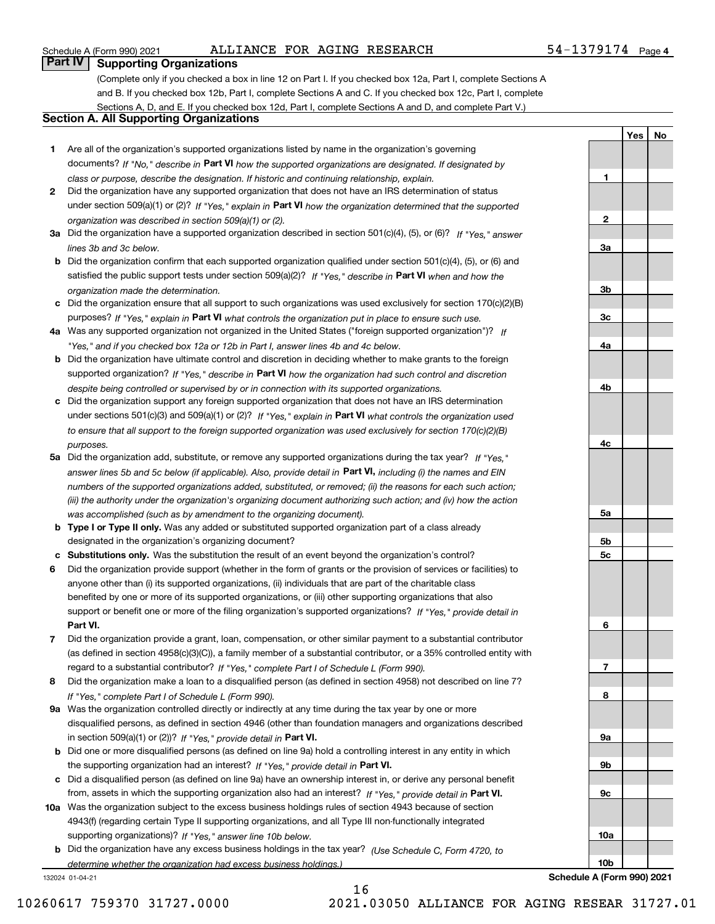#### Schedule A (Form 990) 2021 ALLIANCE FOR AGING RESEARCH 54-1379174 page

**1**

**2**

**3a**

**3b**

**3c**

**4a**

**4b**

**4c**

**5a**

**5b5c**

**6**

**7**

**8**

**9a**

**9b**

**9c**

**10a**

**YesNo**

# **Part IV Supporting Organizations**

(Complete only if you checked a box in line 12 on Part I. If you checked box 12a, Part I, complete Sections A and B. If you checked box 12b, Part I, complete Sections A and C. If you checked box 12c, Part I, complete Sections A, D, and E. If you checked box 12d, Part I, complete Sections A and D, and complete Part V.)

### **Section A. All Supporting Organizations**

- **1** Are all of the organization's supported organizations listed by name in the organization's governing documents? If "No," describe in **Part VI** how the supported organizations are designated. If designated by *class or purpose, describe the designation. If historic and continuing relationship, explain.*
- **2** Did the organization have any supported organization that does not have an IRS determination of status under section 509(a)(1) or (2)? If "Yes," explain in Part VI how the organization determined that the supported *organization was described in section 509(a)(1) or (2).*
- **3a** Did the organization have a supported organization described in section 501(c)(4), (5), or (6)? If "Yes," answer *lines 3b and 3c below.*
- **b** Did the organization confirm that each supported organization qualified under section 501(c)(4), (5), or (6) and satisfied the public support tests under section 509(a)(2)? If "Yes," describe in **Part VI** when and how the *organization made the determination.*
- **c**Did the organization ensure that all support to such organizations was used exclusively for section 170(c)(2)(B) purposes? If "Yes," explain in **Part VI** what controls the organization put in place to ensure such use.
- **4a***If* Was any supported organization not organized in the United States ("foreign supported organization")? *"Yes," and if you checked box 12a or 12b in Part I, answer lines 4b and 4c below.*
- **b** Did the organization have ultimate control and discretion in deciding whether to make grants to the foreign supported organization? If "Yes," describe in **Part VI** how the organization had such control and discretion *despite being controlled or supervised by or in connection with its supported organizations.*
- **c** Did the organization support any foreign supported organization that does not have an IRS determination under sections 501(c)(3) and 509(a)(1) or (2)? If "Yes," explain in **Part VI** what controls the organization used *to ensure that all support to the foreign supported organization was used exclusively for section 170(c)(2)(B) purposes.*
- **5a** Did the organization add, substitute, or remove any supported organizations during the tax year? If "Yes," answer lines 5b and 5c below (if applicable). Also, provide detail in **Part VI,** including (i) the names and EIN *numbers of the supported organizations added, substituted, or removed; (ii) the reasons for each such action; (iii) the authority under the organization's organizing document authorizing such action; and (iv) how the action was accomplished (such as by amendment to the organizing document).*
- **b** Type I or Type II only. Was any added or substituted supported organization part of a class already designated in the organization's organizing document?
- **cSubstitutions only.**  Was the substitution the result of an event beyond the organization's control?
- **6** Did the organization provide support (whether in the form of grants or the provision of services or facilities) to **Part VI.** *If "Yes," provide detail in* support or benefit one or more of the filing organization's supported organizations? anyone other than (i) its supported organizations, (ii) individuals that are part of the charitable class benefited by one or more of its supported organizations, or (iii) other supporting organizations that also
- **7**Did the organization provide a grant, loan, compensation, or other similar payment to a substantial contributor regard to a substantial contributor? If "Yes," complete Part I of Schedule L (Form 990). (as defined in section 4958(c)(3)(C)), a family member of a substantial contributor, or a 35% controlled entity with
- **8** Did the organization make a loan to a disqualified person (as defined in section 4958) not described on line 7? *If "Yes," complete Part I of Schedule L (Form 990).*
- **9a** Was the organization controlled directly or indirectly at any time during the tax year by one or more in section 509(a)(1) or (2))? If "Yes," *provide detail in* <code>Part VI.</code> disqualified persons, as defined in section 4946 (other than foundation managers and organizations described
- **b** Did one or more disqualified persons (as defined on line 9a) hold a controlling interest in any entity in which the supporting organization had an interest? If "Yes," provide detail in P**art VI**.
- **c**Did a disqualified person (as defined on line 9a) have an ownership interest in, or derive any personal benefit from, assets in which the supporting organization also had an interest? If "Yes," provide detail in P**art VI.**
- **10a** Was the organization subject to the excess business holdings rules of section 4943 because of section supporting organizations)? If "Yes," answer line 10b below. 4943(f) (regarding certain Type II supporting organizations, and all Type III non-functionally integrated
- **b** Did the organization have any excess business holdings in the tax year? (Use Schedule C, Form 4720, to *determine whether the organization had excess business holdings.)*

16

132024 01-04-21

**10bSchedule A (Form 990) 2021**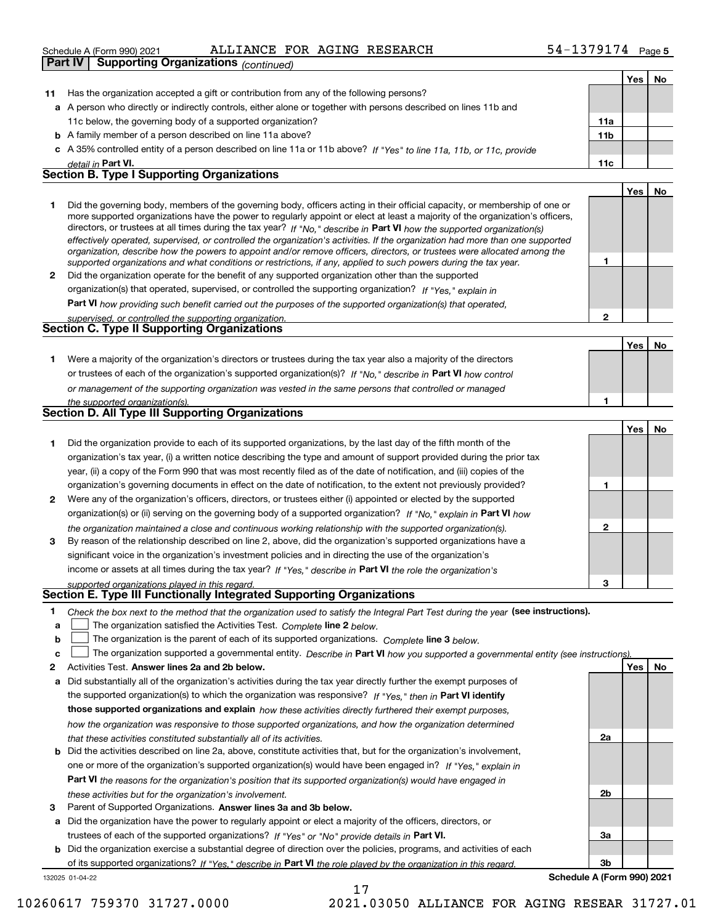#### ALLIANCE FOR AGING RESEARCH 54-1379174

|              | Schedule A (Form 990) 2021<br>ALLIANCE FOR AGING RESEARCH                                                                                                                                                                                                 | 54-13/91/4   |            | Page 5 |
|--------------|-----------------------------------------------------------------------------------------------------------------------------------------------------------------------------------------------------------------------------------------------------------|--------------|------------|--------|
|              | <b>Part IV</b><br><b>Supporting Organizations (continued)</b>                                                                                                                                                                                             |              |            |        |
|              |                                                                                                                                                                                                                                                           |              | Yes        | No     |
| 11           | Has the organization accepted a gift or contribution from any of the following persons?                                                                                                                                                                   |              |            |        |
|              | a A person who directly or indirectly controls, either alone or together with persons described on lines 11b and                                                                                                                                          |              |            |        |
|              | 11c below, the governing body of a supported organization?                                                                                                                                                                                                | 11a          |            |        |
|              | <b>b</b> A family member of a person described on line 11a above?                                                                                                                                                                                         | 11b          |            |        |
|              | c A 35% controlled entity of a person described on line 11a or 11b above? If "Yes" to line 11a, 11b, or 11c, provide                                                                                                                                      |              |            |        |
|              | detail in Part VI.                                                                                                                                                                                                                                        | 11c          |            |        |
|              | <b>Section B. Type I Supporting Organizations</b>                                                                                                                                                                                                         |              |            |        |
|              |                                                                                                                                                                                                                                                           |              | <b>Yes</b> | No     |
| 1.           | Did the governing body, members of the governing body, officers acting in their official capacity, or membership of one or                                                                                                                                |              |            |        |
|              | more supported organizations have the power to regularly appoint or elect at least a majority of the organization's officers,                                                                                                                             |              |            |        |
|              | directors, or trustees at all times during the tax year? If "No," describe in Part VI how the supported organization(s)<br>effectively operated, supervised, or controlled the organization's activities. If the organization had more than one supported |              |            |        |
|              | organization, describe how the powers to appoint and/or remove officers, directors, or trustees were allocated among the                                                                                                                                  |              |            |        |
|              | supported organizations and what conditions or restrictions, if any, applied to such powers during the tax year.                                                                                                                                          | 1            |            |        |
| $\mathbf{2}$ | Did the organization operate for the benefit of any supported organization other than the supported                                                                                                                                                       |              |            |        |
|              | organization(s) that operated, supervised, or controlled the supporting organization? If "Yes," explain in                                                                                                                                                |              |            |        |
|              | Part VI how providing such benefit carried out the purposes of the supported organization(s) that operated,                                                                                                                                               |              |            |        |
|              | supervised, or controlled the supporting organization.                                                                                                                                                                                                    | $\mathbf{2}$ |            |        |
|              | <b>Section C. Type II Supporting Organizations</b>                                                                                                                                                                                                        |              |            |        |
|              |                                                                                                                                                                                                                                                           |              | <b>Yes</b> | No     |
| 1.           | Were a majority of the organization's directors or trustees during the tax year also a majority of the directors                                                                                                                                          |              |            |        |
|              | or trustees of each of the organization's supported organization(s)? If "No," describe in Part VI how control                                                                                                                                             |              |            |        |
|              | or management of the supporting organization was vested in the same persons that controlled or managed                                                                                                                                                    |              |            |        |
|              | the supported organization(s).                                                                                                                                                                                                                            | 1            |            |        |
|              | <b>Section D. All Type III Supporting Organizations</b>                                                                                                                                                                                                   |              |            |        |
|              |                                                                                                                                                                                                                                                           |              | Yes        | No     |
| 1.           | Did the organization provide to each of its supported organizations, by the last day of the fifth month of the                                                                                                                                            |              |            |        |
|              | organization's tax year, (i) a written notice describing the type and amount of support provided during the prior tax                                                                                                                                     |              |            |        |
|              | year, (ii) a copy of the Form 990 that was most recently filed as of the date of notification, and (iii) copies of the                                                                                                                                    |              |            |        |
|              | organization's governing documents in effect on the date of notification, to the extent not previously provided?                                                                                                                                          | $\mathbf{1}$ |            |        |
|              | 2 Were any of the organization's officers, directors, or trustees either (i) appointed or elected by the supported                                                                                                                                        |              |            |        |
|              | organization(s) or (ii) serving on the governing body of a supported organization? If "No," explain in Part VI how                                                                                                                                        |              |            |        |
|              | the organization maintained a close and continuous working relationship with the supported organization(s).                                                                                                                                               | $\mathbf{2}$ |            |        |
| 3            | By reason of the relationship described on line 2, above, did the organization's supported organizations have a                                                                                                                                           |              |            |        |
|              | significant voice in the organization's investment policies and in directing the use of the organization's                                                                                                                                                |              |            |        |
|              | income or assets at all times during the tax year? If "Yes," describe in Part VI the role the organization's                                                                                                                                              |              |            |        |
|              | supported organizations played in this regard.                                                                                                                                                                                                            | 3            |            |        |
|              | Section E. Type III Functionally Integrated Supporting Organizations                                                                                                                                                                                      |              |            |        |
| 1            | Check the box next to the method that the organization used to satisfy the Integral Part Test during the year (see instructions).                                                                                                                         |              |            |        |
| a            | The organization satisfied the Activities Test. Complete line 2 below.                                                                                                                                                                                    |              |            |        |

- 
- **bThe organization is the parent of each of its supported organizations. Complete line 3 below.**

|  |  |  | The organization supported a governmental entity. Describe in Part VI how you supported a governmental entity (see instructions). |  |
|--|--|--|-----------------------------------------------------------------------------------------------------------------------------------|--|
|--|--|--|-----------------------------------------------------------------------------------------------------------------------------------|--|

- **2Answer lines 2a and 2b below. Yes No** Activities Test.
- **a** Did substantially all of the organization's activities during the tax year directly further the exempt purposes of the supported organization(s) to which the organization was responsive? If "Yes," then in **Part VI identify those supported organizations and explain**  *how these activities directly furthered their exempt purposes, how the organization was responsive to those supported organizations, and how the organization determined that these activities constituted substantially all of its activities.*
- **b** Did the activities described on line 2a, above, constitute activities that, but for the organization's involvement, **Part VI**  *the reasons for the organization's position that its supported organization(s) would have engaged in* one or more of the organization's supported organization(s) would have been engaged in? If "Yes," e*xplain in these activities but for the organization's involvement.*
- **3** Parent of Supported Organizations. Answer lines 3a and 3b below.

**a** Did the organization have the power to regularly appoint or elect a majority of the officers, directors, or trustees of each of the supported organizations? If "Yes" or "No" provide details in **Part VI.** 

132025 01-04-22 **b** Did the organization exercise a substantial degree of direction over the policies, programs, and activities of each of its supported organizations? If "Yes," describe in Part VI the role played by the organization in this regard.

**3bSchedule A (Form 990) 2021**

**2a**

**2b**

**3a**

10260617 759370 31727.0000 2021.03050 ALLIANCE FOR AGING RESEAR 31727.01

17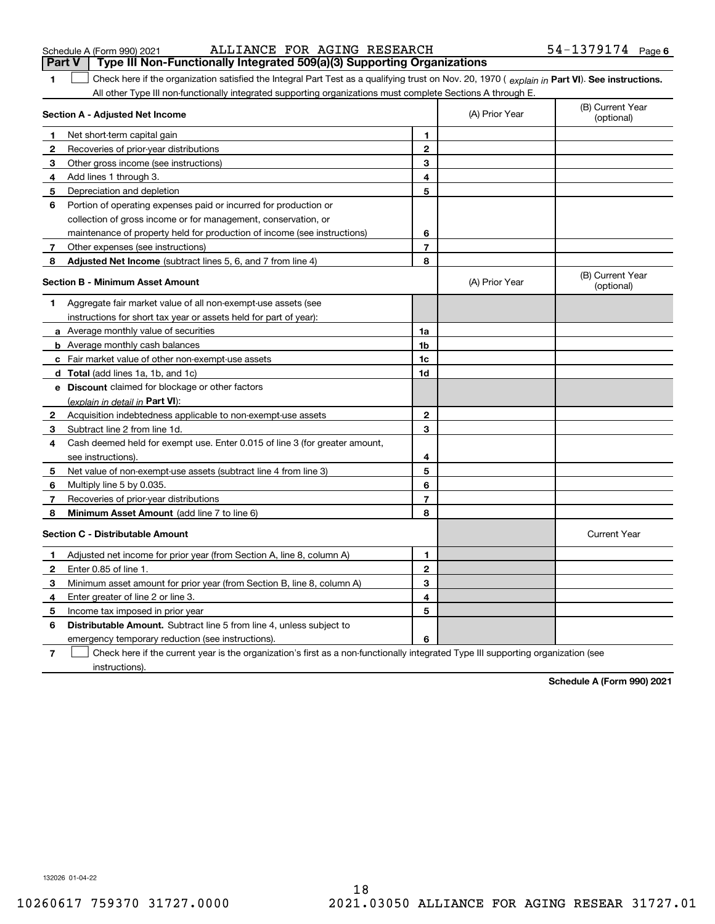| Schedule A (Form 990) 202 |  |  |  |
|---------------------------|--|--|--|
|---------------------------|--|--|--|

| Schedule A (Form 990) 2021 | ALLIANCE FOR AGING RESEARCH                                                                    | $54 - 1379174$ Page 6 |
|----------------------------|------------------------------------------------------------------------------------------------|-----------------------|
|                            | $\vert$ Part V $\vert$ Type III Non-Functionally Integrated 509(a)(3) Supporting Organizations |                       |

| 1.                                      | Check here if the organization satisfied the Integral Part Test as a qualifying trust on Nov. 20, 1970 (explain in Part VI). See instructions. |                |                |                                |
|-----------------------------------------|------------------------------------------------------------------------------------------------------------------------------------------------|----------------|----------------|--------------------------------|
|                                         | All other Type III non-functionally integrated supporting organizations must complete Sections A through E.                                    |                |                |                                |
|                                         | Section A - Adjusted Net Income                                                                                                                |                | (A) Prior Year | (B) Current Year<br>(optional) |
| 1.                                      | Net short-term capital gain                                                                                                                    | $\blacksquare$ |                |                                |
| $\mathbf{2}$                            | Recoveries of prior-year distributions                                                                                                         | $\mathbf{2}$   |                |                                |
| 3                                       | Other gross income (see instructions)                                                                                                          | 3              |                |                                |
| 4                                       | Add lines 1 through 3.                                                                                                                         | 4              |                |                                |
| 5                                       | Depreciation and depletion                                                                                                                     | 5              |                |                                |
| 6                                       | Portion of operating expenses paid or incurred for production or                                                                               |                |                |                                |
|                                         | collection of gross income or for management, conservation, or                                                                                 |                |                |                                |
|                                         | maintenance of property held for production of income (see instructions)                                                                       | 6              |                |                                |
| 7                                       | Other expenses (see instructions)                                                                                                              | $\overline{7}$ |                |                                |
| 8                                       | Adjusted Net Income (subtract lines 5, 6, and 7 from line 4)                                                                                   | 8              |                |                                |
| <b>Section B - Minimum Asset Amount</b> |                                                                                                                                                |                | (A) Prior Year | (B) Current Year<br>(optional) |
| 1                                       | Aggregate fair market value of all non-exempt-use assets (see                                                                                  |                |                |                                |
|                                         | instructions for short tax year or assets held for part of year):                                                                              |                |                |                                |
|                                         | <b>a</b> Average monthly value of securities                                                                                                   | 1a             |                |                                |
|                                         | <b>b</b> Average monthly cash balances                                                                                                         | 1 <sub>b</sub> |                |                                |
|                                         | c Fair market value of other non-exempt-use assets                                                                                             | 1c             |                |                                |
|                                         | <b>d</b> Total (add lines 1a, 1b, and 1c)                                                                                                      | 1d             |                |                                |
|                                         | e Discount claimed for blockage or other factors                                                                                               |                |                |                                |
|                                         | (explain in detail in Part VI):                                                                                                                |                |                |                                |
| 2                                       | Acquisition indebtedness applicable to non-exempt-use assets                                                                                   | $\mathbf{2}$   |                |                                |
| 3                                       | Subtract line 2 from line 1d.                                                                                                                  | 3              |                |                                |
| 4                                       | Cash deemed held for exempt use. Enter 0.015 of line 3 (for greater amount,                                                                    |                |                |                                |
|                                         | see instructions).                                                                                                                             | 4              |                |                                |
| 5.                                      | Net value of non-exempt-use assets (subtract line 4 from line 3)                                                                               | 5              |                |                                |
| 6                                       | Multiply line 5 by 0.035.                                                                                                                      | 6              |                |                                |
| 7                                       | Recoveries of prior-year distributions                                                                                                         | $\overline{7}$ |                |                                |
| 8                                       | Minimum Asset Amount (add line 7 to line 6)                                                                                                    | 8              |                |                                |
|                                         | <b>Section C - Distributable Amount</b>                                                                                                        |                |                | <b>Current Year</b>            |
| 1.                                      | Adjusted net income for prior year (from Section A, line 8, column A)                                                                          | $\mathbf{1}$   |                |                                |
| $\mathbf{2}$                            | Enter 0.85 of line 1.                                                                                                                          | $\mathbf{2}$   |                |                                |
| 3                                       | Minimum asset amount for prior year (from Section B, line 8, column A)                                                                         | 3              |                |                                |
| 4                                       | Enter greater of line 2 or line 3.                                                                                                             | 4              |                |                                |
| 5.                                      | Income tax imposed in prior year                                                                                                               | 5              |                |                                |
| 6                                       | <b>Distributable Amount.</b> Subtract line 5 from line 4, unless subject to                                                                    |                |                |                                |
|                                         | emergency temporary reduction (see instructions).                                                                                              | 6              |                |                                |

**7**Check here if the current year is the organization's first as a non-functionally integrated Type III supporting organization (see instructions).

**Schedule A (Form 990) 2021**

132026 01-04-22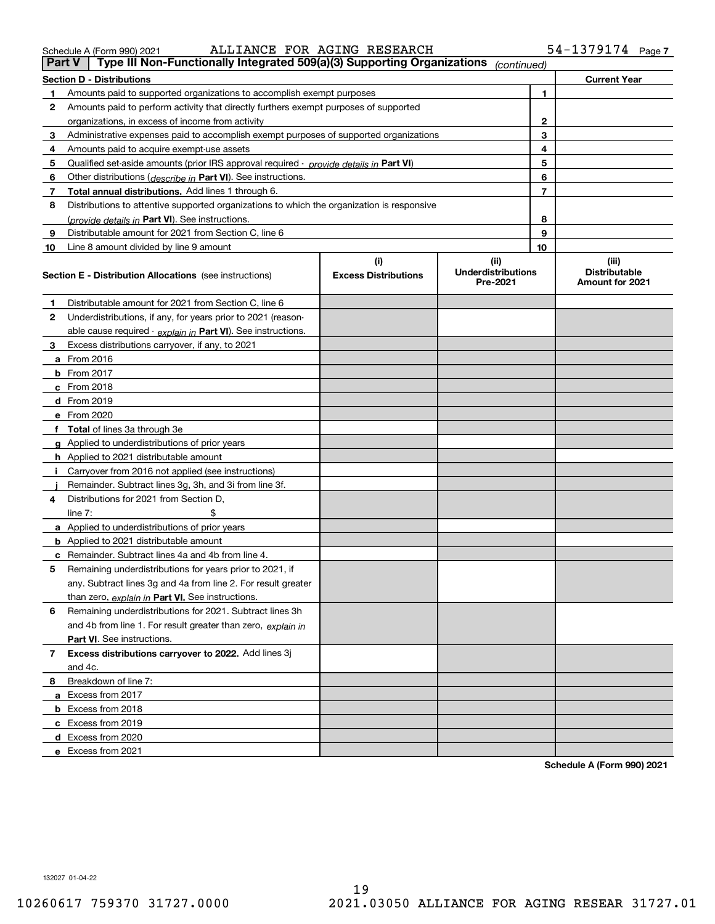# **Part V Type III Non-Functionally Integrated 509(a)(3) Supporting Organizations** *(continued)*

| <b>Current Year</b><br><b>Section D - Distributions</b> |                                                                                            |                                    |                                                |                |                                                         |
|---------------------------------------------------------|--------------------------------------------------------------------------------------------|------------------------------------|------------------------------------------------|----------------|---------------------------------------------------------|
| 1                                                       | Amounts paid to supported organizations to accomplish exempt purposes                      |                                    |                                                | 1.             |                                                         |
| 2                                                       | Amounts paid to perform activity that directly furthers exempt purposes of supported       |                                    |                                                |                |                                                         |
|                                                         | organizations, in excess of income from activity                                           | 2                                  |                                                |                |                                                         |
| 3                                                       | Administrative expenses paid to accomplish exempt purposes of supported organizations      |                                    |                                                | 3              |                                                         |
| 4                                                       | Amounts paid to acquire exempt-use assets                                                  |                                    |                                                | 4              |                                                         |
| 5                                                       | Qualified set-aside amounts (prior IRS approval required - provide details in Part VI)     |                                    |                                                | 5              |                                                         |
| 6                                                       | Other distributions ( <i>describe in</i> Part VI). See instructions.                       |                                    |                                                | 6              |                                                         |
| 7                                                       | Total annual distributions. Add lines 1 through 6.                                         |                                    |                                                | $\overline{7}$ |                                                         |
| 8                                                       | Distributions to attentive supported organizations to which the organization is responsive |                                    |                                                |                |                                                         |
|                                                         | (provide details in Part VI). See instructions.                                            |                                    |                                                | 8              |                                                         |
| 9                                                       | Distributable amount for 2021 from Section C, line 6                                       |                                    |                                                | 9              |                                                         |
| 10                                                      | Line 8 amount divided by line 9 amount                                                     |                                    |                                                | 10             |                                                         |
|                                                         | <b>Section E - Distribution Allocations</b> (see instructions)                             | (i)<br><b>Excess Distributions</b> | (iii)<br><b>Underdistributions</b><br>Pre-2021 |                | (iii)<br><b>Distributable</b><br><b>Amount for 2021</b> |
| 1                                                       | Distributable amount for 2021 from Section C, line 6                                       |                                    |                                                |                |                                                         |
| 2                                                       | Underdistributions, if any, for years prior to 2021 (reason-                               |                                    |                                                |                |                                                         |
|                                                         | able cause required - explain in Part VI). See instructions.                               |                                    |                                                |                |                                                         |
| 3                                                       | Excess distributions carryover, if any, to 2021                                            |                                    |                                                |                |                                                         |
|                                                         | <b>a</b> From 2016                                                                         |                                    |                                                |                |                                                         |
|                                                         | <b>b</b> From 2017                                                                         |                                    |                                                |                |                                                         |
|                                                         | $c$ From 2018                                                                              |                                    |                                                |                |                                                         |
|                                                         | d From 2019                                                                                |                                    |                                                |                |                                                         |
|                                                         | e From 2020                                                                                |                                    |                                                |                |                                                         |
|                                                         | f Total of lines 3a through 3e                                                             |                                    |                                                |                |                                                         |
|                                                         | g Applied to underdistributions of prior years                                             |                                    |                                                |                |                                                         |
|                                                         | <b>h</b> Applied to 2021 distributable amount                                              |                                    |                                                |                |                                                         |
| j.                                                      | Carryover from 2016 not applied (see instructions)                                         |                                    |                                                |                |                                                         |
|                                                         | Remainder. Subtract lines 3g, 3h, and 3i from line 3f.                                     |                                    |                                                |                |                                                         |
| 4                                                       | Distributions for 2021 from Section D,                                                     |                                    |                                                |                |                                                         |
|                                                         | \$<br>line $7:$                                                                            |                                    |                                                |                |                                                         |
|                                                         | a Applied to underdistributions of prior years                                             |                                    |                                                |                |                                                         |
|                                                         | <b>b</b> Applied to 2021 distributable amount                                              |                                    |                                                |                |                                                         |
|                                                         | <b>c</b> Remainder. Subtract lines 4a and 4b from line 4.                                  |                                    |                                                |                |                                                         |
| 5                                                       | Remaining underdistributions for years prior to 2021, if                                   |                                    |                                                |                |                                                         |
|                                                         | any. Subtract lines 3g and 4a from line 2. For result greater                              |                                    |                                                |                |                                                         |
|                                                         | than zero, explain in Part VI. See instructions.                                           |                                    |                                                |                |                                                         |
| 6                                                       | Remaining underdistributions for 2021. Subtract lines 3h                                   |                                    |                                                |                |                                                         |
|                                                         | and 4b from line 1. For result greater than zero, explain in                               |                                    |                                                |                |                                                         |
|                                                         | <b>Part VI.</b> See instructions.                                                          |                                    |                                                |                |                                                         |
| 7                                                       | Excess distributions carryover to 2022. Add lines 3j                                       |                                    |                                                |                |                                                         |
|                                                         | and 4c.                                                                                    |                                    |                                                |                |                                                         |
| 8                                                       | Breakdown of line 7:                                                                       |                                    |                                                |                |                                                         |
|                                                         | a Excess from 2017                                                                         |                                    |                                                |                |                                                         |
|                                                         | <b>b</b> Excess from 2018                                                                  |                                    |                                                |                |                                                         |
|                                                         | c Excess from 2019                                                                         |                                    |                                                |                |                                                         |
|                                                         | d Excess from 2020                                                                         |                                    |                                                |                |                                                         |
|                                                         |                                                                                            |                                    |                                                |                |                                                         |

**Schedule A (Form 990) 2021**

**e**Excess from 2021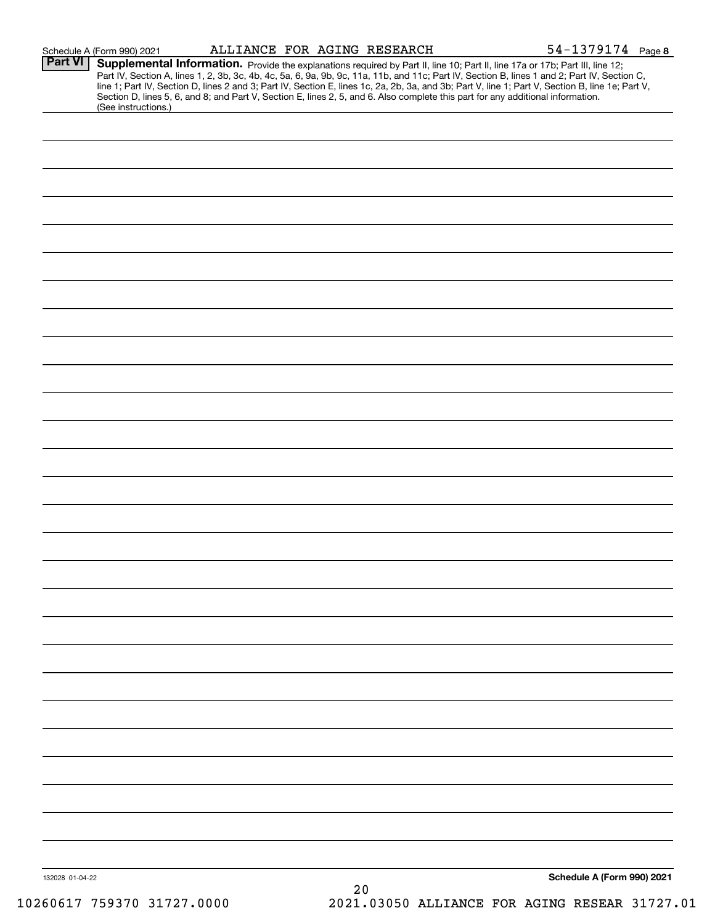|                 | Schedule A (Form 990) 2021 | ALLIANCE FOR AGING RESEARCH | $54 - 1379174$ Page 8                                                                                                                                                                                                                                                                                                                                                                                                                                                                                                                                                |
|-----------------|----------------------------|-----------------------------|----------------------------------------------------------------------------------------------------------------------------------------------------------------------------------------------------------------------------------------------------------------------------------------------------------------------------------------------------------------------------------------------------------------------------------------------------------------------------------------------------------------------------------------------------------------------|
| Part VI         | (See instructions.)        |                             | Supplemental Information. Provide the explanations required by Part II, line 10; Part II, line 17a or 17b; Part III, line 12;<br>Part IV, Section A, lines 1, 2, 3b, 3c, 4b, 4c, 5a, 6, 9a, 9b, 9c, 11a, 11b, and 11c; Part IV, Section B, lines 1 and 2; Part IV, Section C,<br>line 1; Part IV, Section D, lines 2 and 3; Part IV, Section E, lines 1c, 2a, 2b, 3a, and 3b; Part V, line 1; Part V, Section B, line 1e; Part V,<br>Section D, lines 5, 6, and 8; and Part V, Section E, lines 2, 5, and 6. Also complete this part for any additional information. |
|                 |                            |                             |                                                                                                                                                                                                                                                                                                                                                                                                                                                                                                                                                                      |
|                 |                            |                             |                                                                                                                                                                                                                                                                                                                                                                                                                                                                                                                                                                      |
|                 |                            |                             |                                                                                                                                                                                                                                                                                                                                                                                                                                                                                                                                                                      |
|                 |                            |                             |                                                                                                                                                                                                                                                                                                                                                                                                                                                                                                                                                                      |
|                 |                            |                             |                                                                                                                                                                                                                                                                                                                                                                                                                                                                                                                                                                      |
|                 |                            |                             |                                                                                                                                                                                                                                                                                                                                                                                                                                                                                                                                                                      |
|                 |                            |                             |                                                                                                                                                                                                                                                                                                                                                                                                                                                                                                                                                                      |
|                 |                            |                             |                                                                                                                                                                                                                                                                                                                                                                                                                                                                                                                                                                      |
|                 |                            |                             |                                                                                                                                                                                                                                                                                                                                                                                                                                                                                                                                                                      |
|                 |                            |                             |                                                                                                                                                                                                                                                                                                                                                                                                                                                                                                                                                                      |
|                 |                            |                             |                                                                                                                                                                                                                                                                                                                                                                                                                                                                                                                                                                      |
|                 |                            |                             |                                                                                                                                                                                                                                                                                                                                                                                                                                                                                                                                                                      |
|                 |                            |                             |                                                                                                                                                                                                                                                                                                                                                                                                                                                                                                                                                                      |
|                 |                            |                             |                                                                                                                                                                                                                                                                                                                                                                                                                                                                                                                                                                      |
|                 |                            |                             |                                                                                                                                                                                                                                                                                                                                                                                                                                                                                                                                                                      |
|                 |                            |                             |                                                                                                                                                                                                                                                                                                                                                                                                                                                                                                                                                                      |
|                 |                            |                             |                                                                                                                                                                                                                                                                                                                                                                                                                                                                                                                                                                      |
|                 |                            |                             |                                                                                                                                                                                                                                                                                                                                                                                                                                                                                                                                                                      |
|                 |                            |                             |                                                                                                                                                                                                                                                                                                                                                                                                                                                                                                                                                                      |
|                 |                            |                             |                                                                                                                                                                                                                                                                                                                                                                                                                                                                                                                                                                      |
|                 |                            |                             |                                                                                                                                                                                                                                                                                                                                                                                                                                                                                                                                                                      |
|                 |                            |                             |                                                                                                                                                                                                                                                                                                                                                                                                                                                                                                                                                                      |
|                 |                            |                             |                                                                                                                                                                                                                                                                                                                                                                                                                                                                                                                                                                      |
|                 |                            |                             |                                                                                                                                                                                                                                                                                                                                                                                                                                                                                                                                                                      |
|                 |                            |                             |                                                                                                                                                                                                                                                                                                                                                                                                                                                                                                                                                                      |
|                 |                            |                             |                                                                                                                                                                                                                                                                                                                                                                                                                                                                                                                                                                      |
| 132028 01-04-22 |                            | 20                          | Schedule A (Form 990) 2021                                                                                                                                                                                                                                                                                                                                                                                                                                                                                                                                           |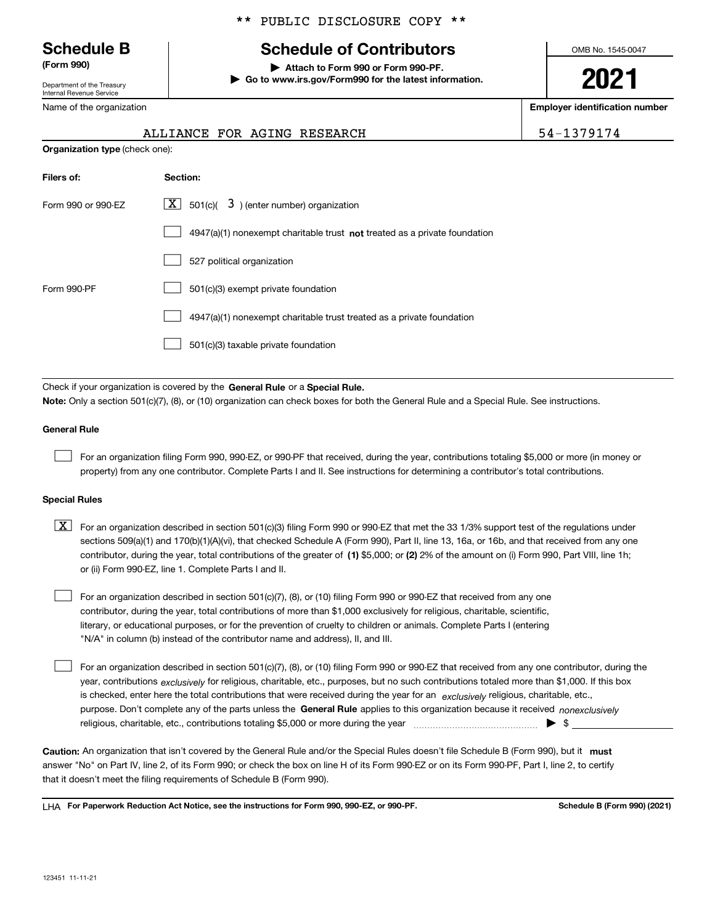Department of the Treasury Internal Revenue Service

Name of the organization

## \*\* PUBLIC DISCLOSURE COPY \*\*

# **Schedule B Schedule of Contributors**

**(Form 990) | Attach to Form 990 or Form 990-PF. | Go to www.irs.gov/Form990 for the latest information.** OMB No. 1545-0047

**2021**

**Employer identification number**

|  |  | o<br>9. |  |  |
|--|--|---------|--|--|
|  |  |         |  |  |

|                                       | ALLIANCE FOR AGING RESEARCH                                                        | 54-1379174 |
|---------------------------------------|------------------------------------------------------------------------------------|------------|
| <b>Organization type (check one):</b> |                                                                                    |            |
| Filers of:                            | Section:                                                                           |            |
| Form 990 or 990-EZ                    | $\lfloor \mathbf{X} \rfloor$ 501(c)( 3) (enter number) organization                |            |
|                                       | $4947(a)(1)$ nonexempt charitable trust <b>not</b> treated as a private foundation |            |
|                                       | 527 political organization                                                         |            |
| Form 990-PF                           | 501(c)(3) exempt private foundation                                                |            |
|                                       | 4947(a)(1) nonexempt charitable trust treated as a private foundation              |            |
|                                       |                                                                                    |            |

501(c)(3) taxable private foundation  $\mathcal{L}^{\text{max}}$ 

Check if your organization is covered by the **General Rule** or a **Special Rule. Note:**  Only a section 501(c)(7), (8), or (10) organization can check boxes for both the General Rule and a Special Rule. See instructions.

#### **General Rule**

 $\mathcal{L}^{\text{max}}$ 

For an organization filing Form 990, 990-EZ, or 990-PF that received, during the year, contributions totaling \$5,000 or more (in money or property) from any one contributor. Complete Parts I and II. See instructions for determining a contributor's total contributions.

#### **Special Rules**

contributor, during the year, total contributions of the greater of (1**)** \$5,000; or (2) 2% of the amount on (i) Form 990, Part VIII, line 1h;  $\boxed{\textbf{X}}$  For an organization described in section 501(c)(3) filing Form 990 or 990-EZ that met the 33 1/3% support test of the regulations under sections 509(a)(1) and 170(b)(1)(A)(vi), that checked Schedule A (Form 990), Part II, line 13, 16a, or 16b, and that received from any one or (ii) Form 990-EZ, line 1. Complete Parts I and II.

For an organization described in section 501(c)(7), (8), or (10) filing Form 990 or 990-EZ that received from any one contributor, during the year, total contributions of more than \$1,000 exclusively for religious, charitable, scientific, literary, or educational purposes, or for the prevention of cruelty to children or animals. Complete Parts I (entering "N/A" in column (b) instead of the contributor name and address), II, and III.  $\mathcal{L}^{\text{max}}$ 

purpose. Don't complete any of the parts unless the **General Rule** applies to this organization because it received *nonexclusively* year, contributions <sub>exclusively</sub> for religious, charitable, etc., purposes, but no such contributions totaled more than \$1,000. If this box is checked, enter here the total contributions that were received during the year for an  $\;$ exclusively religious, charitable, etc., For an organization described in section 501(c)(7), (8), or (10) filing Form 990 or 990-EZ that received from any one contributor, during the religious, charitable, etc., contributions totaling \$5,000 or more during the year  $\Box$ — $\Box$   $\Box$  $\mathcal{L}^{\text{max}}$ 

Caution: An organization that isn't covered by the General Rule and/or the Special Rules doesn't file Schedule B (Form 990), but it **must** answer "No" on Part IV, line 2, of its Form 990; or check the box on line H of its Form 990-EZ or on its Form 990-PF, Part I, line 2, to certify that it doesn't meet the filing requirements of Schedule B (Form 990).

LHA For Paperwork Reduction Act Notice, see the instructions for Form 990, 990-EZ, or 990-PF. **In the act and Schedule B** (Form 990) (2021)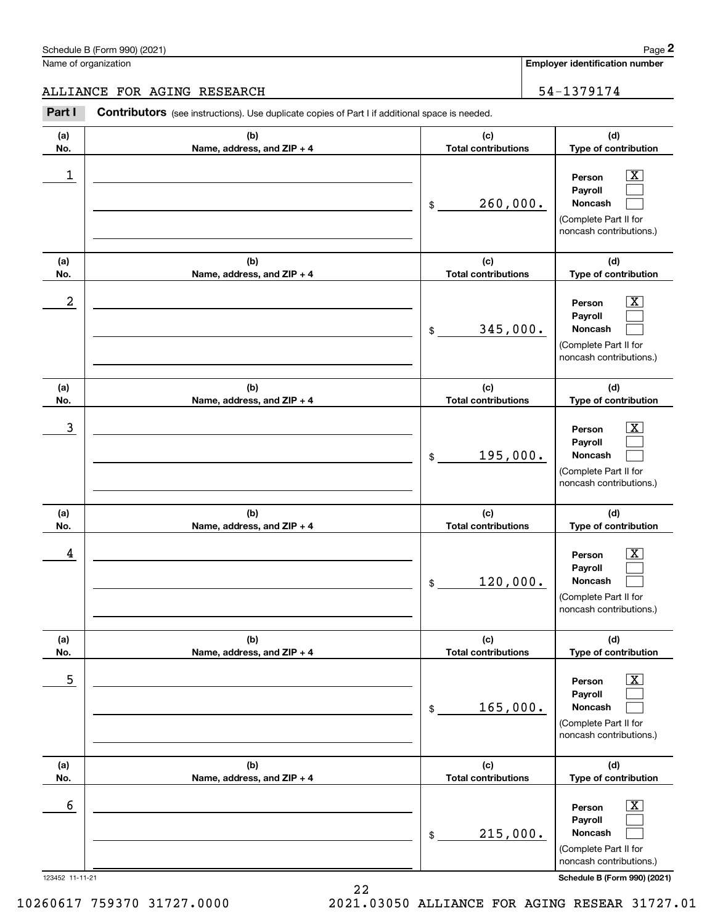**Employer identification number** Schedule B (Form 990) (2021) Page 2

#### ALLIANCE FOR AGING RESEARCH 54-1379174

**(a)No.(b)Name, address, and ZIP + 4 (c)Total contributions (d)Type of contribution PersonPayrollNoncash (a)No.(b)Name, address, and ZIP + 4 (c)Total contributions (d)Type of contribution PersonPayrollNoncash (a)No.(b)Name, address, and ZIP + 4 (c)Total contributions (d)Type of contribution PersonPayrollNoncash (a) No.(b) Name, address, and ZIP + 4 (c) Total contributions (d) Type of contribution PersonPayrollNoncash (a) No.(b) Name, address, and ZIP + 4 (c) Total contributions (d) Type of contribution PersonPayrollNoncash (a) No.(b)Name, address, and ZIP + 4 (c) Total contributions (d)Type of contribution PersonPayrollNoncash Contributors** (see instructions). Use duplicate copies of Part I if additional space is needed. \$(Complete Part II for noncash contributions.) \$(Complete Part II for noncash contributions.) \$(Complete Part II for noncash contributions.) \$(Complete Part II for noncash contributions.) \$(Complete Part II for noncash contributions.) \$(Complete Part II for noncash contributions.) Chedule B (Form 990) (2021)<br> **2Page 2**<br> **2Part I 2Part I Contributors** (see instructions). Use duplicate copies of Part I if additional space is needed.<br>
2Part I **Contributors** (see instructions). Use duplicate copies  $|X|$  $\mathcal{L}^{\text{max}}$  $\mathcal{L}^{\text{max}}$  $\boxed{\text{X}}$  $\mathcal{L}^{\text{max}}$  $\mathcal{L}^{\text{max}}$  $|X|$  $\mathcal{L}^{\text{max}}$  $\mathcal{L}^{\text{max}}$  $\boxed{\text{X}}$  $\mathcal{L}^{\text{max}}$  $\mathcal{L}^{\text{max}}$  $\boxed{\text{X}}$  $\mathcal{L}^{\text{max}}$  $\mathcal{L}^{\text{max}}$  $\boxed{\text{X}}$  $\mathcal{L}^{\text{max}}$  $\mathcal{L}^{\text{max}}$  $\begin{array}{c|c|c|c|c|c} 1 & \hspace{1.5cm} & \hspace{1.5cm} & \hspace{1.5cm} & \hspace{1.5cm} & \hspace{1.5cm} & \hspace{1.5cm} & \hspace{1.5cm} & \hspace{1.5cm} & \hspace{1.5cm} & \hspace{1.5cm} & \hspace{1.5cm} & \hspace{1.5cm} & \hspace{1.5cm} & \hspace{1.5cm} & \hspace{1.5cm} & \hspace{1.5cm} & \hspace{1.5cm} & \hspace{1.5cm} & \hspace{1.5cm} & \hspace{1.5cm} &$ 260,000.  $2$  | Person  $\overline{\text{X}}$ 345,000.  $\overline{3}$  | Person  $\overline{X}$ 195,000.  $4$  | Person  $\overline{\text{X}}$ 120,000.  $\sim$  5 | Person X 165,000.  $\sim$  6 | Person X 215,000.

123452 11-11-21 **Schedule B (Form 990) (2021)**

22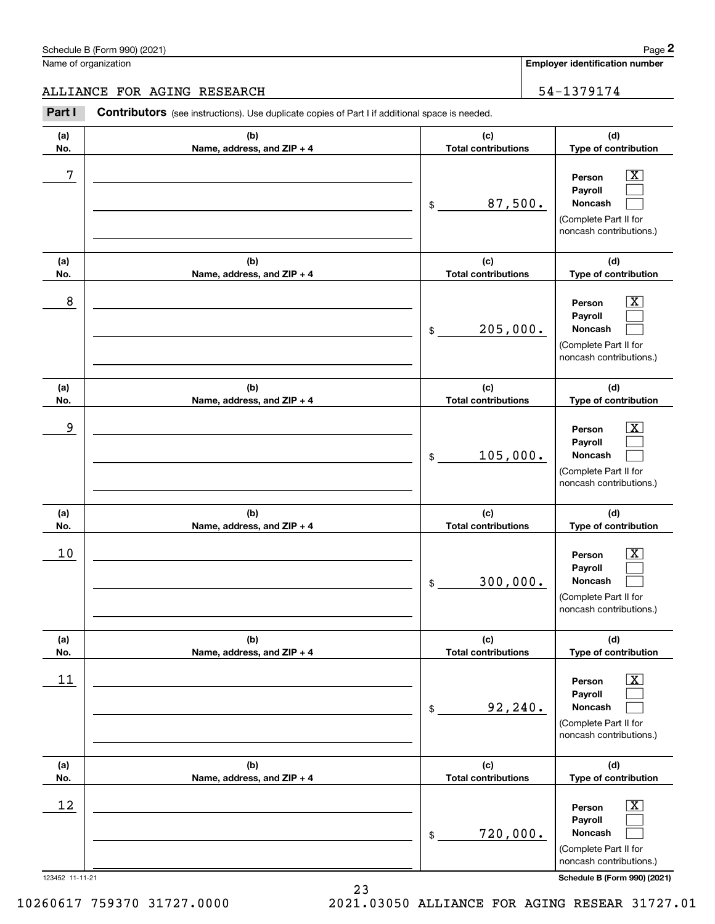**Employer identification number**

ALLIANCE FOR AGING RESEARCH 54-1379174

#### 123452 11-11-21 **Schedule B (Form 990) (2021) (a)No.(b)Name, address, and ZIP + 4 (c)Total contributions (d)Type of contribution PersonPayrollNoncash (a)No.(b)Name, address, and ZIP + 4 (c)Total contributions (d)Type of contribution PersonPayrollNoncash (a)No.(b)Name, address, and ZIP + 4 (c)Total contributions (d)Type of contribution PersonPayrollNoncash (a) No.(b) Name, address, and ZIP + 4 (c) Total contributions (d) Type of contribution PersonPayrollNoncash (a) No.(b) Name, address, and ZIP + 4 (c) Total contributions (d) Type of contribution PersonPayrollNoncash (a) No.(b)Name, address, and ZIP + 4 (c) Total contributions (d)Type of contribution PersonPayrollNoncash Contributors** (see instructions). Use duplicate copies of Part I if additional space is needed. \$(Complete Part II for noncash contributions.) \$(Complete Part II for noncash contributions.) \$(Complete Part II for noncash contributions.) \$(Complete Part II for noncash contributions.) \$(Complete Part II for noncash contributions.) \$(Complete Part II for noncash contributions.) Chedule B (Form 990) (2021)<br> **2Page 2**<br> **2Part I 2Part I Contributors** (see instructions). Use duplicate copies of Part I if additional space is needed.<br>
2Part I **Contributors** (see instructions). Use duplicate copies  $|X|$  $\mathcal{L}^{\text{max}}$  $\mathcal{L}^{\text{max}}$  $\boxed{\text{X}}$  $\mathcal{L}^{\text{max}}$  $\mathcal{L}^{\text{max}}$  $|X|$  $\mathcal{L}^{\text{max}}$  $\mathcal{L}^{\text{max}}$  $\boxed{\text{X}}$  $\mathcal{L}^{\text{max}}$  $\mathcal{L}^{\text{max}}$  $\boxed{\text{X}}$  $\mathcal{L}^{\text{max}}$  $\mathcal{L}^{\text{max}}$  $\boxed{\text{X}}$  $\mathcal{L}^{\text{max}}$  $\mathcal{L}^{\text{max}}$ 7 X 87,500. 8 X 205,000. example and the set of the set of the set of the set of the set of the set of the set of the set of the set of 105,000.  $10$  Person  $\overline{\text{X}}$ 300,000.  $11$  Person X 92,240.  $12$  Person X 720,000.

23

10260617 759370 31727.0000 2021.03050 ALLIANCE FOR AGING RESEAR 31727.01

#### Schedule B (Form 990) (2021) Page 2 Name of organization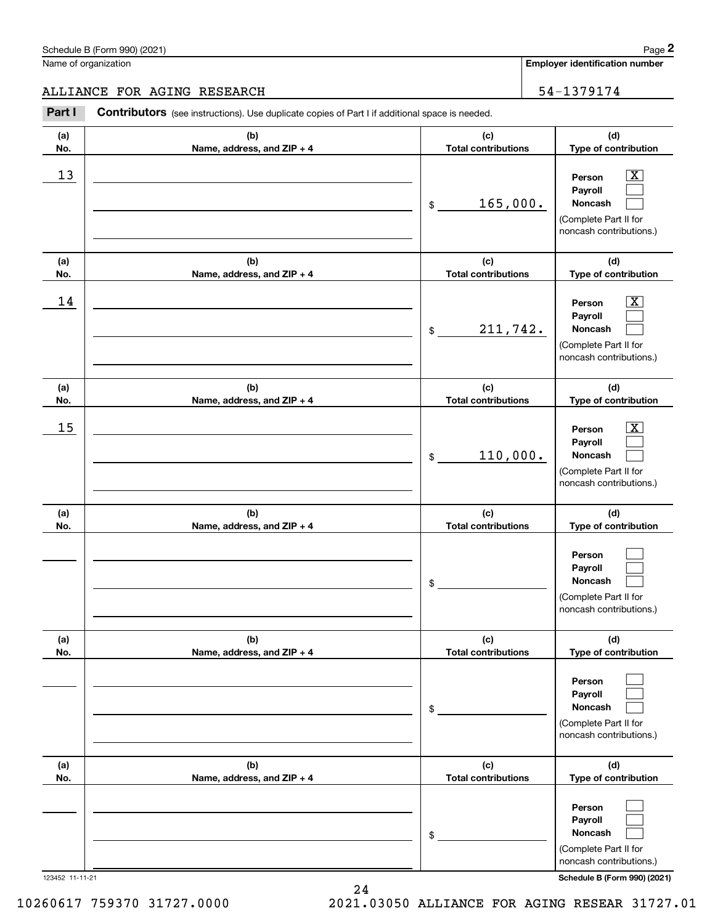## ALLIANCE FOR AGING RESEARCH 54-1379174

|            | Schedule B (Form 990) (2021)                                                                   |                                   | Page 2                                                                                                      |
|------------|------------------------------------------------------------------------------------------------|-----------------------------------|-------------------------------------------------------------------------------------------------------------|
|            | Name of organization                                                                           |                                   | <b>Employer identification number</b>                                                                       |
|            | ALLIANCE FOR AGING RESEARCH                                                                    |                                   | 54-1379174                                                                                                  |
| Part I     | Contributors (see instructions). Use duplicate copies of Part I if additional space is needed. |                                   |                                                                                                             |
| (a)<br>No. | (b)<br>Name, address, and ZIP + 4                                                              | (c)<br><b>Total contributions</b> | (d)<br>Type of contribution                                                                                 |
| 13         |                                                                                                | 165,000.<br>\$                    | $\overline{\mathbf{X}}$<br>Person<br>Payroll<br>Noncash<br>(Complete Part II for<br>noncash contributions.) |
| (a)<br>No. | (b)<br>Name, address, and ZIP + 4                                                              | (c)<br><b>Total contributions</b> | (d)<br>Type of contribution                                                                                 |
| 14         |                                                                                                | 211,742.<br>\$                    | $\overline{\mathbf{X}}$<br>Person<br>Payroll<br>Noncash<br>(Complete Part II for<br>noncash contributions.) |
| (a)<br>No. | (b)<br>Name, address, and ZIP + 4                                                              | (c)<br><b>Total contributions</b> | (d)<br>Type of contribution                                                                                 |
| 15         |                                                                                                | 110,000.<br>\$                    | $\overline{\mathbf{X}}$<br>Person<br>Payroll<br>Noncash<br>(Complete Part II for<br>noncash contributions.) |
| (a)<br>No. | (b)<br>Name, address, and ZIP + 4                                                              | (c)<br><b>Total contributions</b> | (d)<br>Type of contribution                                                                                 |
|            |                                                                                                | \$                                | Person<br>Payroll<br>Noncash<br>(Complete Part II for<br>noncash contributions.)                            |
| (a)<br>No. | (b)<br>Name, address, and ZIP + 4                                                              | (c)<br><b>Total contributions</b> | (d)<br>Type of contribution                                                                                 |
|            |                                                                                                | \$                                | Person<br>Payroll<br>Noncash<br>(Complete Part II for<br>noncash contributions.)                            |
| (a)<br>No. | (b)<br>Name, address, and ZIP + 4                                                              | (c)<br><b>Total contributions</b> | (d)<br>Type of contribution                                                                                 |
|            |                                                                                                | \$                                | Person<br>Payroll<br>Noncash<br>(Complete Part II for<br>noncash contributions.)                            |

123452 11-11-21 **Schedule B (Form 990) (2021)**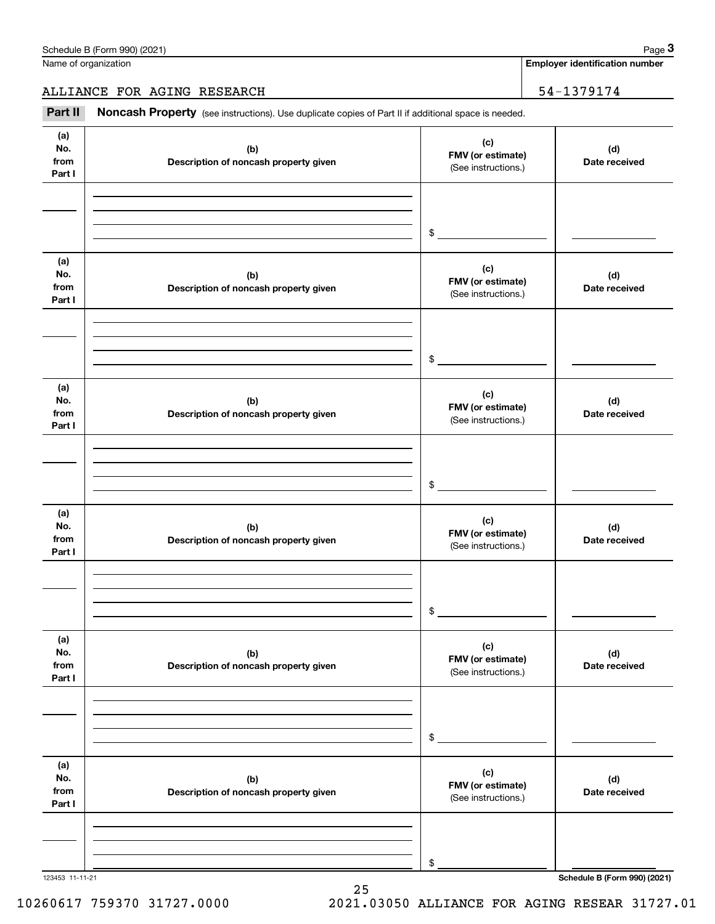|                              | Schedule B (Form 990) (2021)<br>Name of organization                                                |                                                 | Page 3                                |
|------------------------------|-----------------------------------------------------------------------------------------------------|-------------------------------------------------|---------------------------------------|
|                              |                                                                                                     |                                                 | <b>Employer identification number</b> |
|                              | ALLIANCE FOR AGING RESEARCH                                                                         |                                                 | 54-1379174                            |
| Part II                      | Noncash Property (see instructions). Use duplicate copies of Part II if additional space is needed. |                                                 |                                       |
| (a)<br>No.<br>from<br>Part I | (b)<br>Description of noncash property given                                                        | (c)<br>FMV (or estimate)<br>(See instructions.) | (d)<br>Date received                  |
|                              |                                                                                                     | \$                                              |                                       |
| (a)<br>No.<br>from<br>Part I | (b)<br>Description of noncash property given                                                        | (c)<br>FMV (or estimate)<br>(See instructions.) | (d)<br>Date received                  |
|                              |                                                                                                     | \$                                              |                                       |
| (a)<br>No.<br>from<br>Part I | (b)<br>Description of noncash property given                                                        | (c)<br>FMV (or estimate)<br>(See instructions.) | (d)<br>Date received                  |
|                              |                                                                                                     | \$                                              |                                       |
| (a)<br>No.<br>from<br>Part I | (b)<br>Description of noncash property given                                                        | (c)<br>FMV (or estimate)<br>(See instructions.) | (d)<br>Date received                  |
|                              |                                                                                                     | \$                                              |                                       |
| (a)<br>No.<br>from<br>Part I | (b)<br>Description of noncash property given                                                        | (c)<br>FMV (or estimate)<br>(See instructions.) | (d)<br>Date received                  |
|                              |                                                                                                     | \$                                              |                                       |
| (a)<br>No.<br>from<br>Part I | (b)<br>Description of noncash property given                                                        | (c)<br>FMV (or estimate)<br>(See instructions.) | (d)<br>Date received                  |
|                              |                                                                                                     | \$                                              |                                       |
|                              |                                                                                                     |                                                 |                                       |

25

123453 11-11-21 **Schedule B (Form 990) (2021)**

10260617 759370 31727.0000 2021.03050 ALLIANCE FOR AGING RESEAR 31727.01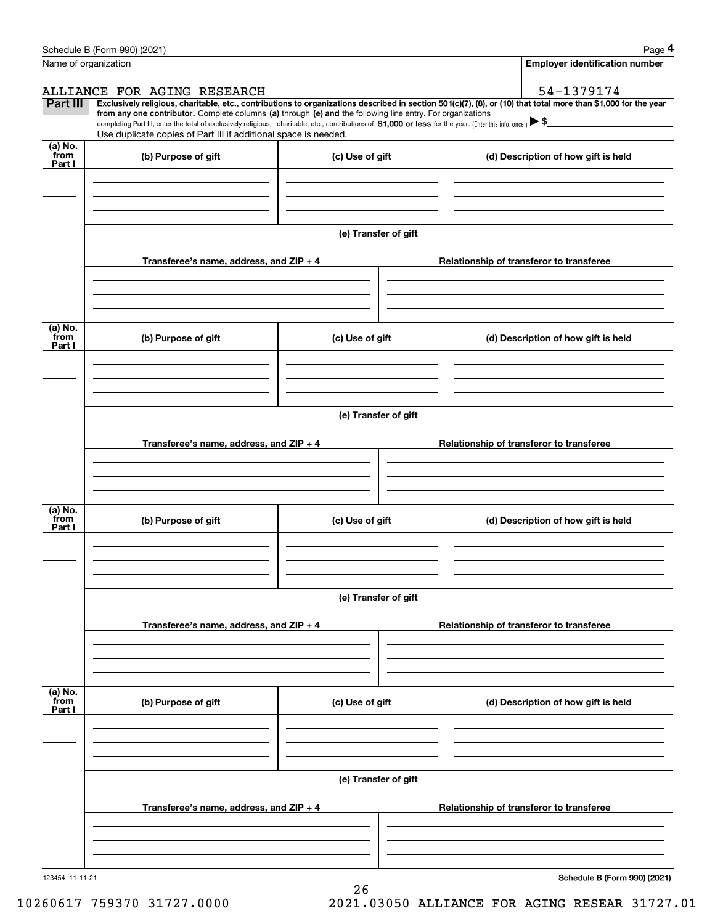|                 | Schedule B (Form 990) (2021)                                                                                                                                                                                                                                                                    |                      | Page 4                                                                                                                                                         |  |  |  |  |  |  |
|-----------------|-------------------------------------------------------------------------------------------------------------------------------------------------------------------------------------------------------------------------------------------------------------------------------------------------|----------------------|----------------------------------------------------------------------------------------------------------------------------------------------------------------|--|--|--|--|--|--|
|                 | Name of organization                                                                                                                                                                                                                                                                            |                      | <b>Employer identification number</b>                                                                                                                          |  |  |  |  |  |  |
|                 | ALLIANCE FOR AGING RESEARCH                                                                                                                                                                                                                                                                     |                      | 54-1379174                                                                                                                                                     |  |  |  |  |  |  |
| Part III        |                                                                                                                                                                                                                                                                                                 |                      | Exclusively religious, charitable, etc., contributions to organizations described in section 501(c)(7), (8), or (10) that total more than \$1,000 for the year |  |  |  |  |  |  |
|                 | from any one contributor. Complete columns (a) through (e) and the following line entry. For organizations<br>completing Part III, enter the total of exclusively religious, charitable, etc., contributions of \$1,000 or less for the year. (Enter this info. once.) $\blacktriangleright$ \$ |                      |                                                                                                                                                                |  |  |  |  |  |  |
|                 | Use duplicate copies of Part III if additional space is needed.                                                                                                                                                                                                                                 |                      |                                                                                                                                                                |  |  |  |  |  |  |
| (a) No.<br>from | (b) Purpose of gift                                                                                                                                                                                                                                                                             | (c) Use of gift      | (d) Description of how gift is held                                                                                                                            |  |  |  |  |  |  |
| Part I          |                                                                                                                                                                                                                                                                                                 |                      |                                                                                                                                                                |  |  |  |  |  |  |
|                 |                                                                                                                                                                                                                                                                                                 |                      |                                                                                                                                                                |  |  |  |  |  |  |
|                 |                                                                                                                                                                                                                                                                                                 |                      |                                                                                                                                                                |  |  |  |  |  |  |
|                 |                                                                                                                                                                                                                                                                                                 |                      |                                                                                                                                                                |  |  |  |  |  |  |
|                 |                                                                                                                                                                                                                                                                                                 | (e) Transfer of gift |                                                                                                                                                                |  |  |  |  |  |  |
|                 |                                                                                                                                                                                                                                                                                                 |                      |                                                                                                                                                                |  |  |  |  |  |  |
|                 | Transferee's name, address, and ZIP + 4                                                                                                                                                                                                                                                         |                      | Relationship of transferor to transferee                                                                                                                       |  |  |  |  |  |  |
|                 |                                                                                                                                                                                                                                                                                                 |                      |                                                                                                                                                                |  |  |  |  |  |  |
|                 |                                                                                                                                                                                                                                                                                                 |                      |                                                                                                                                                                |  |  |  |  |  |  |
|                 |                                                                                                                                                                                                                                                                                                 |                      |                                                                                                                                                                |  |  |  |  |  |  |
| (a) No.<br>from | (b) Purpose of gift                                                                                                                                                                                                                                                                             | (c) Use of gift      | (d) Description of how gift is held                                                                                                                            |  |  |  |  |  |  |
| Part I          |                                                                                                                                                                                                                                                                                                 |                      |                                                                                                                                                                |  |  |  |  |  |  |
|                 |                                                                                                                                                                                                                                                                                                 |                      |                                                                                                                                                                |  |  |  |  |  |  |
|                 |                                                                                                                                                                                                                                                                                                 |                      |                                                                                                                                                                |  |  |  |  |  |  |
|                 |                                                                                                                                                                                                                                                                                                 |                      |                                                                                                                                                                |  |  |  |  |  |  |
|                 | (e) Transfer of gift                                                                                                                                                                                                                                                                            |                      |                                                                                                                                                                |  |  |  |  |  |  |
|                 |                                                                                                                                                                                                                                                                                                 |                      |                                                                                                                                                                |  |  |  |  |  |  |
|                 | Transferee's name, address, and ZIP + 4                                                                                                                                                                                                                                                         |                      | Relationship of transferor to transferee                                                                                                                       |  |  |  |  |  |  |
|                 |                                                                                                                                                                                                                                                                                                 |                      |                                                                                                                                                                |  |  |  |  |  |  |
|                 |                                                                                                                                                                                                                                                                                                 |                      |                                                                                                                                                                |  |  |  |  |  |  |
|                 |                                                                                                                                                                                                                                                                                                 |                      |                                                                                                                                                                |  |  |  |  |  |  |
| (a) No.<br>from | (b) Purpose of gift                                                                                                                                                                                                                                                                             | (c) Use of gift      | (d) Description of how gift is held                                                                                                                            |  |  |  |  |  |  |
| Part I          |                                                                                                                                                                                                                                                                                                 |                      |                                                                                                                                                                |  |  |  |  |  |  |
|                 |                                                                                                                                                                                                                                                                                                 |                      |                                                                                                                                                                |  |  |  |  |  |  |
|                 |                                                                                                                                                                                                                                                                                                 |                      |                                                                                                                                                                |  |  |  |  |  |  |
|                 |                                                                                                                                                                                                                                                                                                 |                      |                                                                                                                                                                |  |  |  |  |  |  |
|                 | (e) Transfer of gift                                                                                                                                                                                                                                                                            |                      |                                                                                                                                                                |  |  |  |  |  |  |
|                 | Transferee's name, address, and $ZIP + 4$                                                                                                                                                                                                                                                       |                      | Relationship of transferor to transferee                                                                                                                       |  |  |  |  |  |  |
|                 |                                                                                                                                                                                                                                                                                                 |                      |                                                                                                                                                                |  |  |  |  |  |  |
|                 |                                                                                                                                                                                                                                                                                                 |                      |                                                                                                                                                                |  |  |  |  |  |  |
|                 |                                                                                                                                                                                                                                                                                                 |                      |                                                                                                                                                                |  |  |  |  |  |  |
| (a) No.<br>from |                                                                                                                                                                                                                                                                                                 |                      |                                                                                                                                                                |  |  |  |  |  |  |
| Part I          | (b) Purpose of gift                                                                                                                                                                                                                                                                             | (c) Use of gift      | (d) Description of how gift is held                                                                                                                            |  |  |  |  |  |  |
|                 |                                                                                                                                                                                                                                                                                                 |                      |                                                                                                                                                                |  |  |  |  |  |  |
|                 |                                                                                                                                                                                                                                                                                                 |                      |                                                                                                                                                                |  |  |  |  |  |  |
|                 |                                                                                                                                                                                                                                                                                                 |                      |                                                                                                                                                                |  |  |  |  |  |  |
|                 |                                                                                                                                                                                                                                                                                                 | (e) Transfer of gift |                                                                                                                                                                |  |  |  |  |  |  |
|                 |                                                                                                                                                                                                                                                                                                 |                      |                                                                                                                                                                |  |  |  |  |  |  |
|                 | Transferee's name, address, and $ZIP + 4$                                                                                                                                                                                                                                                       |                      | Relationship of transferor to transferee                                                                                                                       |  |  |  |  |  |  |
|                 |                                                                                                                                                                                                                                                                                                 |                      |                                                                                                                                                                |  |  |  |  |  |  |
|                 |                                                                                                                                                                                                                                                                                                 |                      |                                                                                                                                                                |  |  |  |  |  |  |
|                 |                                                                                                                                                                                                                                                                                                 |                      |                                                                                                                                                                |  |  |  |  |  |  |
| 103454          |                                                                                                                                                                                                                                                                                                 |                      | Schodule B (Form 990) (2021)                                                                                                                                   |  |  |  |  |  |  |

123454 11-11-21

**Schedule B (Form 990) (2021)**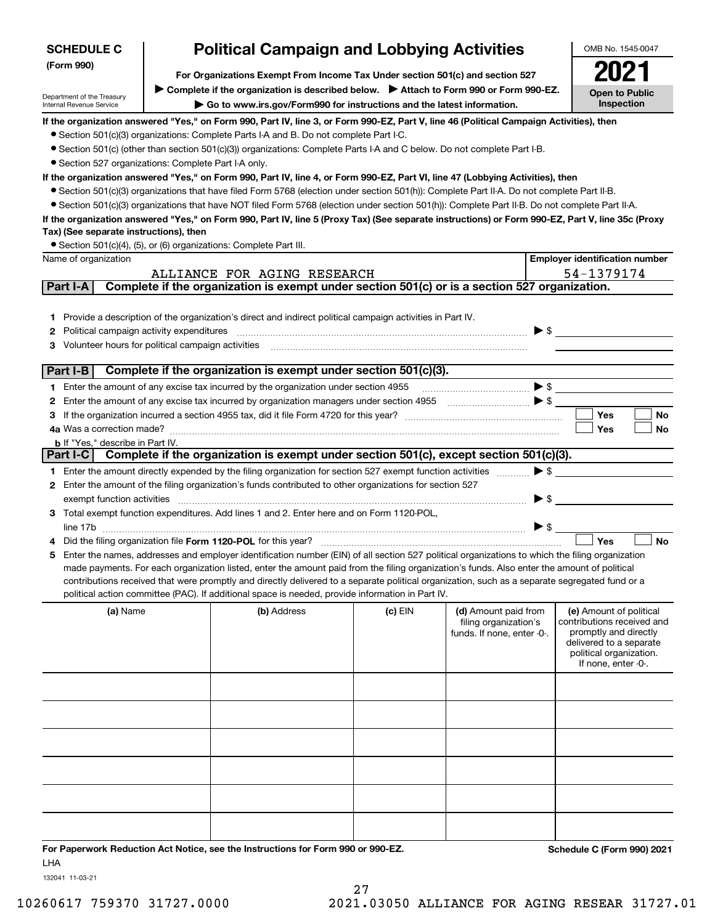| <b>SCHEDULE C</b>                                    | <b>Political Campaign and Lobbying Activities</b>                                                                                                                    |                                                                                                                                                                                                                                                    |           |                                               |                          |                                                       |
|------------------------------------------------------|----------------------------------------------------------------------------------------------------------------------------------------------------------------------|----------------------------------------------------------------------------------------------------------------------------------------------------------------------------------------------------------------------------------------------------|-----------|-----------------------------------------------|--------------------------|-------------------------------------------------------|
| (Form 990)                                           |                                                                                                                                                                      |                                                                                                                                                                                                                                                    |           |                                               |                          |                                                       |
|                                                      | For Organizations Exempt From Income Tax Under section 501(c) and section 527<br>Complete if the organization is described below. Attach to Form 990 or Form 990-EZ. |                                                                                                                                                                                                                                                    |           |                                               |                          |                                                       |
| Department of the Treasury                           |                                                                                                                                                                      |                                                                                                                                                                                                                                                    |           |                                               |                          | <b>Open to Public</b><br>Inspection                   |
| Internal Revenue Service                             |                                                                                                                                                                      | ► Go to www.irs.gov/Form990 for instructions and the latest information.                                                                                                                                                                           |           |                                               |                          |                                                       |
|                                                      |                                                                                                                                                                      | If the organization answered "Yes," on Form 990, Part IV, line 3, or Form 990-EZ, Part V, line 46 (Political Campaign Activities), then                                                                                                            |           |                                               |                          |                                                       |
|                                                      |                                                                                                                                                                      | • Section 501(c)(3) organizations: Complete Parts I-A and B. Do not complete Part I-C.<br>• Section 501(c) (other than section 501(c)(3)) organizations: Complete Parts I-A and C below. Do not complete Part I-B.                                 |           |                                               |                          |                                                       |
| • Section 527 organizations: Complete Part I-A only. |                                                                                                                                                                      |                                                                                                                                                                                                                                                    |           |                                               |                          |                                                       |
|                                                      |                                                                                                                                                                      | If the organization answered "Yes," on Form 990, Part IV, line 4, or Form 990-EZ, Part VI, line 47 (Lobbying Activities), then                                                                                                                     |           |                                               |                          |                                                       |
|                                                      |                                                                                                                                                                      | • Section 501(c)(3) organizations that have filed Form 5768 (election under section 501(h)): Complete Part II-A. Do not complete Part II-B.                                                                                                        |           |                                               |                          |                                                       |
|                                                      |                                                                                                                                                                      | • Section 501(c)(3) organizations that have NOT filed Form 5768 (election under section 501(h)): Complete Part II-B. Do not complete Part II-A.                                                                                                    |           |                                               |                          |                                                       |
|                                                      |                                                                                                                                                                      | If the organization answered "Yes," on Form 990, Part IV, line 5 (Proxy Tax) (See separate instructions) or Form 990-EZ, Part V, line 35c (Proxy                                                                                                   |           |                                               |                          |                                                       |
| Tax) (See separate instructions), then               |                                                                                                                                                                      |                                                                                                                                                                                                                                                    |           |                                               |                          |                                                       |
|                                                      |                                                                                                                                                                      | • Section 501(c)(4), (5), or (6) organizations: Complete Part III.                                                                                                                                                                                 |           |                                               |                          |                                                       |
| Name of organization                                 |                                                                                                                                                                      |                                                                                                                                                                                                                                                    |           |                                               |                          | <b>Employer identification number</b>                 |
|                                                      |                                                                                                                                                                      | ALLIANCE FOR AGING RESEARCH                                                                                                                                                                                                                        |           |                                               |                          | 54-1379174                                            |
| Part I-A                                             |                                                                                                                                                                      | Complete if the organization is exempt under section 501(c) or is a section 527 organization.                                                                                                                                                      |           |                                               |                          |                                                       |
|                                                      |                                                                                                                                                                      |                                                                                                                                                                                                                                                    |           |                                               |                          |                                                       |
|                                                      |                                                                                                                                                                      | 1 Provide a description of the organization's direct and indirect political campaign activities in Part IV.                                                                                                                                        |           |                                               |                          |                                                       |
| Political campaign activity expenditures<br>2        |                                                                                                                                                                      |                                                                                                                                                                                                                                                    |           |                                               | $\blacktriangleright$ \$ |                                                       |
| 3.                                                   |                                                                                                                                                                      |                                                                                                                                                                                                                                                    |           |                                               |                          |                                                       |
| Part I-B                                             |                                                                                                                                                                      | Complete if the organization is exempt under section 501(c)(3).                                                                                                                                                                                    |           |                                               |                          |                                                       |
|                                                      |                                                                                                                                                                      | 1 Enter the amount of any excise tax incurred by the organization under section 4955                                                                                                                                                               |           |                                               |                          |                                                       |
| 2                                                    |                                                                                                                                                                      |                                                                                                                                                                                                                                                    |           | $\bullet$ $\bullet$                           |                          |                                                       |
| з                                                    |                                                                                                                                                                      |                                                                                                                                                                                                                                                    |           |                                               |                          | Yes<br><b>No</b>                                      |
|                                                      |                                                                                                                                                                      |                                                                                                                                                                                                                                                    |           |                                               |                          | Yes<br>No                                             |
| <b>b</b> If "Yes," describe in Part IV.              |                                                                                                                                                                      |                                                                                                                                                                                                                                                    |           |                                               |                          |                                                       |
| Part I-C                                             |                                                                                                                                                                      | Complete if the organization is exempt under section 501(c), except section 501(c)(3).                                                                                                                                                             |           |                                               |                          |                                                       |
|                                                      |                                                                                                                                                                      | 1 Enter the amount directly expended by the filing organization for section 527 exempt function activities                                                                                                                                         |           |                                               | $\blacktriangleright$ \$ |                                                       |
|                                                      |                                                                                                                                                                      | 2 Enter the amount of the filing organization's funds contributed to other organizations for section 527                                                                                                                                           |           |                                               |                          |                                                       |
| exempt function activities                           |                                                                                                                                                                      |                                                                                                                                                                                                                                                    |           |                                               | $\blacktriangleright$ \$ |                                                       |
|                                                      |                                                                                                                                                                      | 3 Total exempt function expenditures. Add lines 1 and 2. Enter here and on Form 1120-POL,                                                                                                                                                          |           |                                               |                          |                                                       |
|                                                      |                                                                                                                                                                      |                                                                                                                                                                                                                                                    |           |                                               | $\triangleright$ \$      |                                                       |
|                                                      |                                                                                                                                                                      | Did the filing organization file Form 1120-POL for this year?                                                                                                                                                                                      |           |                                               |                          | Yes<br><b>No</b>                                      |
|                                                      |                                                                                                                                                                      | 5 Enter the names, addresses and employer identification number (EIN) of all section 527 political organizations to which the filing organization                                                                                                  |           |                                               |                          |                                                       |
|                                                      |                                                                                                                                                                      | made payments. For each organization listed, enter the amount paid from the filing organization's funds. Also enter the amount of political                                                                                                        |           |                                               |                          |                                                       |
|                                                      |                                                                                                                                                                      | contributions received that were promptly and directly delivered to a separate political organization, such as a separate segregated fund or a<br>political action committee (PAC). If additional space is needed, provide information in Part IV. |           |                                               |                          |                                                       |
|                                                      |                                                                                                                                                                      |                                                                                                                                                                                                                                                    |           |                                               |                          |                                                       |
| (a) Name                                             |                                                                                                                                                                      | (b) Address                                                                                                                                                                                                                                        | $(c)$ EIN | (d) Amount paid from<br>filing organization's |                          | (e) Amount of political<br>contributions received and |
|                                                      |                                                                                                                                                                      |                                                                                                                                                                                                                                                    |           | funds. If none, enter -0-.                    |                          | promptly and directly                                 |
|                                                      |                                                                                                                                                                      |                                                                                                                                                                                                                                                    |           |                                               |                          | delivered to a separate<br>political organization.    |
|                                                      |                                                                                                                                                                      |                                                                                                                                                                                                                                                    |           |                                               |                          | If none, enter -0-.                                   |
|                                                      |                                                                                                                                                                      |                                                                                                                                                                                                                                                    |           |                                               |                          |                                                       |
|                                                      |                                                                                                                                                                      |                                                                                                                                                                                                                                                    |           |                                               |                          |                                                       |
|                                                      |                                                                                                                                                                      |                                                                                                                                                                                                                                                    |           |                                               |                          |                                                       |
|                                                      |                                                                                                                                                                      |                                                                                                                                                                                                                                                    |           |                                               |                          |                                                       |
|                                                      |                                                                                                                                                                      |                                                                                                                                                                                                                                                    |           |                                               |                          |                                                       |
|                                                      |                                                                                                                                                                      |                                                                                                                                                                                                                                                    |           |                                               |                          |                                                       |
|                                                      |                                                                                                                                                                      |                                                                                                                                                                                                                                                    |           |                                               |                          |                                                       |
|                                                      |                                                                                                                                                                      |                                                                                                                                                                                                                                                    |           |                                               |                          |                                                       |
|                                                      |                                                                                                                                                                      |                                                                                                                                                                                                                                                    |           |                                               |                          |                                                       |
|                                                      |                                                                                                                                                                      |                                                                                                                                                                                                                                                    |           |                                               |                          |                                                       |
|                                                      |                                                                                                                                                                      |                                                                                                                                                                                                                                                    |           |                                               |                          |                                                       |
|                                                      |                                                                                                                                                                      |                                                                                                                                                                                                                                                    |           |                                               |                          |                                                       |
|                                                      |                                                                                                                                                                      | For Paperwork Reduction Act Notice, see the Instructions for Form 990 or 990-EZ.                                                                                                                                                                   |           |                                               |                          | Schedule C (Form 990) 2021                            |
| LHA                                                  |                                                                                                                                                                      |                                                                                                                                                                                                                                                    |           |                                               |                          |                                                       |

132041 11-03-21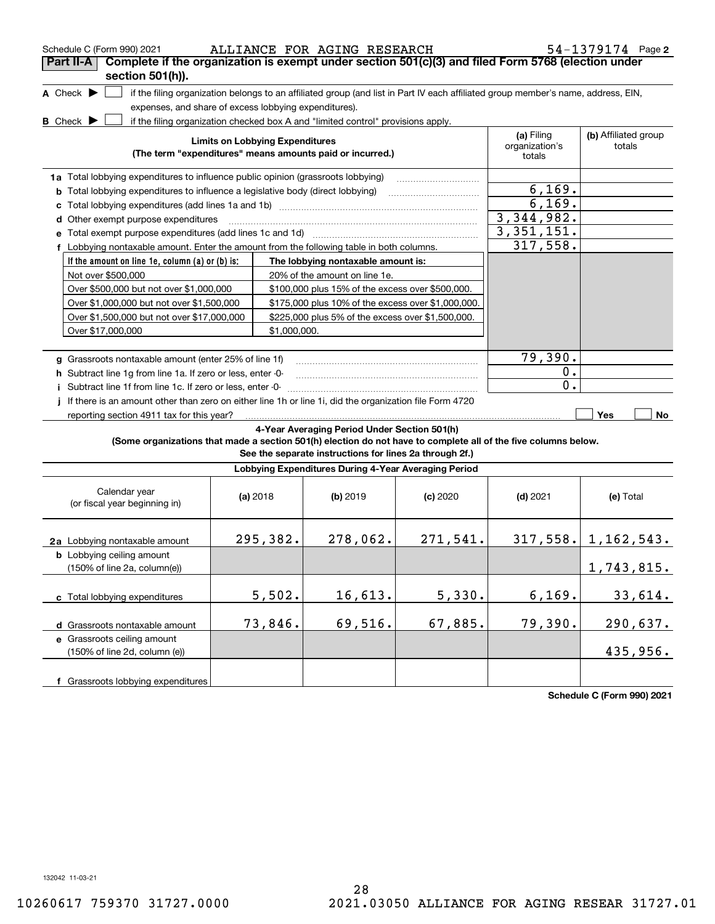|                                                                                                 |                                           |                                                                                                                                                                                                                                  |                                                                                                                                                                                                                                                                                                                                            |                                                                                                                                                                                                                                                                                                                                                                                                                                                                                                                                                                                                                                                                                                                    | 54-1379174 Page 2                                                                                                                                                                                                                                                                                                                                                                                                                                                   |
|-------------------------------------------------------------------------------------------------|-------------------------------------------|----------------------------------------------------------------------------------------------------------------------------------------------------------------------------------------------------------------------------------|--------------------------------------------------------------------------------------------------------------------------------------------------------------------------------------------------------------------------------------------------------------------------------------------------------------------------------------------|--------------------------------------------------------------------------------------------------------------------------------------------------------------------------------------------------------------------------------------------------------------------------------------------------------------------------------------------------------------------------------------------------------------------------------------------------------------------------------------------------------------------------------------------------------------------------------------------------------------------------------------------------------------------------------------------------------------------|---------------------------------------------------------------------------------------------------------------------------------------------------------------------------------------------------------------------------------------------------------------------------------------------------------------------------------------------------------------------------------------------------------------------------------------------------------------------|
|                                                                                                 |                                           |                                                                                                                                                                                                                                  |                                                                                                                                                                                                                                                                                                                                            |                                                                                                                                                                                                                                                                                                                                                                                                                                                                                                                                                                                                                                                                                                                    |                                                                                                                                                                                                                                                                                                                                                                                                                                                                     |
|                                                                                                 |                                           |                                                                                                                                                                                                                                  |                                                                                                                                                                                                                                                                                                                                            |                                                                                                                                                                                                                                                                                                                                                                                                                                                                                                                                                                                                                                                                                                                    |                                                                                                                                                                                                                                                                                                                                                                                                                                                                     |
|                                                                                                 |                                           |                                                                                                                                                                                                                                  |                                                                                                                                                                                                                                                                                                                                            |                                                                                                                                                                                                                                                                                                                                                                                                                                                                                                                                                                                                                                                                                                                    |                                                                                                                                                                                                                                                                                                                                                                                                                                                                     |
|                                                                                                 |                                           |                                                                                                                                                                                                                                  |                                                                                                                                                                                                                                                                                                                                            |                                                                                                                                                                                                                                                                                                                                                                                                                                                                                                                                                                                                                                                                                                                    |                                                                                                                                                                                                                                                                                                                                                                                                                                                                     |
|                                                                                                 |                                           |                                                                                                                                                                                                                                  |                                                                                                                                                                                                                                                                                                                                            | (a) Filing                                                                                                                                                                                                                                                                                                                                                                                                                                                                                                                                                                                                                                                                                                         | (b) Affiliated group<br>totals                                                                                                                                                                                                                                                                                                                                                                                                                                      |
|                                                                                                 |                                           |                                                                                                                                                                                                                                  |                                                                                                                                                                                                                                                                                                                                            | totals                                                                                                                                                                                                                                                                                                                                                                                                                                                                                                                                                                                                                                                                                                             |                                                                                                                                                                                                                                                                                                                                                                                                                                                                     |
|                                                                                                 |                                           |                                                                                                                                                                                                                                  |                                                                                                                                                                                                                                                                                                                                            |                                                                                                                                                                                                                                                                                                                                                                                                                                                                                                                                                                                                                                                                                                                    |                                                                                                                                                                                                                                                                                                                                                                                                                                                                     |
|                                                                                                 |                                           |                                                                                                                                                                                                                                  |                                                                                                                                                                                                                                                                                                                                            |                                                                                                                                                                                                                                                                                                                                                                                                                                                                                                                                                                                                                                                                                                                    |                                                                                                                                                                                                                                                                                                                                                                                                                                                                     |
|                                                                                                 |                                           |                                                                                                                                                                                                                                  |                                                                                                                                                                                                                                                                                                                                            |                                                                                                                                                                                                                                                                                                                                                                                                                                                                                                                                                                                                                                                                                                                    |                                                                                                                                                                                                                                                                                                                                                                                                                                                                     |
| d Other exempt purpose expenditures                                                             |                                           |                                                                                                                                                                                                                                  |                                                                                                                                                                                                                                                                                                                                            |                                                                                                                                                                                                                                                                                                                                                                                                                                                                                                                                                                                                                                                                                                                    |                                                                                                                                                                                                                                                                                                                                                                                                                                                                     |
|                                                                                                 |                                           |                                                                                                                                                                                                                                  |                                                                                                                                                                                                                                                                                                                                            |                                                                                                                                                                                                                                                                                                                                                                                                                                                                                                                                                                                                                                                                                                                    |                                                                                                                                                                                                                                                                                                                                                                                                                                                                     |
|                                                                                                 |                                           |                                                                                                                                                                                                                                  |                                                                                                                                                                                                                                                                                                                                            |                                                                                                                                                                                                                                                                                                                                                                                                                                                                                                                                                                                                                                                                                                                    |                                                                                                                                                                                                                                                                                                                                                                                                                                                                     |
| If the amount on line 1e, column (a) or (b) is:                                                 |                                           |                                                                                                                                                                                                                                  |                                                                                                                                                                                                                                                                                                                                            |                                                                                                                                                                                                                                                                                                                                                                                                                                                                                                                                                                                                                                                                                                                    |                                                                                                                                                                                                                                                                                                                                                                                                                                                                     |
|                                                                                                 |                                           |                                                                                                                                                                                                                                  |                                                                                                                                                                                                                                                                                                                                            |                                                                                                                                                                                                                                                                                                                                                                                                                                                                                                                                                                                                                                                                                                                    |                                                                                                                                                                                                                                                                                                                                                                                                                                                                     |
| Over \$500,000 but not over \$1,000,000                                                         |                                           |                                                                                                                                                                                                                                  |                                                                                                                                                                                                                                                                                                                                            |                                                                                                                                                                                                                                                                                                                                                                                                                                                                                                                                                                                                                                                                                                                    |                                                                                                                                                                                                                                                                                                                                                                                                                                                                     |
| Over \$1,000,000 but not over \$1,500,000                                                       |                                           |                                                                                                                                                                                                                                  |                                                                                                                                                                                                                                                                                                                                            |                                                                                                                                                                                                                                                                                                                                                                                                                                                                                                                                                                                                                                                                                                                    |                                                                                                                                                                                                                                                                                                                                                                                                                                                                     |
| Over \$1,500,000 but not over \$17,000,000<br>\$225,000 plus 5% of the excess over \$1,500,000. |                                           |                                                                                                                                                                                                                                  |                                                                                                                                                                                                                                                                                                                                            |                                                                                                                                                                                                                                                                                                                                                                                                                                                                                                                                                                                                                                                                                                                    |                                                                                                                                                                                                                                                                                                                                                                                                                                                                     |
|                                                                                                 |                                           |                                                                                                                                                                                                                                  |                                                                                                                                                                                                                                                                                                                                            |                                                                                                                                                                                                                                                                                                                                                                                                                                                                                                                                                                                                                                                                                                                    |                                                                                                                                                                                                                                                                                                                                                                                                                                                                     |
|                                                                                                 |                                           |                                                                                                                                                                                                                                  |                                                                                                                                                                                                                                                                                                                                            |                                                                                                                                                                                                                                                                                                                                                                                                                                                                                                                                                                                                                                                                                                                    |                                                                                                                                                                                                                                                                                                                                                                                                                                                                     |
|                                                                                                 |                                           |                                                                                                                                                                                                                                  |                                                                                                                                                                                                                                                                                                                                            |                                                                                                                                                                                                                                                                                                                                                                                                                                                                                                                                                                                                                                                                                                                    |                                                                                                                                                                                                                                                                                                                                                                                                                                                                     |
|                                                                                                 |                                           |                                                                                                                                                                                                                                  |                                                                                                                                                                                                                                                                                                                                            |                                                                                                                                                                                                                                                                                                                                                                                                                                                                                                                                                                                                                                                                                                                    |                                                                                                                                                                                                                                                                                                                                                                                                                                                                     |
|                                                                                                 |                                           |                                                                                                                                                                                                                                  |                                                                                                                                                                                                                                                                                                                                            |                                                                                                                                                                                                                                                                                                                                                                                                                                                                                                                                                                                                                                                                                                                    |                                                                                                                                                                                                                                                                                                                                                                                                                                                                     |
|                                                                                                 |                                           |                                                                                                                                                                                                                                  |                                                                                                                                                                                                                                                                                                                                            |                                                                                                                                                                                                                                                                                                                                                                                                                                                                                                                                                                                                                                                                                                                    |                                                                                                                                                                                                                                                                                                                                                                                                                                                                     |
|                                                                                                 |                                           |                                                                                                                                                                                                                                  |                                                                                                                                                                                                                                                                                                                                            |                                                                                                                                                                                                                                                                                                                                                                                                                                                                                                                                                                                                                                                                                                                    | Yes<br>No                                                                                                                                                                                                                                                                                                                                                                                                                                                           |
|                                                                                                 |                                           |                                                                                                                                                                                                                                  |                                                                                                                                                                                                                                                                                                                                            |                                                                                                                                                                                                                                                                                                                                                                                                                                                                                                                                                                                                                                                                                                                    |                                                                                                                                                                                                                                                                                                                                                                                                                                                                     |
|                                                                                                 |                                           |                                                                                                                                                                                                                                  |                                                                                                                                                                                                                                                                                                                                            |                                                                                                                                                                                                                                                                                                                                                                                                                                                                                                                                                                                                                                                                                                                    |                                                                                                                                                                                                                                                                                                                                                                                                                                                                     |
|                                                                                                 |                                           |                                                                                                                                                                                                                                  |                                                                                                                                                                                                                                                                                                                                            |                                                                                                                                                                                                                                                                                                                                                                                                                                                                                                                                                                                                                                                                                                                    |                                                                                                                                                                                                                                                                                                                                                                                                                                                                     |
|                                                                                                 |                                           | (b) 2019                                                                                                                                                                                                                         | (c) 2020                                                                                                                                                                                                                                                                                                                                   | $(d)$ 2021                                                                                                                                                                                                                                                                                                                                                                                                                                                                                                                                                                                                                                                                                                         | (e) Total                                                                                                                                                                                                                                                                                                                                                                                                                                                           |
|                                                                                                 |                                           |                                                                                                                                                                                                                                  |                                                                                                                                                                                                                                                                                                                                            |                                                                                                                                                                                                                                                                                                                                                                                                                                                                                                                                                                                                                                                                                                                    | $317,558.$ 1, 162, 543.                                                                                                                                                                                                                                                                                                                                                                                                                                             |
|                                                                                                 |                                           |                                                                                                                                                                                                                                  |                                                                                                                                                                                                                                                                                                                                            |                                                                                                                                                                                                                                                                                                                                                                                                                                                                                                                                                                                                                                                                                                                    |                                                                                                                                                                                                                                                                                                                                                                                                                                                                     |
|                                                                                                 |                                           |                                                                                                                                                                                                                                  |                                                                                                                                                                                                                                                                                                                                            |                                                                                                                                                                                                                                                                                                                                                                                                                                                                                                                                                                                                                                                                                                                    | 1,743,815.                                                                                                                                                                                                                                                                                                                                                                                                                                                          |
|                                                                                                 |                                           | 16,613.                                                                                                                                                                                                                          | 5,330.                                                                                                                                                                                                                                                                                                                                     | 6, 169.                                                                                                                                                                                                                                                                                                                                                                                                                                                                                                                                                                                                                                                                                                            | 33,614.                                                                                                                                                                                                                                                                                                                                                                                                                                                             |
|                                                                                                 |                                           | 69,516.                                                                                                                                                                                                                          | 67,885.                                                                                                                                                                                                                                                                                                                                    | 79,390.                                                                                                                                                                                                                                                                                                                                                                                                                                                                                                                                                                                                                                                                                                            | 290,637.                                                                                                                                                                                                                                                                                                                                                                                                                                                            |
|                                                                                                 |                                           |                                                                                                                                                                                                                                  |                                                                                                                                                                                                                                                                                                                                            |                                                                                                                                                                                                                                                                                                                                                                                                                                                                                                                                                                                                                                                                                                                    |                                                                                                                                                                                                                                                                                                                                                                                                                                                                     |
|                                                                                                 |                                           |                                                                                                                                                                                                                                  |                                                                                                                                                                                                                                                                                                                                            |                                                                                                                                                                                                                                                                                                                                                                                                                                                                                                                                                                                                                                                                                                                    |                                                                                                                                                                                                                                                                                                                                                                                                                                                                     |
|                                                                                                 |                                           |                                                                                                                                                                                                                                  |                                                                                                                                                                                                                                                                                                                                            |                                                                                                                                                                                                                                                                                                                                                                                                                                                                                                                                                                                                                                                                                                                    | 435,956.                                                                                                                                                                                                                                                                                                                                                                                                                                                            |
|                                                                                                 | reporting section 4911 tax for this year? | g Grassroots nontaxable amount (enter 25% of line 1f)<br>h Subtract line 1q from line 1a. If zero or less, enter -0-<br>i Subtract line 1f from line 1c. If zero or less, enter -0-<br>(a) 2018<br>295,382.<br>5,502.<br>73,846. | expenses, and share of excess lobbying expenditures).<br><b>Limits on Lobbying Expenditures</b><br>1a Total lobbying expenditures to influence public opinion (grassroots lobbying)<br><b>b</b> Total lobbying expenditures to influence a legislative body (direct lobbying)<br>20% of the amount on line 1e.<br>\$1.000.000.<br>278,062. | ALLIANCE FOR AGING RESEARCH<br>if the filing organization checked box A and "limited control" provisions apply.<br>(The term "expenditures" means amounts paid or incurred.)<br>f Lobbying nontaxable amount. Enter the amount from the following table in both columns.<br>The lobbying nontaxable amount is:<br>\$100,000 plus 15% of the excess over \$500,000.<br>\$175,000 plus 10% of the excess over \$1,000,000.<br>If there is an amount other than zero on either line 1h or line 1i, did the organization file Form 4720<br>4-Year Averaging Period Under Section 501(h)<br>See the separate instructions for lines 2a through 2f.)<br>Lobbying Expenditures During 4-Year Averaging Period<br>271,541. | Complete if the organization is exempt under section 501(c)(3) and filed Form 5768 (election under<br>if the filing organization belongs to an affiliated group (and list in Part IV each affiliated group member's name, address, EIN,<br>organization's<br>6, 169.<br>6,169.<br>3, 344, 982.<br>3, 351, 151.<br>317,558.<br>79,390.<br>0.<br>0.<br>(Some organizations that made a section 501(h) election do not have to complete all of the five columns below. |

**Schedule C (Form 990) 2021**

132042 11-03-21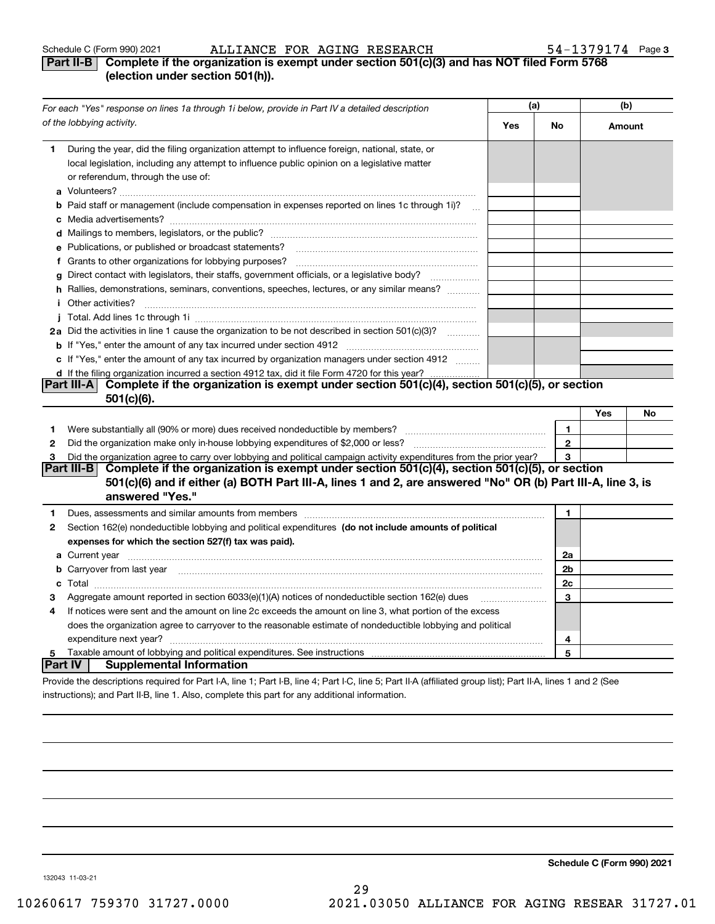## **Part II-B Complete if the organization is exempt under section 501(c)(3) and has NOT filed Form 5768 (election under section 501(h)).**

|                | For each "Yes" response on lines 1a through 1i below, provide in Part IV a detailed description                                                                                                                                      | (a) | (b)          |        |    |
|----------------|--------------------------------------------------------------------------------------------------------------------------------------------------------------------------------------------------------------------------------------|-----|--------------|--------|----|
|                | of the lobbying activity.                                                                                                                                                                                                            | Yes | No           | Amount |    |
| 1              | During the year, did the filing organization attempt to influence foreign, national, state, or<br>local legislation, including any attempt to influence public opinion on a legislative matter<br>or referendum, through the use of: |     |              |        |    |
|                | <b>b</b> Paid staff or management (include compensation in expenses reported on lines 1c through 1i)?<br>$\ddotsc$                                                                                                                   |     |              |        |    |
|                |                                                                                                                                                                                                                                      |     |              |        |    |
|                |                                                                                                                                                                                                                                      |     |              |        |    |
|                | e Publications, or published or broadcast statements?                                                                                                                                                                                |     |              |        |    |
|                |                                                                                                                                                                                                                                      |     |              |        |    |
|                | g Direct contact with legislators, their staffs, government officials, or a legislative body?                                                                                                                                        |     |              |        |    |
|                | h Rallies, demonstrations, seminars, conventions, speeches, lectures, or any similar means?                                                                                                                                          |     |              |        |    |
|                | <i>i</i> Other activities?                                                                                                                                                                                                           |     |              |        |    |
|                |                                                                                                                                                                                                                                      |     |              |        |    |
|                | 2a Did the activities in line 1 cause the organization to be not described in section 501(c)(3)?                                                                                                                                     |     |              |        |    |
|                |                                                                                                                                                                                                                                      |     |              |        |    |
|                | c If "Yes," enter the amount of any tax incurred by organization managers under section 4912                                                                                                                                         |     |              |        |    |
|                | d If the filing organization incurred a section 4912 tax, did it file Form 4720 for this year?                                                                                                                                       |     |              |        |    |
|                | Complete if the organization is exempt under section 501(c)(4), section 501(c)(5), or section<br><b>Part III-AI</b>                                                                                                                  |     |              |        |    |
|                | $501(c)(6)$ .                                                                                                                                                                                                                        |     |              |        |    |
|                |                                                                                                                                                                                                                                      |     |              | Yes    | No |
| 1              |                                                                                                                                                                                                                                      |     | 1.           |        |    |
| $\mathbf{2}$   |                                                                                                                                                                                                                                      |     | $\mathbf{2}$ |        |    |
| 3              | Did the organization agree to carry over lobbying and political campaign activity expenditures from the prior year?                                                                                                                  |     | 3            |        |    |
|                | Complete if the organization is exempt under section 501(c)(4), section 501(c)(5), or section<br><b>Part III-B</b>                                                                                                                   |     |              |        |    |
|                | 501(c)(6) and if either (a) BOTH Part III-A, lines 1 and 2, are answered "No" OR (b) Part III-A, line 3, is                                                                                                                          |     |              |        |    |
|                | answered "Yes."                                                                                                                                                                                                                      |     |              |        |    |
| 1              | Dues, assessments and similar amounts from members [11] matter content and stream and similar amounts from members [11] matter and similar amounts from members [11] matter and stream and stream and stream and stream and st       |     | 1            |        |    |
| 2              | Section 162(e) nondeductible lobbying and political expenditures (do not include amounts of political                                                                                                                                |     |              |        |    |
|                | expenses for which the section 527(f) tax was paid).                                                                                                                                                                                 |     |              |        |    |
|                |                                                                                                                                                                                                                                      |     | 2a           |        |    |
|                | <b>b</b> Carryover from last year manufactured and content to content the content of the content of the content of the content of the content of the content of the content of the content of the content of the content of the con  |     | 2b           |        |    |
|                |                                                                                                                                                                                                                                      |     | 2c           |        |    |
| 3              | Aggregate amount reported in section 6033(e)(1)(A) notices of nondeductible section 162(e) dues                                                                                                                                      |     | 3            |        |    |
| 4              | If notices were sent and the amount on line 2c exceeds the amount on line 3, what portion of the excess                                                                                                                              |     |              |        |    |
|                | does the organization agree to carryover to the reasonable estimate of nondeductible lobbying and political                                                                                                                          |     |              |        |    |
|                | expenditure next year?                                                                                                                                                                                                               |     | 4            |        |    |
| 5              |                                                                                                                                                                                                                                      |     | 5            |        |    |
| <b>Part IV</b> | <b>Supplemental Information</b>                                                                                                                                                                                                      |     |              |        |    |
|                | Provide the descriptions required for Part I-A, line 1; Part I-B, line 4; Part I-C, line 5; Part II-A (affiliated group list); Part II-A, lines 1 and 2 (See                                                                         |     |              |        |    |

instructions); and Part II-B, line 1. Also, complete this part for any additional information.

**Schedule C (Form 990) 2021**

132043 11-03-21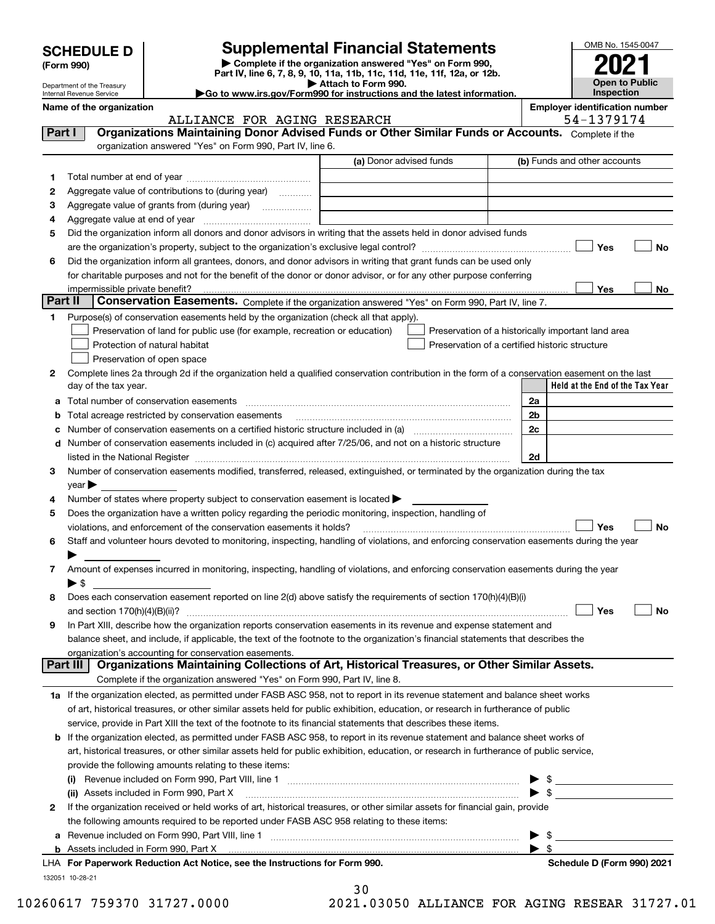| <b>SCHEDULE D</b> |  |
|-------------------|--|
|-------------------|--|

Department of the Treasury

| (Form 990) |
|------------|
|            |

# **Supplemental Financial Statements**

**| Complete if the organization answered "Yes" on Form 990, Part IV, line 6, 7, 8, 9, 10, 11a, 11b, 11c, 11d, 11e, 11f, 12a, or 12b. | Attach to Form 990.**

| OMB No. 1545-0047     |
|-----------------------|
|                       |
| 2021                  |
| <b>Open to Public</b> |
| Inspection            |

**|Go to www.irs.gov/Form990 for instructions and the latest information.**

|         | Internal Revenue Service                                                                                                                                       | $\blacktriangleright$ Go to www.irs.gov/Form990 for instructions and the latest information. |    | <b>Inspection</b>                                   |           |
|---------|----------------------------------------------------------------------------------------------------------------------------------------------------------------|----------------------------------------------------------------------------------------------|----|-----------------------------------------------------|-----------|
|         | Name of the organization<br>ALLIANCE FOR AGING RESEARCH                                                                                                        |                                                                                              |    | <b>Employer identification number</b><br>54-1379174 |           |
| Part I  | Organizations Maintaining Donor Advised Funds or Other Similar Funds or Accounts. Complete if the<br>organization answered "Yes" on Form 990, Part IV, line 6. |                                                                                              |    |                                                     |           |
|         |                                                                                                                                                                | (a) Donor advised funds                                                                      |    | (b) Funds and other accounts                        |           |
| 1       |                                                                                                                                                                |                                                                                              |    |                                                     |           |
| 2       | Aggregate value of contributions to (during year)                                                                                                              |                                                                                              |    |                                                     |           |
| 3       |                                                                                                                                                                |                                                                                              |    |                                                     |           |
| 4       |                                                                                                                                                                |                                                                                              |    |                                                     |           |
| 5       | Did the organization inform all donors and donor advisors in writing that the assets held in donor advised funds                                               |                                                                                              |    |                                                     |           |
|         |                                                                                                                                                                |                                                                                              |    | Yes                                                 | No        |
| 6       | Did the organization inform all grantees, donors, and donor advisors in writing that grant funds can be used only                                              |                                                                                              |    |                                                     |           |
|         | for charitable purposes and not for the benefit of the donor or donor advisor, or for any other purpose conferring                                             |                                                                                              |    |                                                     |           |
|         |                                                                                                                                                                |                                                                                              |    | Yes                                                 | No        |
| Part II | Conservation Easements. Complete if the organization answered "Yes" on Form 990, Part IV, line 7.                                                              |                                                                                              |    |                                                     |           |
| 1       | Purpose(s) of conservation easements held by the organization (check all that apply).                                                                          |                                                                                              |    |                                                     |           |
|         | Preservation of land for public use (for example, recreation or education)                                                                                     |                                                                                              |    | Preservation of a historically important land area  |           |
|         | Protection of natural habitat<br>Preservation of open space                                                                                                    |                                                                                              |    | Preservation of a certified historic structure      |           |
| 2       | Complete lines 2a through 2d if the organization held a qualified conservation contribution in the form of a conservation easement on the last                 |                                                                                              |    |                                                     |           |
|         | day of the tax year.                                                                                                                                           |                                                                                              |    | Held at the End of the Tax Year                     |           |
|         | a Total number of conservation easements                                                                                                                       |                                                                                              | 2a |                                                     |           |
| b       | Total acreage restricted by conservation easements                                                                                                             |                                                                                              | 2b |                                                     |           |
| с       | Number of conservation easements on a certified historic structure included in (a) manufacture included in (a)                                                 |                                                                                              | 2c |                                                     |           |
| d       | Number of conservation easements included in (c) acquired after 7/25/06, and not on a historic structure                                                       |                                                                                              |    |                                                     |           |
|         |                                                                                                                                                                |                                                                                              | 2d |                                                     |           |
| 3       | Number of conservation easements modified, transferred, released, extinguished, or terminated by the organization during the tax                               |                                                                                              |    |                                                     |           |
|         | $year \rightarrow$                                                                                                                                             |                                                                                              |    |                                                     |           |
| 4       | Number of states where property subject to conservation easement is located >                                                                                  |                                                                                              |    |                                                     |           |
| 5       | Does the organization have a written policy regarding the periodic monitoring, inspection, handling of                                                         |                                                                                              |    |                                                     |           |
|         | violations, and enforcement of the conservation easements it holds?                                                                                            |                                                                                              |    | Yes                                                 | <b>No</b> |
| 6       | Staff and volunteer hours devoted to monitoring, inspecting, handling of violations, and enforcing conservation easements during the year                      |                                                                                              |    |                                                     |           |
|         |                                                                                                                                                                |                                                                                              |    |                                                     |           |
| 7       | Amount of expenses incurred in monitoring, inspecting, handling of violations, and enforcing conservation easements during the year                            |                                                                                              |    |                                                     |           |
| 8       | $\blacktriangleright$ \$<br>Does each conservation easement reported on line 2(d) above satisfy the requirements of section 170(h)(4)(B)(i)                    |                                                                                              |    |                                                     |           |
|         |                                                                                                                                                                |                                                                                              |    | Yes                                                 | No        |
| 9       | In Part XIII, describe how the organization reports conservation easements in its revenue and expense statement and                                            |                                                                                              |    |                                                     |           |
|         | balance sheet, and include, if applicable, the text of the footnote to the organization's financial statements that describes the                              |                                                                                              |    |                                                     |           |
|         | organization's accounting for conservation easements.                                                                                                          |                                                                                              |    |                                                     |           |
|         | Organizations Maintaining Collections of Art, Historical Treasures, or Other Similar Assets.<br>Part III                                                       |                                                                                              |    |                                                     |           |
|         | Complete if the organization answered "Yes" on Form 990, Part IV, line 8.                                                                                      |                                                                                              |    |                                                     |           |
|         | 1a If the organization elected, as permitted under FASB ASC 958, not to report in its revenue statement and balance sheet works                                |                                                                                              |    |                                                     |           |
|         | of art, historical treasures, or other similar assets held for public exhibition, education, or research in furtherance of public                              |                                                                                              |    |                                                     |           |
|         | service, provide in Part XIII the text of the footnote to its financial statements that describes these items.                                                 |                                                                                              |    |                                                     |           |
|         | <b>b</b> If the organization elected, as permitted under FASB ASC 958, to report in its revenue statement and balance sheet works of                           |                                                                                              |    |                                                     |           |
|         | art, historical treasures, or other similar assets held for public exhibition, education, or research in furtherance of public service,                        |                                                                                              |    |                                                     |           |
|         | provide the following amounts relating to these items:                                                                                                         |                                                                                              |    |                                                     |           |
|         |                                                                                                                                                                |                                                                                              |    | - \$                                                |           |
|         | (ii) Assets included in Form 990, Part X                                                                                                                       |                                                                                              |    | $\blacktriangleright$ \$                            |           |
| 2       | If the organization received or held works of art, historical treasures, or other similar assets for financial gain, provide                                   |                                                                                              |    |                                                     |           |
|         | the following amounts required to be reported under FASB ASC 958 relating to these items:                                                                      |                                                                                              |    | $\blacktriangleright$ \$                            |           |
|         | a Revenue included on Form 990, Part VIII, line 1                                                                                                              |                                                                                              |    |                                                     |           |

**b** Assets included in Form 990, Part X

132051 10-28-21

30

**For Paperwork Reduction Act Notice, see the Instructions for Form 990. Schedule D (Form 990) 2021** LHA

 $\blacktriangleright$  \$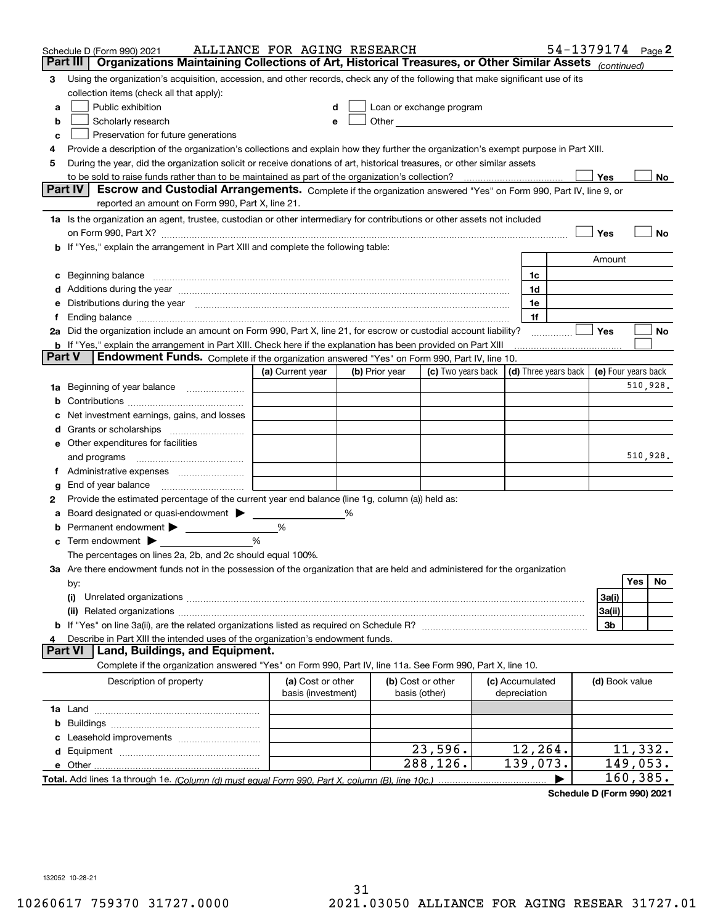|    | Schedule D (Form 990) 2021                                                                                                                                                                                                     | ALLIANCE FOR AGING RESEARCH |   |                |                                                   |  |                      | 54-1379174 Page 2 |                     |            |           |
|----|--------------------------------------------------------------------------------------------------------------------------------------------------------------------------------------------------------------------------------|-----------------------------|---|----------------|---------------------------------------------------|--|----------------------|-------------------|---------------------|------------|-----------|
|    | Organizations Maintaining Collections of Art, Historical Treasures, or Other Similar Assets (continued)<br>Part III                                                                                                            |                             |   |                |                                                   |  |                      |                   |                     |            |           |
| 3  | Using the organization's acquisition, accession, and other records, check any of the following that make significant use of its                                                                                                |                             |   |                |                                                   |  |                      |                   |                     |            |           |
|    | collection items (check all that apply):                                                                                                                                                                                       |                             |   |                |                                                   |  |                      |                   |                     |            |           |
| a  | Public exhibition                                                                                                                                                                                                              | d                           |   |                | Loan or exchange program                          |  |                      |                   |                     |            |           |
| b  | Scholarly research                                                                                                                                                                                                             | е                           |   |                | Other <u>with the contract of the contract of</u> |  |                      |                   |                     |            |           |
| c  | Preservation for future generations                                                                                                                                                                                            |                             |   |                |                                                   |  |                      |                   |                     |            |           |
| 4  | Provide a description of the organization's collections and explain how they further the organization's exempt purpose in Part XIII.                                                                                           |                             |   |                |                                                   |  |                      |                   |                     |            |           |
| 5  | During the year, did the organization solicit or receive donations of art, historical treasures, or other similar assets                                                                                                       |                             |   |                |                                                   |  |                      |                   |                     |            |           |
|    | to be sold to raise funds rather than to be maintained as part of the organization's collection?                                                                                                                               |                             |   |                |                                                   |  |                      |                   | Yes                 |            | No        |
|    | <b>Part IV</b><br>Escrow and Custodial Arrangements. Complete if the organization answered "Yes" on Form 990, Part IV, line 9, or                                                                                              |                             |   |                |                                                   |  |                      |                   |                     |            |           |
|    | reported an amount on Form 990, Part X, line 21.                                                                                                                                                                               |                             |   |                |                                                   |  |                      |                   |                     |            |           |
|    | 1a Is the organization an agent, trustee, custodian or other intermediary for contributions or other assets not included                                                                                                       |                             |   |                |                                                   |  |                      |                   |                     |            |           |
|    | on Form 990, Part X? [11] matter and the contract of the contract of the contract of the contract of the contract of the contract of the contract of the contract of the contract of the contract of the contract of the contr |                             |   |                |                                                   |  |                      |                   | Yes                 |            | <b>No</b> |
|    | If "Yes," explain the arrangement in Part XIII and complete the following table:                                                                                                                                               |                             |   |                |                                                   |  |                      |                   |                     |            |           |
|    |                                                                                                                                                                                                                                |                             |   |                |                                                   |  |                      |                   | Amount              |            |           |
| c  | Beginning balance                                                                                                                                                                                                              |                             |   |                |                                                   |  | 1c                   |                   |                     |            |           |
| d  | Additions during the year manufactured and an annual contract of the year manufactured and all the year manufactured and all the year manufactured and all the year manufactured and all the year manufactured and all the yea |                             |   |                |                                                   |  | 1d                   |                   |                     |            |           |
| е  | Distributions during the year measurement contains and all the state of the state of the state of the state of                                                                                                                 |                             |   |                |                                                   |  | 1e                   |                   |                     |            |           |
|    | Ending balance manufactured and contact the contract of the contract of the contract of the contract of the contract of the contract of the contract of the contract of the contract of the contract of the contract of the co |                             |   |                |                                                   |  | 1f                   |                   |                     |            |           |
|    | 2a Did the organization include an amount on Form 990, Part X, line 21, for escrow or custodial account liability?                                                                                                             |                             |   |                |                                                   |  |                      |                   | Yes                 |            | No        |
|    | <b>b</b> If "Yes," explain the arrangement in Part XIII. Check here if the explanation has been provided on Part XIII<br>Part V                                                                                                |                             |   |                |                                                   |  |                      |                   |                     |            |           |
|    | Endowment Funds. Complete if the organization answered "Yes" on Form 990, Part IV, line 10.                                                                                                                                    | (a) Current year            |   |                |                                                   |  | (d) Three years back |                   | (e) Four years back |            |           |
|    |                                                                                                                                                                                                                                |                             |   | (b) Prior year | (c) Two years back                                |  |                      |                   |                     |            |           |
| 1a | Beginning of year balance                                                                                                                                                                                                      |                             |   |                |                                                   |  |                      |                   |                     | 510,928.   |           |
| b  |                                                                                                                                                                                                                                |                             |   |                |                                                   |  |                      |                   |                     |            |           |
|    | Net investment earnings, gains, and losses                                                                                                                                                                                     |                             |   |                |                                                   |  |                      |                   |                     |            |           |
| a  |                                                                                                                                                                                                                                |                             |   |                |                                                   |  |                      |                   |                     |            |           |
| е  | Other expenditures for facilities                                                                                                                                                                                              |                             |   |                |                                                   |  |                      |                   |                     | 510,928.   |           |
|    | and programs                                                                                                                                                                                                                   |                             |   |                |                                                   |  |                      |                   |                     |            |           |
| Ť. | Administrative expenses                                                                                                                                                                                                        |                             |   |                |                                                   |  |                      |                   |                     |            |           |
| g  | End of year balance                                                                                                                                                                                                            |                             |   |                |                                                   |  |                      |                   |                     |            |           |
| 2  | Provide the estimated percentage of the current year end balance (line 1g, column (a)) held as:<br>Board designated or quasi-endowment > ____                                                                                  |                             | % |                |                                                   |  |                      |                   |                     |            |           |
|    |                                                                                                                                                                                                                                | %                           |   |                |                                                   |  |                      |                   |                     |            |           |
| b  | Term endowment $\blacktriangleright$                                                                                                                                                                                           | %                           |   |                |                                                   |  |                      |                   |                     |            |           |
| c  | The percentages on lines 2a, 2b, and 2c should equal 100%.                                                                                                                                                                     |                             |   |                |                                                   |  |                      |                   |                     |            |           |
|    | 3a Are there endowment funds not in the possession of the organization that are held and administered for the organization                                                                                                     |                             |   |                |                                                   |  |                      |                   |                     |            |           |
|    | by:                                                                                                                                                                                                                            |                             |   |                |                                                   |  |                      |                   |                     | <b>Yes</b> | No.       |
|    | (i)                                                                                                                                                                                                                            |                             |   |                |                                                   |  |                      |                   | 3a(i)               |            |           |
|    |                                                                                                                                                                                                                                |                             |   |                |                                                   |  |                      |                   | 3a(ii)              |            |           |
|    |                                                                                                                                                                                                                                |                             |   |                |                                                   |  |                      |                   | 3b                  |            |           |
|    | Describe in Part XIII the intended uses of the organization's endowment funds.                                                                                                                                                 |                             |   |                |                                                   |  |                      |                   |                     |            |           |
|    | <b>Part VI</b><br>Land, Buildings, and Equipment.                                                                                                                                                                              |                             |   |                |                                                   |  |                      |                   |                     |            |           |
|    | Complete if the organization answered "Yes" on Form 990, Part IV, line 11a. See Form 990, Part X, line 10.                                                                                                                     |                             |   |                |                                                   |  |                      |                   |                     |            |           |
|    | Description of property                                                                                                                                                                                                        | (a) Cost or other           |   |                | (b) Cost or other                                 |  | (c) Accumulated      |                   | (d) Book value      |            |           |
|    |                                                                                                                                                                                                                                | basis (investment)          |   |                | basis (other)                                     |  | depreciation         |                   |                     |            |           |
|    |                                                                                                                                                                                                                                |                             |   |                |                                                   |  |                      |                   |                     |            |           |
| b  |                                                                                                                                                                                                                                |                             |   |                |                                                   |  |                      |                   |                     |            |           |
|    |                                                                                                                                                                                                                                |                             |   |                |                                                   |  |                      |                   |                     |            |           |
| d  |                                                                                                                                                                                                                                |                             |   |                | 23,596.                                           |  | 12,264.              |                   |                     | 11,332.    |           |
|    | e Other                                                                                                                                                                                                                        |                             |   |                | 288,126.                                          |  | 139,073.             |                   |                     | 149,053.   |           |
|    | Total. Add lines 1a through 1e. (Column (d) must equal Form 990. Part X, column (B), line 10c.)                                                                                                                                |                             |   |                |                                                   |  |                      |                   |                     | 160,385.   |           |

**Schedule D (Form 990) 2021**

132052 10-28-21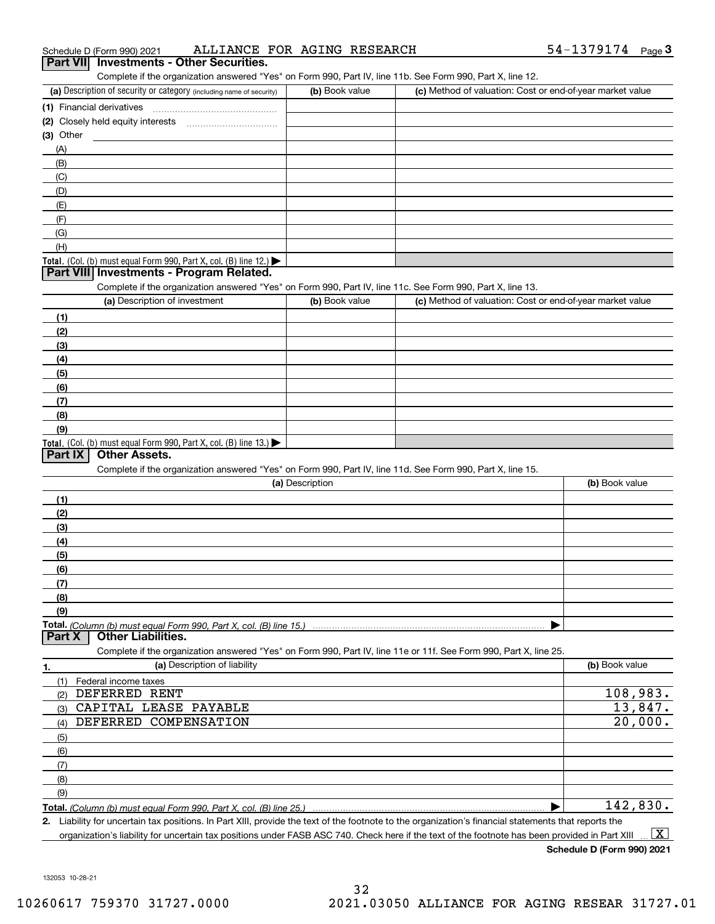| (c) Method of valuation: Cost or end-of-year market value                                                         |
|-------------------------------------------------------------------------------------------------------------------|
|                                                                                                                   |
|                                                                                                                   |
|                                                                                                                   |
|                                                                                                                   |
|                                                                                                                   |
|                                                                                                                   |
|                                                                                                                   |
|                                                                                                                   |
|                                                                                                                   |
|                                                                                                                   |
|                                                                                                                   |
|                                                                                                                   |
|                                                                                                                   |
|                                                                                                                   |
| Complete if the organization answered "Yes" on Form 990, Part IV, line 11c. See Form 990, Part X, line 13.        |
| (c) Method of valuation: Cost or end-of-year market value                                                         |
|                                                                                                                   |
|                                                                                                                   |
|                                                                                                                   |
|                                                                                                                   |
|                                                                                                                   |
|                                                                                                                   |
|                                                                                                                   |
|                                                                                                                   |
|                                                                                                                   |
| Complete if the organization answered "Yes" on Form 990, Part IV, line 11d. See Form 990, Part X, line 15.        |
| (b) Book value                                                                                                    |
|                                                                                                                   |
|                                                                                                                   |
|                                                                                                                   |
|                                                                                                                   |
|                                                                                                                   |
|                                                                                                                   |
|                                                                                                                   |
|                                                                                                                   |
|                                                                                                                   |
|                                                                                                                   |
| Complete if the organization answered "Yes" on Form 990, Part IV, line 11e or 11f. See Form 990, Part X, line 25. |
| (b) Book value                                                                                                    |
|                                                                                                                   |
| 108,983.                                                                                                          |
| 13,847.                                                                                                           |
| 20,000.                                                                                                           |
|                                                                                                                   |
|                                                                                                                   |
|                                                                                                                   |
|                                                                                                                   |
|                                                                                                                   |
|                                                                                                                   |
|                                                                                                                   |

organization's liability for uncertain tax positions under FASB ASC 740. Check here if the text of the footnote has been provided in Part XIII  $\,$  ...  $\overline{\rm X}$ 

54-1379174 <sub>Page</sub>3

132053 10-28-21

#### Schedule D (Form 990) 2021 ALLLANCE FOR AGLNG RESEARCH 54-L379L74 Page **3Part VII Investments - Other Securities.** ALLIANCE FOR AGING RESEARCH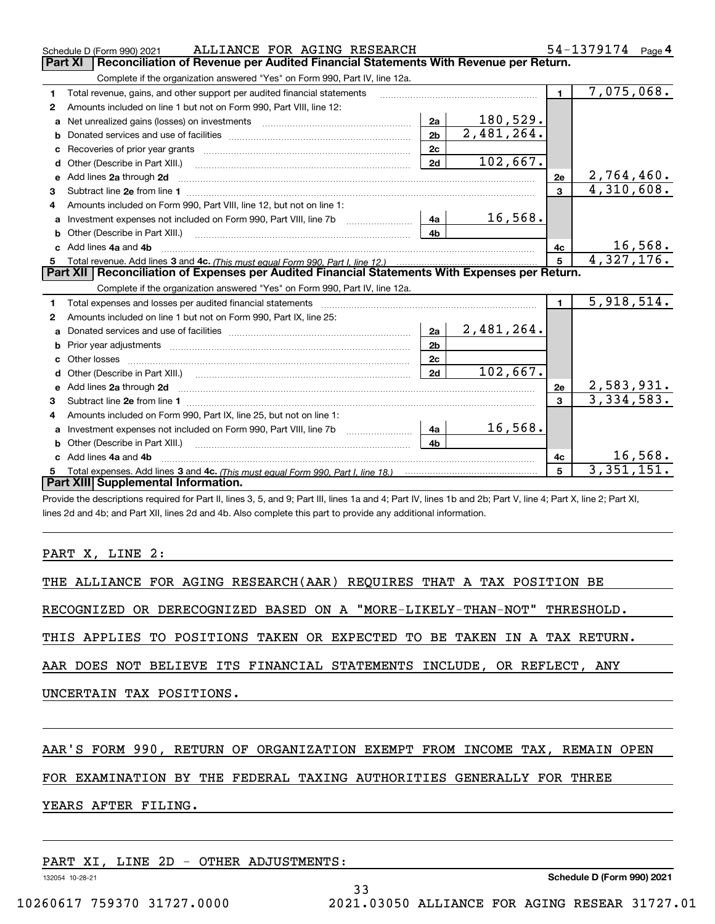|    | ALLIANCE FOR AGING RESEARCH<br>Schedule D (Form 990) 2021                                                                                                                                                                           |                |            |                | 54-1379174 Page 4            |
|----|-------------------------------------------------------------------------------------------------------------------------------------------------------------------------------------------------------------------------------------|----------------|------------|----------------|------------------------------|
|    | Reconciliation of Revenue per Audited Financial Statements With Revenue per Return.<br><b>Part XI</b>                                                                                                                               |                |            |                |                              |
|    | Complete if the organization answered "Yes" on Form 990, Part IV, line 12a.                                                                                                                                                         |                |            |                |                              |
| 1  | Total revenue, gains, and other support per audited financial statements                                                                                                                                                            |                |            | $\blacksquare$ | 7,075,068.                   |
| 2  | Amounts included on line 1 but not on Form 990, Part VIII, line 12:                                                                                                                                                                 |                |            |                |                              |
| a  |                                                                                                                                                                                                                                     | 2a             | 180,529.   |                |                              |
| b  |                                                                                                                                                                                                                                     | 2 <sub>b</sub> | 2,481,264. |                |                              |
|    |                                                                                                                                                                                                                                     | 2c             |            |                |                              |
| d  |                                                                                                                                                                                                                                     | 2d             | 102,667.   |                |                              |
| е  | Add lines 2a through 2d                                                                                                                                                                                                             |                |            | 2e             | 2,764,460.                   |
| 3  |                                                                                                                                                                                                                                     |                |            | $\overline{3}$ | 4,310,608.                   |
| 4  | Amounts included on Form 990, Part VIII, line 12, but not on line 1:                                                                                                                                                                |                |            |                |                              |
| a  | Investment expenses not included on Form 990, Part VIII, line 7b [1000000000000000000000000000000000                                                                                                                                | 4a             | 16,568.    |                |                              |
| b  | Other (Describe in Part XIII.) <b>Construction Contract Construction</b> Chern Construction Chern Chern Chern Chern Chern Chern Chern Chern Chern Chern Chern Chern Chern Chern Chern Chern Chern Chern Chern Chern Chern Chern Che | 4 <sub>b</sub> |            |                |                              |
|    | Add lines 4a and 4b                                                                                                                                                                                                                 |                |            | 4c             | $\frac{16,568.}{4,327,176.}$ |
| 5  |                                                                                                                                                                                                                                     |                |            | $\overline{5}$ |                              |
|    | Part XII   Reconciliation of Expenses per Audited Financial Statements With Expenses per Return.                                                                                                                                    |                |            |                |                              |
|    | Complete if the organization answered "Yes" on Form 990, Part IV, line 12a.                                                                                                                                                         |                |            |                |                              |
| 1  | Total expenses and losses per audited financial statements [11, 11] manuscription control expenses and losses per audited financial statements [11] manuscription of the statements and the statements and the statements and       |                |            | $\mathbf{1}$   | 5,918,514.                   |
| 2  | Amounts included on line 1 but not on Form 990, Part IX, line 25:                                                                                                                                                                   |                |            |                |                              |
| a  |                                                                                                                                                                                                                                     | 2a             | 2,481,264. |                |                              |
| b  |                                                                                                                                                                                                                                     | 2 <sub>b</sub> |            |                |                              |
|    |                                                                                                                                                                                                                                     | 2c             |            |                |                              |
| d  |                                                                                                                                                                                                                                     | 2d             | 102,667.   |                |                              |
| е  | Add lines 2a through 2d <b>contained a contained a contained a contained a</b> contained a contained a contained a contained a contained a contained a contained a contained a contained a contained a contained a contained a cont |                |            | 2е             | 2,583,931.                   |
| 3  |                                                                                                                                                                                                                                     |                |            | $\overline{3}$ | 3,334,583.                   |
| 4  | Amounts included on Form 990, Part IX, line 25, but not on line 1:                                                                                                                                                                  |                |            |                |                              |
| a  |                                                                                                                                                                                                                                     | 4a             | 16,568.    |                |                              |
| b  | Other (Describe in Part XIII.) <b>Construction Contract Construction</b> Chemical Construction Chemical Chemical Chemical Chemical Chemical Chemical Chemical Chemical Chemical Chemical Chemical Chemical Chemical Chemical Chemic | 4 <sub>h</sub> |            |                |                              |
|    | Add lines 4a and 4b                                                                                                                                                                                                                 |                |            | 4с             | 16,568.                      |
| 5. |                                                                                                                                                                                                                                     |                |            | $5^{\circ}$    | 3,351,151.                   |
|    | Part XIII Supplemental Information.                                                                                                                                                                                                 |                |            |                |                              |
|    | Provide the descriptions required for Part II, lines 3, 5, and 9; Part III, lines 1a and 4; Part IV, lines 1b and 2b; Part V, line 4; Part X, line 2; Part XI,                                                                      |                |            |                |                              |

lines 2d and 4b; and Part XII, lines 2d and 4b. Also complete this part to provide any additional information.

## PART X, LINE 2:

RECOGNIZED OR DERECOGNIZED BASED ON A "MORE-LIKELY-THAN-NOT" THRESHOLD.

THIS APPLIES TO POSITIONS TAKEN OR EXPECTED TO BE TAKEN IN A TAX RETURN.

AAR DOES NOT BELIEVE ITS FINANCIAL STATEMENTS INCLUDE, OR REFLECT, ANY

UNCERTAIN TAX POSITIONS.

# AAR'S FORM 990, RETURN OF ORGANIZATION EXEMPT FROM INCOME TAX, REMAIN OPEN

## FOR EXAMINATION BY THE FEDERAL TAXING AUTHORITIES GENERALLY FOR THREE

YEARS AFTER FILING.

|  |  |  | PART XI, LINE 2D - OTHER ADJUSTMENTS: |
|--|--|--|---------------------------------------|
|  |  |  |                                       |

132054 10-28-21

**Schedule D (Form 990) 2021**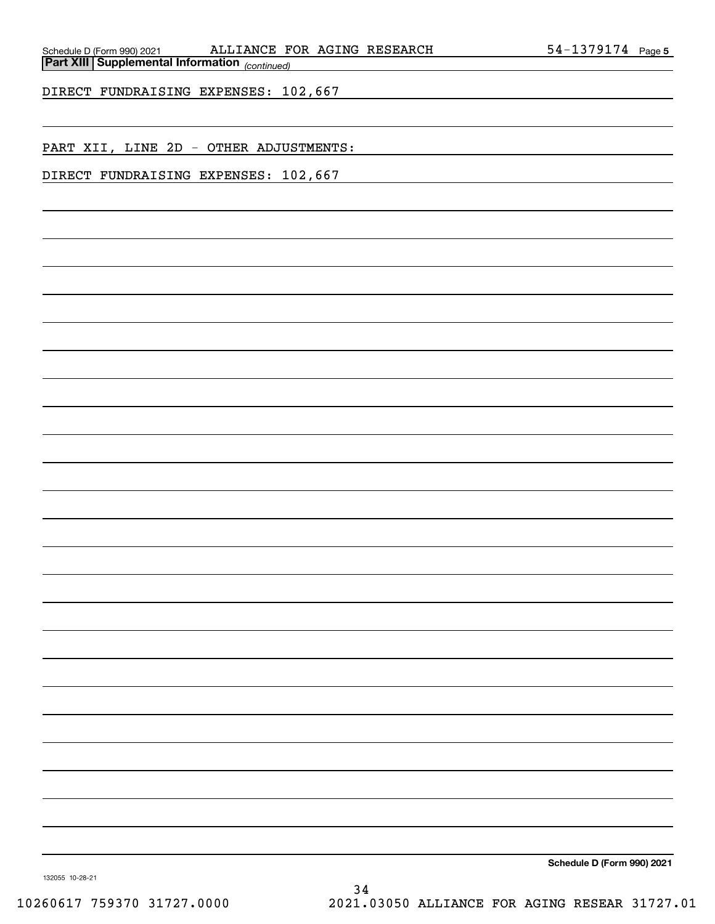*(continued)* **Part XIII Supplemental Information** 

DIRECT FUNDRAISING EXPENSES: 102,667

PART XII, LINE 2D - OTHER ADJUSTMENTS:

DIRECT FUNDRAISING EXPENSES: 102,667

**Schedule D (Form 990) 2021**

132055 10-28-21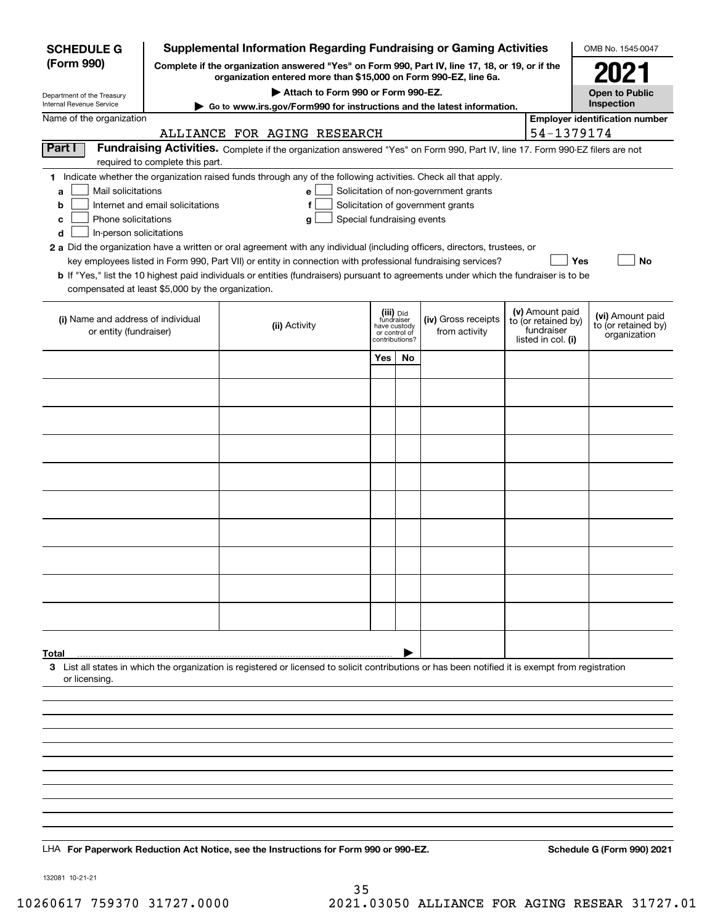| <b>SCHEDULE G</b>                                                                                                                                                                 |                                  | Supplemental Information Regarding Fundraising or Gaming Activities                                                                                                                                                                                                                                                                                                                                                                                                                                                                                |                                                                            |    |                                                                            |  |                                                                            | OMB No. 1545-0047                                       |
|-----------------------------------------------------------------------------------------------------------------------------------------------------------------------------------|----------------------------------|----------------------------------------------------------------------------------------------------------------------------------------------------------------------------------------------------------------------------------------------------------------------------------------------------------------------------------------------------------------------------------------------------------------------------------------------------------------------------------------------------------------------------------------------------|----------------------------------------------------------------------------|----|----------------------------------------------------------------------------|--|----------------------------------------------------------------------------|---------------------------------------------------------|
| (Form 990)<br>Complete if the organization answered "Yes" on Form 990, Part IV, line 17, 18, or 19, or if the<br>organization entered more than \$15,000 on Form 990-EZ, line 6a. |                                  |                                                                                                                                                                                                                                                                                                                                                                                                                                                                                                                                                    |                                                                            |    |                                                                            |  |                                                                            | 2021                                                    |
| Department of the Treasury                                                                                                                                                        |                                  | Attach to Form 990 or Form 990-EZ.                                                                                                                                                                                                                                                                                                                                                                                                                                                                                                                 |                                                                            |    |                                                                            |  |                                                                            | <b>Open to Public</b>                                   |
| Internal Revenue Service                                                                                                                                                          |                                  | ► Go to www.irs.gov/Form990 for instructions and the latest information.                                                                                                                                                                                                                                                                                                                                                                                                                                                                           |                                                                            |    |                                                                            |  |                                                                            | Inspection                                              |
| Name of the organization                                                                                                                                                          |                                  | ALLIANCE FOR AGING RESEARCH                                                                                                                                                                                                                                                                                                                                                                                                                                                                                                                        |                                                                            |    |                                                                            |  | 54-1379174                                                                 | <b>Employer identification number</b>                   |
| Part I                                                                                                                                                                            | required to complete this part.  | Fundraising Activities. Complete if the organization answered "Yes" on Form 990, Part IV, line 17. Form 990-EZ filers are not                                                                                                                                                                                                                                                                                                                                                                                                                      |                                                                            |    |                                                                            |  |                                                                            |                                                         |
| Mail solicitations<br>a<br>b<br>Phone solicitations<br>с<br>In-person solicitations<br>d<br>compensated at least \$5,000 by the organization.                                     | Internet and email solicitations | 1 Indicate whether the organization raised funds through any of the following activities. Check all that apply.<br>e<br>f<br>Special fundraising events<br>g<br>2 a Did the organization have a written or oral agreement with any individual (including officers, directors, trustees, or<br>key employees listed in Form 990, Part VII) or entity in connection with professional fundraising services?<br>b If "Yes," list the 10 highest paid individuals or entities (fundraisers) pursuant to agreements under which the fundraiser is to be |                                                                            |    | Solicitation of non-government grants<br>Solicitation of government grants |  | Yes                                                                        | No                                                      |
| (i) Name and address of individual<br>or entity (fundraiser)                                                                                                                      |                                  | (ii) Activity                                                                                                                                                                                                                                                                                                                                                                                                                                                                                                                                      | (iii) Did<br>fundraiser<br>have custody<br>or control of<br>contributions? |    | (iv) Gross receipts<br>from activity                                       |  | (v) Amount paid<br>to (or retained by)<br>fundraiser<br>listed in col. (i) | (vi) Amount paid<br>to (or retained by)<br>organization |
|                                                                                                                                                                                   |                                  |                                                                                                                                                                                                                                                                                                                                                                                                                                                                                                                                                    | Yes                                                                        | No |                                                                            |  |                                                                            |                                                         |
|                                                                                                                                                                                   |                                  |                                                                                                                                                                                                                                                                                                                                                                                                                                                                                                                                                    |                                                                            |    |                                                                            |  |                                                                            |                                                         |
|                                                                                                                                                                                   |                                  |                                                                                                                                                                                                                                                                                                                                                                                                                                                                                                                                                    |                                                                            |    |                                                                            |  |                                                                            |                                                         |
|                                                                                                                                                                                   |                                  |                                                                                                                                                                                                                                                                                                                                                                                                                                                                                                                                                    |                                                                            |    |                                                                            |  |                                                                            |                                                         |
|                                                                                                                                                                                   |                                  |                                                                                                                                                                                                                                                                                                                                                                                                                                                                                                                                                    |                                                                            |    |                                                                            |  |                                                                            |                                                         |
|                                                                                                                                                                                   |                                  |                                                                                                                                                                                                                                                                                                                                                                                                                                                                                                                                                    |                                                                            |    |                                                                            |  |                                                                            |                                                         |
|                                                                                                                                                                                   |                                  |                                                                                                                                                                                                                                                                                                                                                                                                                                                                                                                                                    |                                                                            |    |                                                                            |  |                                                                            |                                                         |
|                                                                                                                                                                                   |                                  |                                                                                                                                                                                                                                                                                                                                                                                                                                                                                                                                                    |                                                                            |    |                                                                            |  |                                                                            |                                                         |
|                                                                                                                                                                                   |                                  |                                                                                                                                                                                                                                                                                                                                                                                                                                                                                                                                                    |                                                                            |    |                                                                            |  |                                                                            |                                                         |
|                                                                                                                                                                                   |                                  |                                                                                                                                                                                                                                                                                                                                                                                                                                                                                                                                                    |                                                                            |    |                                                                            |  |                                                                            |                                                         |
|                                                                                                                                                                                   |                                  |                                                                                                                                                                                                                                                                                                                                                                                                                                                                                                                                                    |                                                                            |    |                                                                            |  |                                                                            |                                                         |
|                                                                                                                                                                                   |                                  |                                                                                                                                                                                                                                                                                                                                                                                                                                                                                                                                                    |                                                                            |    |                                                                            |  |                                                                            |                                                         |
| Total<br>or licensing.                                                                                                                                                            |                                  | 3 List all states in which the organization is registered or licensed to solicit contributions or has been notified it is exempt from registration                                                                                                                                                                                                                                                                                                                                                                                                 |                                                                            |    |                                                                            |  |                                                                            |                                                         |
|                                                                                                                                                                                   |                                  |                                                                                                                                                                                                                                                                                                                                                                                                                                                                                                                                                    |                                                                            |    |                                                                            |  |                                                                            |                                                         |
|                                                                                                                                                                                   |                                  |                                                                                                                                                                                                                                                                                                                                                                                                                                                                                                                                                    |                                                                            |    |                                                                            |  |                                                                            |                                                         |
|                                                                                                                                                                                   |                                  |                                                                                                                                                                                                                                                                                                                                                                                                                                                                                                                                                    |                                                                            |    |                                                                            |  |                                                                            |                                                         |
|                                                                                                                                                                                   |                                  |                                                                                                                                                                                                                                                                                                                                                                                                                                                                                                                                                    |                                                                            |    |                                                                            |  |                                                                            |                                                         |
|                                                                                                                                                                                   |                                  |                                                                                                                                                                                                                                                                                                                                                                                                                                                                                                                                                    |                                                                            |    |                                                                            |  |                                                                            |                                                         |
|                                                                                                                                                                                   |                                  |                                                                                                                                                                                                                                                                                                                                                                                                                                                                                                                                                    |                                                                            |    |                                                                            |  |                                                                            |                                                         |
|                                                                                                                                                                                   |                                  |                                                                                                                                                                                                                                                                                                                                                                                                                                                                                                                                                    |                                                                            |    |                                                                            |  |                                                                            |                                                         |
|                                                                                                                                                                                   |                                  | LHA For Paperwork Reduction Act Notice, see the Instructions for Form 990 or 990-EZ.                                                                                                                                                                                                                                                                                                                                                                                                                                                               |                                                                            |    |                                                                            |  |                                                                            | Schedule G (Form 990) 2021                              |

132081 10-21-21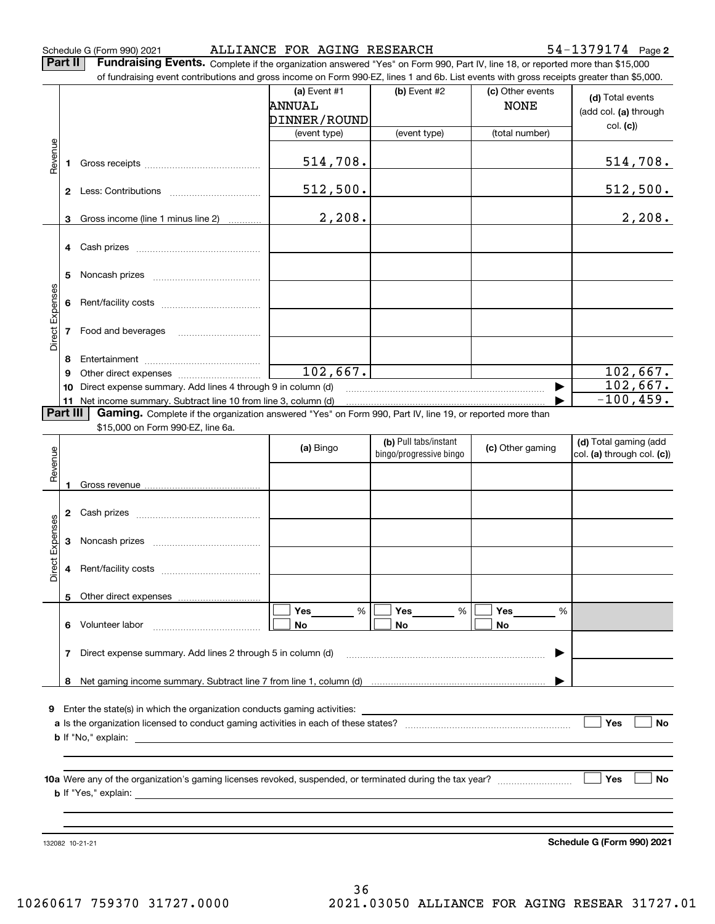Schedule G (Form 990) 2021 ALLIANCE FOR AGING RESEARCH 54-1379174 Page

**2**

**Part II** | Fundraising Events. Complete if the organization answered "Yes" on Form 990, Part IV, line 18, or reported more than \$15,000

|                 |          | of fundraising event contributions and gross income on Form 990-EZ, lines 1 and 6b. List events with gross receipts greater than \$5,000. |                |                         |                  |                            |
|-----------------|----------|-------------------------------------------------------------------------------------------------------------------------------------------|----------------|-------------------------|------------------|----------------------------|
|                 |          |                                                                                                                                           | (a) Event $#1$ | (b) Event #2            | (c) Other events | (d) Total events           |
|                 |          |                                                                                                                                           | <b>ANNUAL</b>  |                         | <b>NONE</b>      | (add col. (a) through      |
|                 |          |                                                                                                                                           | DINNER/ROUND   |                         |                  | col. (c)                   |
|                 |          |                                                                                                                                           | (event type)   | (event type)            | (total number)   |                            |
|                 |          |                                                                                                                                           |                |                         |                  |                            |
| Revenue         |          |                                                                                                                                           | 514,708.       |                         |                  | 514,708.                   |
|                 |          |                                                                                                                                           | 512,500.       |                         |                  | 512,500.                   |
|                 |          |                                                                                                                                           |                |                         |                  |                            |
|                 | 3        | Gross income (line 1 minus line 2)                                                                                                        | 2,208.         |                         |                  | 2,208.                     |
|                 |          |                                                                                                                                           |                |                         |                  |                            |
|                 |          |                                                                                                                                           |                |                         |                  |                            |
|                 | 5        |                                                                                                                                           |                |                         |                  |                            |
|                 |          |                                                                                                                                           |                |                         |                  |                            |
| Direct Expenses | 6        |                                                                                                                                           |                |                         |                  |                            |
|                 |          |                                                                                                                                           |                |                         |                  |                            |
|                 |          | 7 Food and beverages                                                                                                                      |                |                         |                  |                            |
|                 |          |                                                                                                                                           |                |                         |                  |                            |
|                 | 8<br>9   |                                                                                                                                           | 102,667.       |                         |                  | 102,667.                   |
|                 | 10       | Direct expense summary. Add lines 4 through 9 in column (d)                                                                               |                |                         |                  | 102,667.                   |
|                 |          | 11 Net income summary. Subtract line 10 from line 3, column (d)                                                                           |                |                         |                  | $-100, 459.$               |
|                 | Part III | Gaming. Complete if the organization answered "Yes" on Form 990, Part IV, line 19, or reported more than                                  |                |                         |                  |                            |
|                 |          | \$15,000 on Form 990-EZ, line 6a.                                                                                                         |                |                         |                  |                            |
|                 |          |                                                                                                                                           | (a) Bingo      | (b) Pull tabs/instant   | (c) Other gaming | (d) Total gaming (add      |
|                 |          |                                                                                                                                           |                | bingo/progressive bingo |                  | col. (a) through col. (c)) |
| Revenue         |          |                                                                                                                                           |                |                         |                  |                            |
|                 | 1        |                                                                                                                                           |                |                         |                  |                            |
|                 |          |                                                                                                                                           |                |                         |                  |                            |
|                 |          |                                                                                                                                           |                |                         |                  |                            |
| Expenses        |          |                                                                                                                                           |                |                         |                  |                            |
|                 |          |                                                                                                                                           |                |                         |                  |                            |
| Direct          |          |                                                                                                                                           |                |                         |                  |                            |
|                 |          |                                                                                                                                           |                |                         |                  |                            |
|                 |          | 5 Other direct expenses                                                                                                                   |                |                         |                  |                            |
|                 |          |                                                                                                                                           | %<br>Yes       | %<br>Yes                | Yes<br>%         |                            |
|                 |          | 6 Volunteer labor                                                                                                                         | No             | No                      | No               |                            |
|                 |          |                                                                                                                                           |                |                         |                  |                            |
|                 | 7        | Direct expense summary. Add lines 2 through 5 in column (d)                                                                               |                |                         |                  |                            |
|                 |          |                                                                                                                                           |                |                         |                  |                            |
|                 |          |                                                                                                                                           |                |                         |                  |                            |
|                 |          | 9 Enter the state(s) in which the organization conducts gaming activities:                                                                |                |                         |                  |                            |
|                 |          |                                                                                                                                           |                |                         |                  | Yes<br>No                  |
|                 |          |                                                                                                                                           |                |                         |                  |                            |
|                 |          |                                                                                                                                           |                |                         |                  |                            |
|                 |          |                                                                                                                                           |                |                         |                  |                            |
|                 |          |                                                                                                                                           |                |                         |                  | Yes<br>No                  |
|                 |          |                                                                                                                                           |                |                         |                  |                            |
|                 |          |                                                                                                                                           |                |                         |                  |                            |
|                 |          |                                                                                                                                           |                |                         |                  |                            |
|                 |          | 132082 10-21-21                                                                                                                           |                |                         |                  | Schedule G (Form 990) 2021 |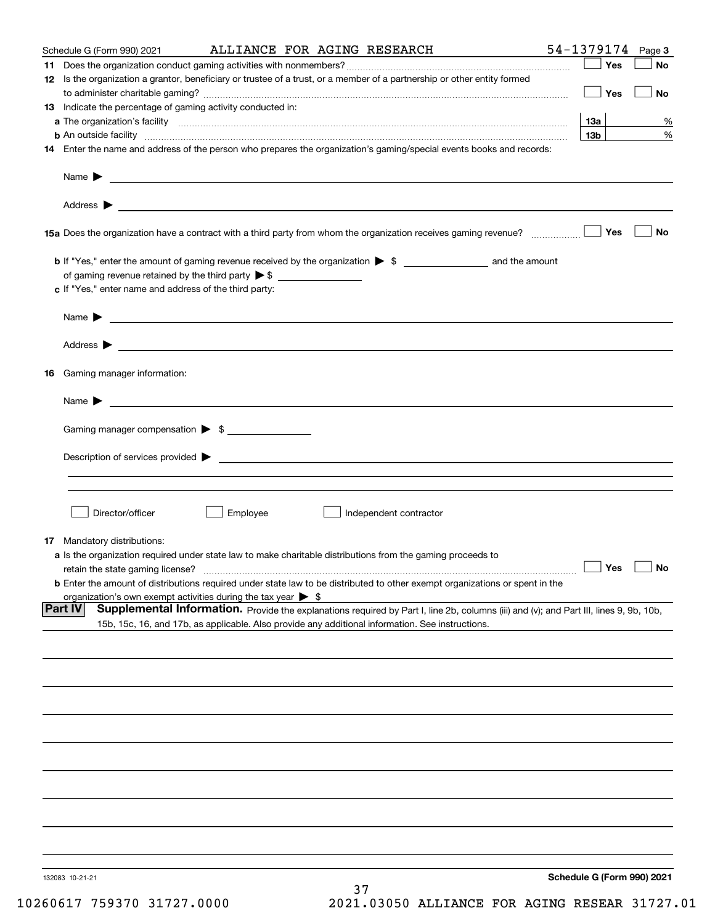| Schedule G (Form 990) 2021                                  | ALLIANCE FOR AGING RESEARCH                                                                                                                                                                                                               | 54-1379174 Page 3          |
|-------------------------------------------------------------|-------------------------------------------------------------------------------------------------------------------------------------------------------------------------------------------------------------------------------------------|----------------------------|
|                                                             |                                                                                                                                                                                                                                           | Yes<br>No                  |
|                                                             | 12 Is the organization a grantor, beneficiary or trustee of a trust, or a member of a partnership or other entity formed                                                                                                                  |                            |
|                                                             |                                                                                                                                                                                                                                           | $\Box$ Yes<br>No           |
| 13 Indicate the percentage of gaming activity conducted in: |                                                                                                                                                                                                                                           |                            |
|                                                             |                                                                                                                                                                                                                                           | 13a<br>%                   |
|                                                             | <b>b</b> An outside facility <b>contained a contract and a contract of the contract of the contract of the contract of the contract of the contract of the contract of the contract of the contract of the contract of the contract o</b> | 13 <sub>b</sub><br>%       |
|                                                             | 14 Enter the name and address of the person who prepares the organization's gaming/special events books and records:                                                                                                                      |                            |
|                                                             |                                                                                                                                                                                                                                           |                            |
|                                                             |                                                                                                                                                                                                                                           |                            |
|                                                             |                                                                                                                                                                                                                                           |                            |
|                                                             |                                                                                                                                                                                                                                           |                            |
|                                                             |                                                                                                                                                                                                                                           | No                         |
|                                                             |                                                                                                                                                                                                                                           |                            |
|                                                             | <b>b</b> If "Yes," enter the amount of gaming revenue received by the organization $\triangleright$ \$                                                                                                                                    |                            |
|                                                             |                                                                                                                                                                                                                                           |                            |
| c If "Yes," enter name and address of the third party:      |                                                                                                                                                                                                                                           |                            |
|                                                             |                                                                                                                                                                                                                                           |                            |
|                                                             | Name $\blacktriangleright$ $\blacksquare$                                                                                                                                                                                                 |                            |
|                                                             |                                                                                                                                                                                                                                           |                            |
|                                                             |                                                                                                                                                                                                                                           |                            |
|                                                             |                                                                                                                                                                                                                                           |                            |
| 16 Gaming manager information:                              |                                                                                                                                                                                                                                           |                            |
|                                                             | Name $\blacktriangleright$ $\lrcorner$                                                                                                                                                                                                    |                            |
|                                                             |                                                                                                                                                                                                                                           |                            |
| Gaming manager compensation > \$                            |                                                                                                                                                                                                                                           |                            |
|                                                             |                                                                                                                                                                                                                                           |                            |
|                                                             | $Description of services provided$ $\triangleright$                                                                                                                                                                                       |                            |
|                                                             |                                                                                                                                                                                                                                           |                            |
|                                                             |                                                                                                                                                                                                                                           |                            |
|                                                             |                                                                                                                                                                                                                                           |                            |
| Director/officer                                            | Employee<br>Independent contractor                                                                                                                                                                                                        |                            |
|                                                             |                                                                                                                                                                                                                                           |                            |
| 17 Mandatory distributions:                                 | a Is the organization required under state law to make charitable distributions from the gaming proceeds to                                                                                                                               |                            |
| retain the state gaming license?                            |                                                                                                                                                                                                                                           | $\Box$ Yes<br>$\Box$ No    |
|                                                             | <b>b</b> Enter the amount of distributions required under state law to be distributed to other exempt organizations or spent in the                                                                                                       |                            |
|                                                             | organization's own exempt activities during the tax year $\triangleright$ \$                                                                                                                                                              |                            |
| Part IV                                                     | Supplemental Information. Provide the explanations required by Part I, line 2b, columns (iii) and (v); and Part III, lines 9, 9b, 10b,                                                                                                    |                            |
|                                                             | 15b, 15c, 16, and 17b, as applicable. Also provide any additional information. See instructions.                                                                                                                                          |                            |
|                                                             |                                                                                                                                                                                                                                           |                            |
|                                                             |                                                                                                                                                                                                                                           |                            |
|                                                             |                                                                                                                                                                                                                                           |                            |
|                                                             |                                                                                                                                                                                                                                           |                            |
|                                                             |                                                                                                                                                                                                                                           |                            |
|                                                             |                                                                                                                                                                                                                                           |                            |
|                                                             |                                                                                                                                                                                                                                           |                            |
|                                                             |                                                                                                                                                                                                                                           |                            |
|                                                             |                                                                                                                                                                                                                                           |                            |
|                                                             |                                                                                                                                                                                                                                           |                            |
|                                                             |                                                                                                                                                                                                                                           |                            |
|                                                             |                                                                                                                                                                                                                                           |                            |
|                                                             |                                                                                                                                                                                                                                           |                            |
|                                                             |                                                                                                                                                                                                                                           |                            |
|                                                             |                                                                                                                                                                                                                                           |                            |
|                                                             |                                                                                                                                                                                                                                           | Schedule G (Form 990) 2021 |
| 132083 10-21-21                                             | 37                                                                                                                                                                                                                                        |                            |
|                                                             |                                                                                                                                                                                                                                           |                            |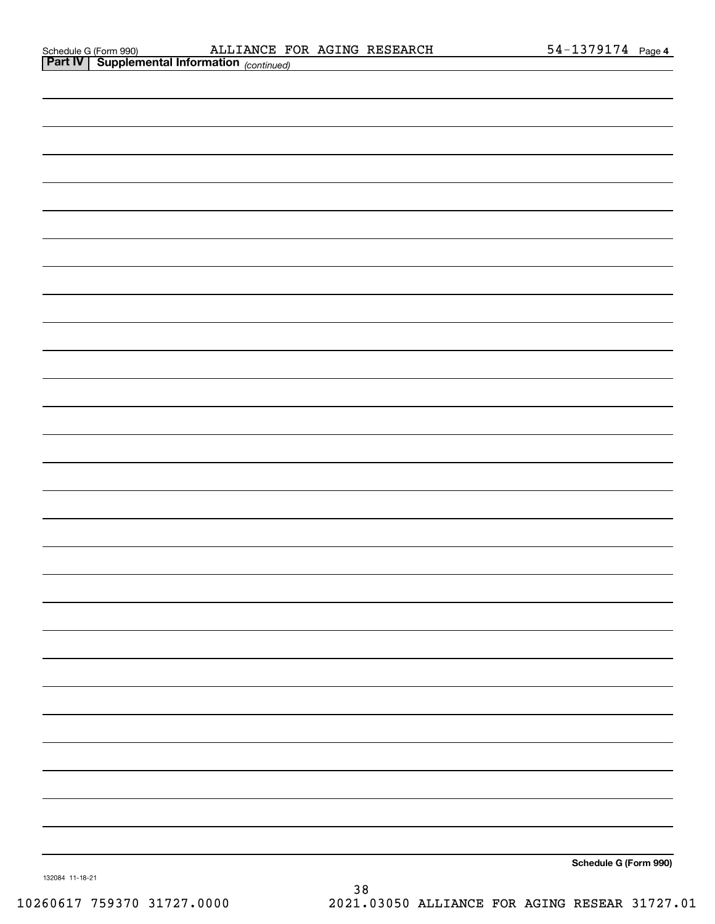|                 | <b>Part IV   Supplemental Information</b> (continued) |               |                       |
|-----------------|-------------------------------------------------------|---------------|-----------------------|
|                 |                                                       |               |                       |
|                 |                                                       |               |                       |
|                 |                                                       |               |                       |
|                 |                                                       |               |                       |
|                 |                                                       |               |                       |
|                 |                                                       |               |                       |
|                 |                                                       |               |                       |
|                 |                                                       |               |                       |
|                 |                                                       |               |                       |
|                 |                                                       |               |                       |
|                 |                                                       |               |                       |
|                 |                                                       |               |                       |
|                 |                                                       |               |                       |
|                 |                                                       |               |                       |
|                 |                                                       |               |                       |
|                 |                                                       |               |                       |
|                 |                                                       |               |                       |
|                 |                                                       |               |                       |
|                 |                                                       |               |                       |
|                 |                                                       |               |                       |
|                 |                                                       |               |                       |
|                 |                                                       |               |                       |
|                 |                                                       |               |                       |
|                 |                                                       |               |                       |
|                 |                                                       |               |                       |
|                 |                                                       |               |                       |
|                 |                                                       |               |                       |
|                 |                                                       |               |                       |
|                 |                                                       |               |                       |
|                 |                                                       |               | Schedule G (Form 990) |
| 132084 11-18-21 |                                                       | $\sim$ $\sim$ |                       |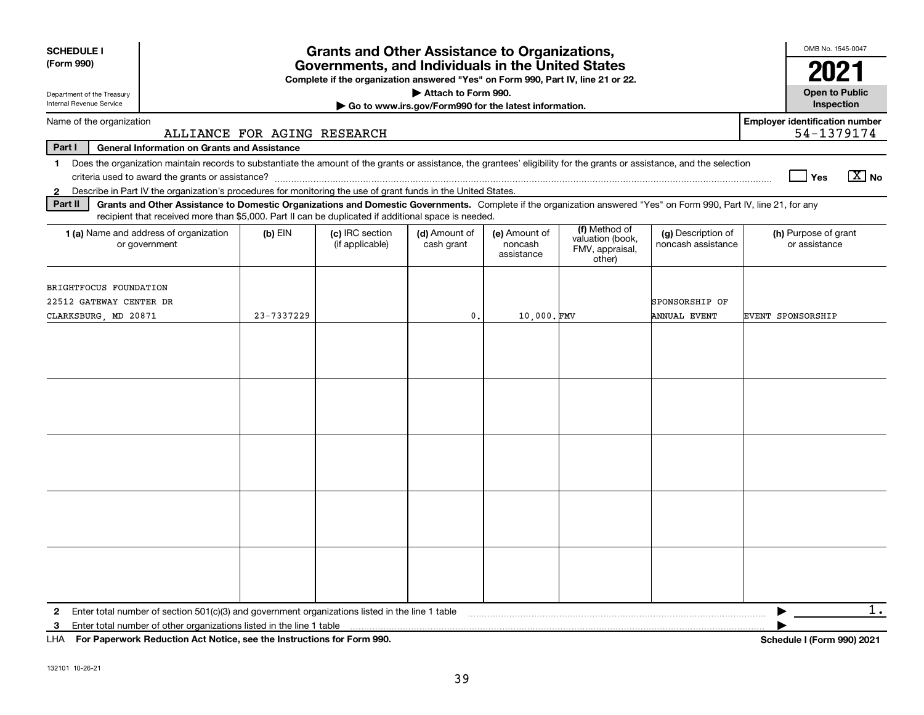| <b>SCHEDULE I</b><br>(Form 990)                                                                                                                                                                                                                                                                  |                             | <b>Grants and Other Assistance to Organizations,</b><br>Governments, and Individuals in the United States<br>Complete if the organization answered "Yes" on Form 990, Part IV, line 21 or 22. |                                                       |                                        |                                                                |                                          | OMB No. 1545-0047<br>2021                           |
|--------------------------------------------------------------------------------------------------------------------------------------------------------------------------------------------------------------------------------------------------------------------------------------------------|-----------------------------|-----------------------------------------------------------------------------------------------------------------------------------------------------------------------------------------------|-------------------------------------------------------|----------------------------------------|----------------------------------------------------------------|------------------------------------------|-----------------------------------------------------|
| Department of the Treasury                                                                                                                                                                                                                                                                       |                             |                                                                                                                                                                                               | Attach to Form 990.                                   |                                        |                                                                |                                          | <b>Open to Public</b>                               |
| Internal Revenue Service                                                                                                                                                                                                                                                                         |                             |                                                                                                                                                                                               | Go to www.irs.gov/Form990 for the latest information. |                                        |                                                                |                                          | Inspection                                          |
| Name of the organization                                                                                                                                                                                                                                                                         | ALLIANCE FOR AGING RESEARCH |                                                                                                                                                                                               |                                                       |                                        |                                                                |                                          | <b>Employer identification number</b><br>54-1379174 |
| Part I<br><b>General Information on Grants and Assistance</b>                                                                                                                                                                                                                                    |                             |                                                                                                                                                                                               |                                                       |                                        |                                                                |                                          |                                                     |
| Does the organization maintain records to substantiate the amount of the grants or assistance, the grantees' eligibility for the grants or assistance, and the selection<br>$\mathbf{1}$                                                                                                         |                             |                                                                                                                                                                                               |                                                       |                                        |                                                                |                                          | $\boxed{\text{X}}$ No<br>│Yes                       |
| 2 Describe in Part IV the organization's procedures for monitoring the use of grant funds in the United States.<br>Part II<br>Grants and Other Assistance to Domestic Organizations and Domestic Governments. Complete if the organization answered "Yes" on Form 990, Part IV, line 21, for any |                             |                                                                                                                                                                                               |                                                       |                                        |                                                                |                                          |                                                     |
| recipient that received more than \$5,000. Part II can be duplicated if additional space is needed.                                                                                                                                                                                              |                             |                                                                                                                                                                                               |                                                       |                                        |                                                                |                                          |                                                     |
| 1 (a) Name and address of organization<br>or government                                                                                                                                                                                                                                          | $(b)$ EIN                   | (c) IRC section<br>(if applicable)                                                                                                                                                            | (d) Amount of<br>cash grant                           | (e) Amount of<br>noncash<br>assistance | (f) Method of<br>valuation (book,<br>FMV, appraisal,<br>other) | (g) Description of<br>noncash assistance | (h) Purpose of grant<br>or assistance               |
| BRIGHTFOCUS FOUNDATION<br>22512 GATEWAY CENTER DR<br>CLARKSBURG, MD 20871                                                                                                                                                                                                                        | 23-7337229                  |                                                                                                                                                                                               | $\mathbf{0}$ .                                        | 10,000.FMV                             |                                                                | SPONSORSHIP OF<br><b>ANNUAL EVENT</b>    | EVENT SPONSORSHIP                                   |
|                                                                                                                                                                                                                                                                                                  |                             |                                                                                                                                                                                               |                                                       |                                        |                                                                |                                          |                                                     |
|                                                                                                                                                                                                                                                                                                  |                             |                                                                                                                                                                                               |                                                       |                                        |                                                                |                                          |                                                     |
|                                                                                                                                                                                                                                                                                                  |                             |                                                                                                                                                                                               |                                                       |                                        |                                                                |                                          |                                                     |
|                                                                                                                                                                                                                                                                                                  |                             |                                                                                                                                                                                               |                                                       |                                        |                                                                |                                          |                                                     |
|                                                                                                                                                                                                                                                                                                  |                             |                                                                                                                                                                                               |                                                       |                                        |                                                                |                                          |                                                     |
| 3                                                                                                                                                                                                                                                                                                |                             |                                                                                                                                                                                               |                                                       |                                        |                                                                |                                          | $1$ .                                               |

**For Paperwork Reduction Act Notice, see the Instructions for Form 990. Schedule I (Form 990) 2021** LHA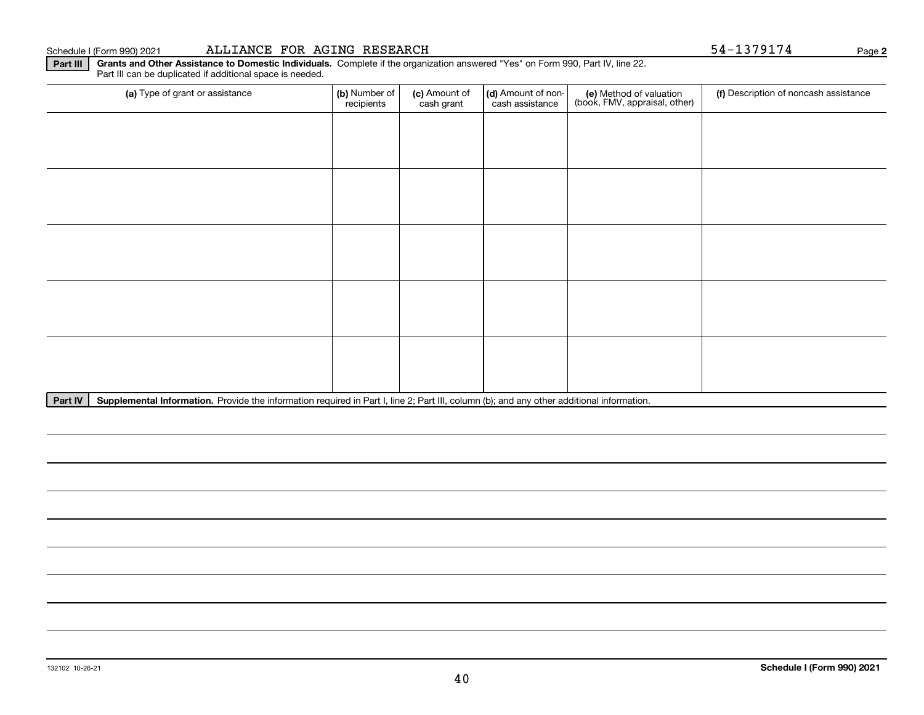#### Schedule I (Form 990) 2021 Page ALLIANCE FOR AGING RESEARCH 54-1379174

**Part III Grants and Other Assistance to Domestic Individuals.**  Complete if the organization answered "Yes" on Form 990, Part IV, line 22. Part III can be duplicated if additional space is needed.

| (a) Type of grant or assistance | (b) Number of<br>recipients | (c) Amount of<br>cash grant | (d) Amount of non-<br>cash assistance | (e) Method of valuation<br>(book, FMV, appraisal, other) | (f) Description of noncash assistance |
|---------------------------------|-----------------------------|-----------------------------|---------------------------------------|----------------------------------------------------------|---------------------------------------|
|                                 |                             |                             |                                       |                                                          |                                       |
|                                 |                             |                             |                                       |                                                          |                                       |
|                                 |                             |                             |                                       |                                                          |                                       |
|                                 |                             |                             |                                       |                                                          |                                       |
|                                 |                             |                             |                                       |                                                          |                                       |
|                                 |                             |                             |                                       |                                                          |                                       |
|                                 |                             |                             |                                       |                                                          |                                       |
|                                 |                             |                             |                                       |                                                          |                                       |
|                                 |                             |                             |                                       |                                                          |                                       |
|                                 |                             |                             |                                       |                                                          |                                       |

Part IV | Supplemental Information. Provide the information required in Part I, line 2; Part III, column (b); and any other additional information.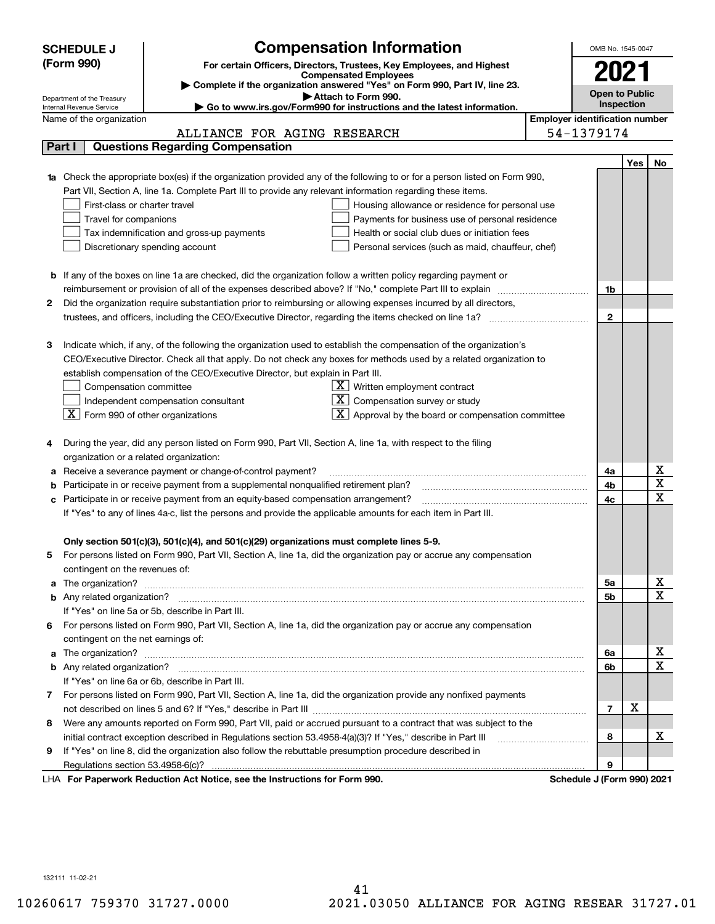|   | <b>SCHEDULE J</b>                                      |                                                                                                                        | <b>Compensation Information</b>                                                                                                  |                                       | OMB No. 1545-0047          |     |                              |
|---|--------------------------------------------------------|------------------------------------------------------------------------------------------------------------------------|----------------------------------------------------------------------------------------------------------------------------------|---------------------------------------|----------------------------|-----|------------------------------|
|   | (Form 990)                                             |                                                                                                                        | For certain Officers, Directors, Trustees, Key Employees, and Highest                                                            |                                       |                            |     |                              |
|   |                                                        |                                                                                                                        | <b>Compensated Employees</b>                                                                                                     |                                       | 2021                       |     |                              |
|   |                                                        |                                                                                                                        | Complete if the organization answered "Yes" on Form 990, Part IV, line 23.                                                       |                                       | <b>Open to Public</b>      |     |                              |
|   | Department of the Treasury<br>Internal Revenue Service |                                                                                                                        | Attach to Form 990.<br>Go to www.irs.gov/Form990 for instructions and the latest information.                                    |                                       | Inspection                 |     |                              |
|   | Name of the organization                               |                                                                                                                        |                                                                                                                                  | <b>Employer identification number</b> |                            |     |                              |
|   |                                                        | ALLIANCE FOR AGING RESEARCH                                                                                            |                                                                                                                                  |                                       | 54-1379174                 |     |                              |
|   | Part I                                                 | <b>Questions Regarding Compensation</b>                                                                                |                                                                                                                                  |                                       |                            |     |                              |
|   |                                                        |                                                                                                                        |                                                                                                                                  |                                       |                            | Yes | No                           |
|   |                                                        |                                                                                                                        | <b>1a</b> Check the appropriate box(es) if the organization provided any of the following to or for a person listed on Form 990, |                                       |                            |     |                              |
|   |                                                        | Part VII, Section A, line 1a. Complete Part III to provide any relevant information regarding these items.             |                                                                                                                                  |                                       |                            |     |                              |
|   | First-class or charter travel                          |                                                                                                                        | Housing allowance or residence for personal use                                                                                  |                                       |                            |     |                              |
|   | Travel for companions                                  |                                                                                                                        | Payments for business use of personal residence                                                                                  |                                       |                            |     |                              |
|   |                                                        | Tax indemnification and gross-up payments                                                                              | Health or social club dues or initiation fees                                                                                    |                                       |                            |     |                              |
|   |                                                        | Discretionary spending account                                                                                         | Personal services (such as maid, chauffeur, chef)                                                                                |                                       |                            |     |                              |
|   |                                                        |                                                                                                                        |                                                                                                                                  |                                       |                            |     |                              |
|   |                                                        | <b>b</b> If any of the boxes on line 1a are checked, did the organization follow a written policy regarding payment or |                                                                                                                                  |                                       |                            |     |                              |
|   |                                                        | reimbursement or provision of all of the expenses described above? If "No," complete Part III to explain               |                                                                                                                                  |                                       | 1b                         |     |                              |
| 2 |                                                        | Did the organization require substantiation prior to reimbursing or allowing expenses incurred by all directors,       |                                                                                                                                  |                                       |                            |     |                              |
|   |                                                        |                                                                                                                        |                                                                                                                                  |                                       | $\mathbf{2}$               |     |                              |
|   |                                                        |                                                                                                                        |                                                                                                                                  |                                       |                            |     |                              |
| з |                                                        |                                                                                                                        | Indicate which, if any, of the following the organization used to establish the compensation of the organization's               |                                       |                            |     |                              |
|   |                                                        |                                                                                                                        | CEO/Executive Director. Check all that apply. Do not check any boxes for methods used by a related organization to               |                                       |                            |     |                              |
|   |                                                        | establish compensation of the CEO/Executive Director, but explain in Part III.                                         |                                                                                                                                  |                                       |                            |     |                              |
|   | Compensation committee                                 |                                                                                                                        | $X$ Written employment contract                                                                                                  |                                       |                            |     |                              |
|   |                                                        | Independent compensation consultant                                                                                    | Compensation survey or study                                                                                                     |                                       |                            |     |                              |
|   | $ \mathbf{X} $ Form 990 of other organizations         |                                                                                                                        | Approval by the board or compensation committee                                                                                  |                                       |                            |     |                              |
|   |                                                        |                                                                                                                        |                                                                                                                                  |                                       |                            |     |                              |
|   |                                                        | During the year, did any person listed on Form 990, Part VII, Section A, line 1a, with respect to the filing           |                                                                                                                                  |                                       |                            |     |                              |
|   | organization or a related organization:                |                                                                                                                        |                                                                                                                                  |                                       |                            |     |                              |
| а |                                                        | Receive a severance payment or change-of-control payment?                                                              |                                                                                                                                  |                                       | 4a                         |     | x<br>$\overline{\textbf{X}}$ |
|   |                                                        | Participate in or receive payment from a supplemental nonqualified retirement plan?                                    |                                                                                                                                  |                                       | 4b                         |     | $\overline{\mathbf{x}}$      |
|   |                                                        | c Participate in or receive payment from an equity-based compensation arrangement?                                     |                                                                                                                                  |                                       | 4c                         |     |                              |
|   |                                                        | If "Yes" to any of lines 4a-c, list the persons and provide the applicable amounts for each item in Part III.          |                                                                                                                                  |                                       |                            |     |                              |
|   |                                                        |                                                                                                                        |                                                                                                                                  |                                       |                            |     |                              |
|   |                                                        | Only section 501(c)(3), 501(c)(4), and 501(c)(29) organizations must complete lines 5-9.                               | For persons listed on Form 990, Part VII, Section A, line 1a, did the organization pay or accrue any compensation                |                                       |                            |     |                              |
| 5 | contingent on the revenues of:                         |                                                                                                                        |                                                                                                                                  |                                       |                            |     |                              |
|   |                                                        |                                                                                                                        |                                                                                                                                  |                                       | 5a                         |     | x                            |
|   |                                                        |                                                                                                                        |                                                                                                                                  |                                       | 5b                         |     | $\overline{\mathbf{x}}$      |
|   |                                                        | If "Yes" on line 5a or 5b, describe in Part III.                                                                       |                                                                                                                                  |                                       |                            |     |                              |
|   |                                                        |                                                                                                                        | 6 For persons listed on Form 990, Part VII, Section A, line 1a, did the organization pay or accrue any compensation              |                                       |                            |     |                              |
|   | contingent on the net earnings of:                     |                                                                                                                        |                                                                                                                                  |                                       |                            |     |                              |
|   |                                                        |                                                                                                                        |                                                                                                                                  |                                       | 6a                         |     | х                            |
|   |                                                        |                                                                                                                        |                                                                                                                                  |                                       | 6b                         |     | $\overline{\mathbf{x}}$      |
|   |                                                        | If "Yes" on line 6a or 6b, describe in Part III.                                                                       |                                                                                                                                  |                                       |                            |     |                              |
|   |                                                        |                                                                                                                        | 7 For persons listed on Form 990, Part VII, Section A, line 1a, did the organization provide any nonfixed payments               |                                       |                            |     |                              |
|   |                                                        |                                                                                                                        |                                                                                                                                  |                                       | $\overline{7}$             | х   |                              |
| 8 |                                                        |                                                                                                                        | Were any amounts reported on Form 990, Part VII, paid or accrued pursuant to a contract that was subject to the                  |                                       |                            |     |                              |
|   |                                                        |                                                                                                                        |                                                                                                                                  |                                       | 8                          |     | x                            |
| 9 |                                                        | If "Yes" on line 8, did the organization also follow the rebuttable presumption procedure described in                 |                                                                                                                                  |                                       |                            |     |                              |
|   |                                                        |                                                                                                                        |                                                                                                                                  |                                       | 9                          |     |                              |
|   |                                                        | LHA For Paperwork Reduction Act Notice, see the Instructions for Form 990.                                             |                                                                                                                                  |                                       | Schedule J (Form 990) 2021 |     |                              |

132111 11-02-21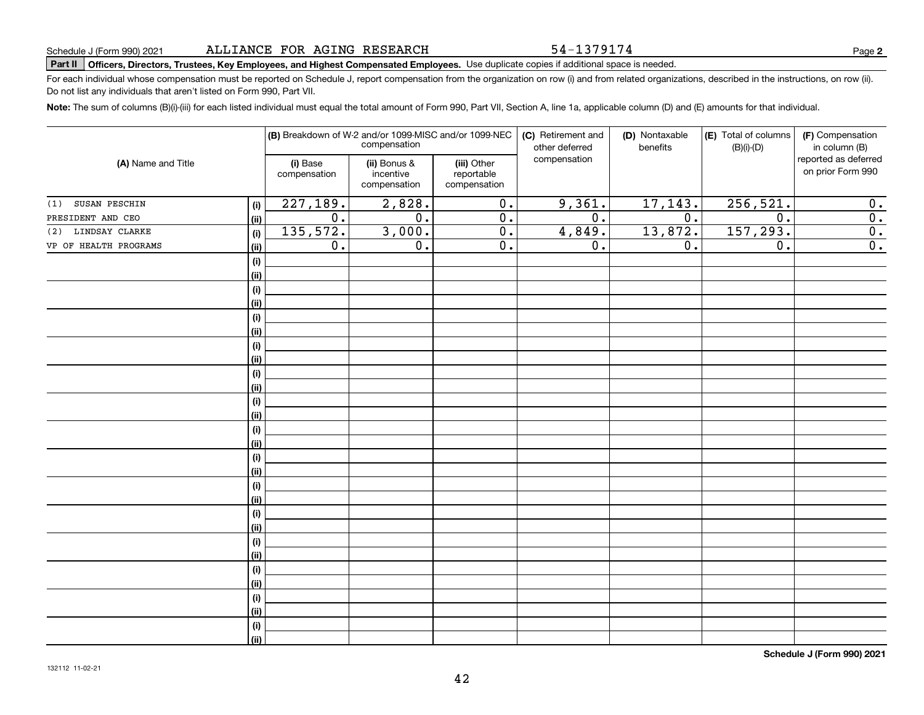54-1379174

**2**

# **Part II Officers, Directors, Trustees, Key Employees, and Highest Compensated Employees.**  Schedule J (Form 990) 2021 Page Use duplicate copies if additional space is needed.

For each individual whose compensation must be reported on Schedule J, report compensation from the organization on row (i) and from related organizations, described in the instructions, on row (ii). Do not list any individuals that aren't listed on Form 990, Part VII.

**Note:**  The sum of columns (B)(i)-(iii) for each listed individual must equal the total amount of Form 990, Part VII, Section A, line 1a, applicable column (D) and (E) amounts for that individual.

|                       |      |                          | (B) Breakdown of W-2 and/or 1099-MISC and/or 1099-NEC<br>compensation |                                           | (C) Retirement and<br>other deferred | (D) Nontaxable<br>benefits | (E) Total of columns<br>$(B)(i)-(D)$ | (F) Compensation<br>in column (B)         |
|-----------------------|------|--------------------------|-----------------------------------------------------------------------|-------------------------------------------|--------------------------------------|----------------------------|--------------------------------------|-------------------------------------------|
| (A) Name and Title    |      | (i) Base<br>compensation | (ii) Bonus &<br>incentive<br>compensation                             | (iii) Other<br>reportable<br>compensation | compensation                         |                            |                                      | reported as deferred<br>on prior Form 990 |
| SUSAN PESCHIN<br>(1)  | (i)  | 227,189.                 | 2,828.                                                                | $\overline{0}$ .                          | 9,361.                               | 17, 143.                   | 256, 521.                            | 0.                                        |
| PRESIDENT AND CEO     | (ii) | $\overline{0}$ .         | $\overline{0}$ .                                                      | $\overline{0}$ .                          | $\overline{0}$ .                     | $\overline{0}$ .           | $\overline{0}$ .                     | $\overline{0}$ .                          |
| (2) LINDSAY CLARKE    | (i)  | 135,572.                 | 3,000.                                                                | $\overline{0}$ .                          | 4,849.                               | 13,872.                    | 157, 293.                            | $\overline{0}$ .                          |
| VP OF HEALTH PROGRAMS | (ii) | 0.                       | 0.                                                                    | $\overline{0}$ .                          | $\overline{0}$ .                     | 0.                         | $\overline{0}$ .                     | $\overline{0}$ .                          |
|                       | (i)  |                          |                                                                       |                                           |                                      |                            |                                      |                                           |
|                       | (ii) |                          |                                                                       |                                           |                                      |                            |                                      |                                           |
|                       | (i)  |                          |                                                                       |                                           |                                      |                            |                                      |                                           |
|                       | (ii) |                          |                                                                       |                                           |                                      |                            |                                      |                                           |
|                       | (i)  |                          |                                                                       |                                           |                                      |                            |                                      |                                           |
|                       | (ii) |                          |                                                                       |                                           |                                      |                            |                                      |                                           |
|                       | (i)  |                          |                                                                       |                                           |                                      |                            |                                      |                                           |
|                       | (ii) |                          |                                                                       |                                           |                                      |                            |                                      |                                           |
|                       | (i)  |                          |                                                                       |                                           |                                      |                            |                                      |                                           |
|                       | (ii) |                          |                                                                       |                                           |                                      |                            |                                      |                                           |
|                       | (i)  |                          |                                                                       |                                           |                                      |                            |                                      |                                           |
|                       | (ii) |                          |                                                                       |                                           |                                      |                            |                                      |                                           |
|                       | (i)  |                          |                                                                       |                                           |                                      |                            |                                      |                                           |
|                       | (ii) |                          |                                                                       |                                           |                                      |                            |                                      |                                           |
|                       | (i)  |                          |                                                                       |                                           |                                      |                            |                                      |                                           |
|                       | (ii) |                          |                                                                       |                                           |                                      |                            |                                      |                                           |
|                       | (i)  |                          |                                                                       |                                           |                                      |                            |                                      |                                           |
|                       | (ii) |                          |                                                                       |                                           |                                      |                            |                                      |                                           |
|                       | (i)  |                          |                                                                       |                                           |                                      |                            |                                      |                                           |
|                       | (ii) |                          |                                                                       |                                           |                                      |                            |                                      |                                           |
|                       | (i)  |                          |                                                                       |                                           |                                      |                            |                                      |                                           |
|                       | (ii) |                          |                                                                       |                                           |                                      |                            |                                      |                                           |
|                       | (i)  |                          |                                                                       |                                           |                                      |                            |                                      |                                           |
|                       | (ii) |                          |                                                                       |                                           |                                      |                            |                                      |                                           |
|                       | (i)  |                          |                                                                       |                                           |                                      |                            |                                      |                                           |
|                       | (ii) |                          |                                                                       |                                           |                                      |                            |                                      |                                           |
|                       | (i)  |                          |                                                                       |                                           |                                      |                            |                                      |                                           |
|                       | (ii) |                          |                                                                       |                                           |                                      |                            |                                      |                                           |

**Schedule J (Form 990) 2021**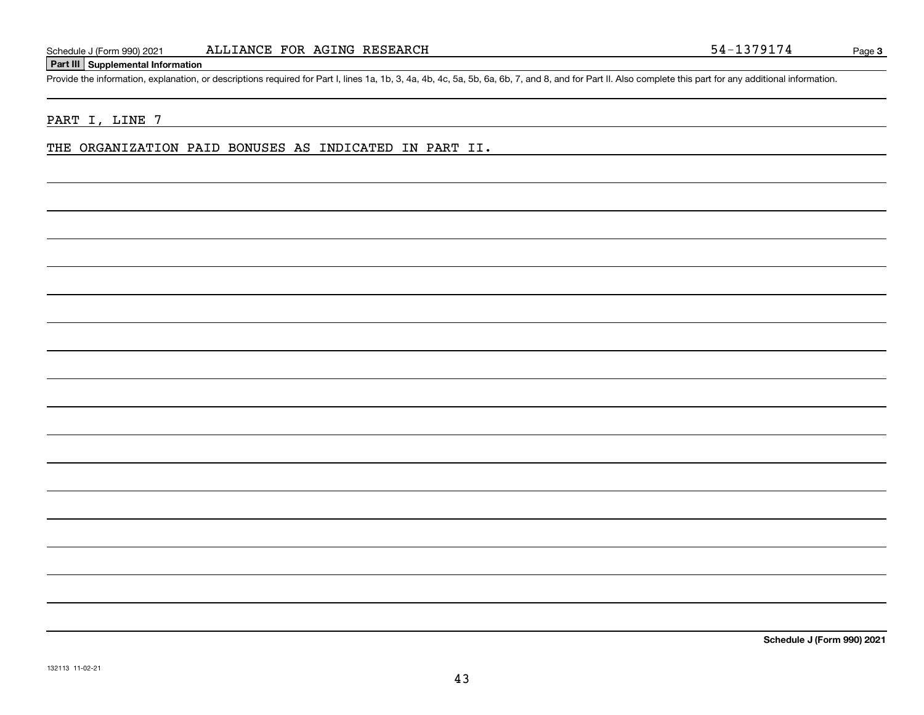#### **Part III Supplemental Information**

Schedule J (Form 990) 2021 ALLIANCE FOR AGING RESEARCH<br>Part III Supplemental Information<br>Provide the information, explanation, or descriptions required for Part I, lines 1a, 1b, 3, 4a, 4b, 4c, 5a, 5b, 6a, 6b, 7, and 8, and

#### PART I, LINE 7

THE ORGANIZATION PAID BONUSES AS INDICATED IN PART II.

**Schedule J (Form 990) 2021**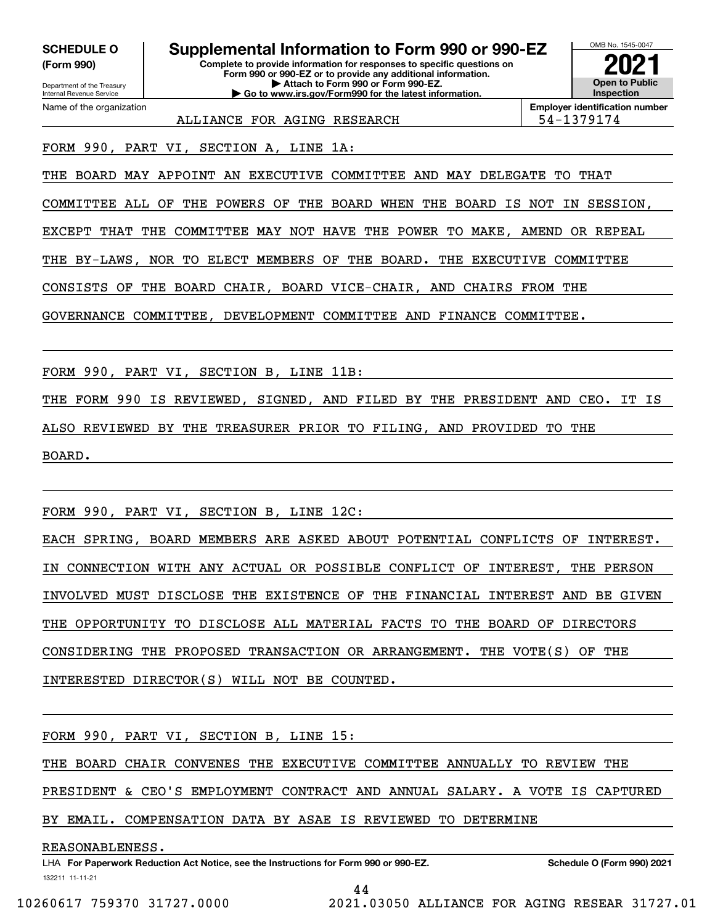**(Form 990)**

Name of the organization

**Complete to provide information for responses to specific questions on Form 990 or 990-EZ or to provide any additional information. | Attach to Form 990 or Form 990-EZ. SCHEDULE O Supplemental Information to Form 990 or 990-EZ**

**| Go to www.irs.gov/Form990 for the latest information.**

OMB No. 1545-0047 **Open to Public Inspection2021**

ALLIANCE FOR AGING RESEARCH FOR SALLIANCE 1999

**Employer identification number**

FORM 990, PART VI, SECTION A, LINE 1A:

THE BOARD MAY APPOINT AN EXECUTIVE COMMITTEE AND MAY DELEGATE TO THAT

COMMITTEE ALL OF THE POWERS OF THE BOARD WHEN THE BOARD IS NOT IN SESSION,

EXCEPT THAT THE COMMITTEE MAY NOT HAVE THE POWER TO MAKE, AMEND OR REPEAL

THE BY-LAWS, NOR TO ELECT MEMBERS OF THE BOARD. THE EXECUTIVE COMMITTEE

CONSISTS OF THE BOARD CHAIR, BOARD VICE-CHAIR, AND CHAIRS FROM THE

GOVERNANCE COMMITTEE, DEVELOPMENT COMMITTEE AND FINANCE COMMITTEE.

FORM 990, PART VI, SECTION B, LINE 11B:

THE FORM 990 IS REVIEWED, SIGNED, AND FILED BY THE PRESIDENT AND CEO. IT IS ALSO REVIEWED BY THE TREASURER PRIOR TO FILING, AND PROVIDED TO THE BOARD.

FORM 990, PART VI, SECTION B, LINE 12C:

EACH SPRING, BOARD MEMBERS ARE ASKED ABOUT POTENTIAL CONFLICTS OF INTEREST. IN CONNECTION WITH ANY ACTUAL OR POSSIBLE CONFLICT OF INTEREST, THE PERSON INVOLVED MUST DISCLOSE THE EXISTENCE OF THE FINANCIAL INTEREST AND BE GIVEN THE OPPORTUNITY TO DISCLOSE ALL MATERIAL FACTS TO THE BOARD OF DIRECTORS CONSIDERING THE PROPOSED TRANSACTION OR ARRANGEMENT. THE VOTE(S) OF THE INTERESTED DIRECTOR(S) WILL NOT BE COUNTED.

FORM 990, PART VI, SECTION B, LINE 15:

THE BOARD CHAIR CONVENES THE EXECUTIVE COMMITTEE ANNUALLY TO REVIEW THE

PRESIDENT & CEO'S EMPLOYMENT CONTRACT AND ANNUAL SALARY. A VOTE IS CAPTURED

BY EMAIL. COMPENSATION DATA BY ASAE IS REVIEWED TO DETERMINE

REASONABLENESS.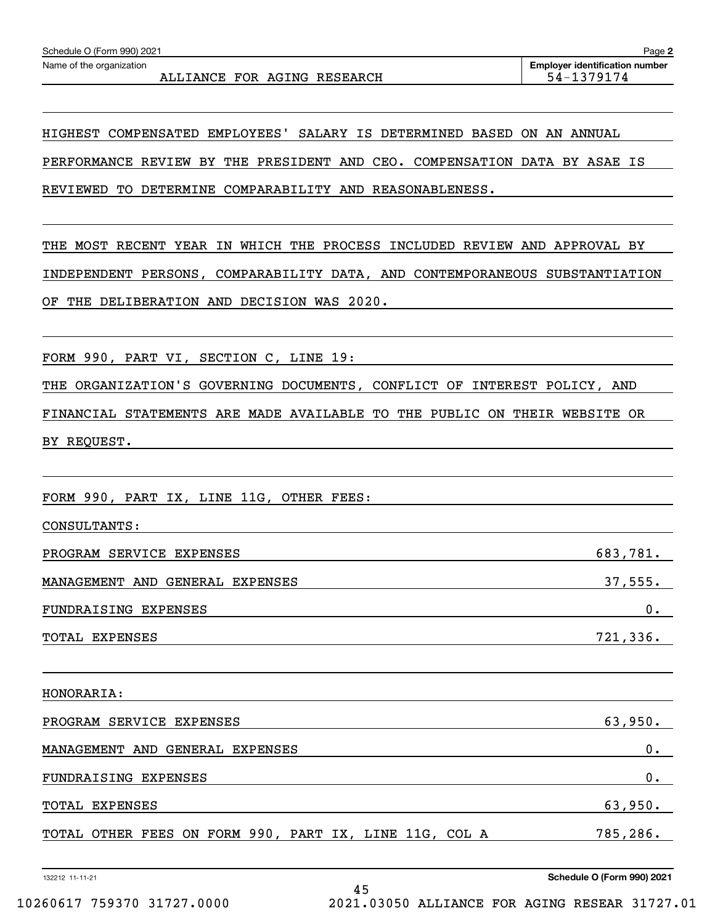HIGHEST COMPENSATED EMPLOYEES' SALARY IS DETERMINED BASED ON AN ANNUAL PERFORMANCE REVIEW BY THE PRESIDENT AND CEO. COMPENSATION DATA BY ASAE IS REVIEWED TO DETERMINE COMPARABILITY AND REASONABLENESS.

THE MOST RECENT YEAR IN WHICH THE PROCESS INCLUDED REVIEW AND APPROVAL BY INDEPENDENT PERSONS, COMPARABILITY DATA, AND CONTEMPORANEOUS SUBSTANTIATION OF THE DELIBERATION AND DECISION WAS 2020.

FORM 990, PART VI, SECTION C, LINE 19:

THE ORGANIZATION'S GOVERNING DOCUMENTS, CONFLICT OF INTEREST POLICY, AND

FINANCIAL STATEMENTS ARE MADE AVAILABLE TO THE PUBLIC ON THEIR WEBSITE OR BY REQUEST.

FORM 990, PART IX, LINE 11G, OTHER FEES:

| CONSULTANTS:                    |          |
|---------------------------------|----------|
| PROGRAM SERVICE EXPENSES        | 683,781. |
| MANAGEMENT AND GENERAL EXPENSES | 37,555.  |
| <b>FUNDRAISING EXPENSES</b>     | 0.       |
| TOTAL EXPENSES                  | 721,336. |

HONORARIA: PROGRAM SERVICE EXPENSES 63,950. MANAGEMENT AND GENERAL EXPENSES 0. FUNDRAISING EXPENSES 0. TOTAL EXPENSES 63,950. TOTAL OTHER FEES ON FORM 990, PART IX, LINE 11G, COL A 785,286.

132212 11-11-21

 $C$